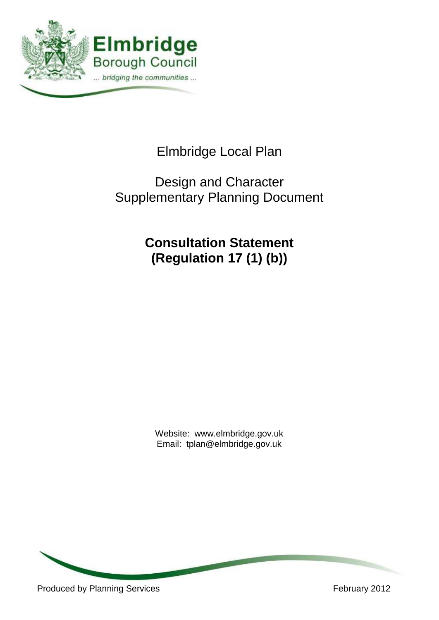

# Elmbridge Local Plan

# Design and Character Supplementary Planning Document

# **Consultation Statement (Regulation 17 (1) (b))**

Website: www.elmbridge.gov.uk Email: tplan@elmbridge.gov.uk

Produced by Planning Services **February 2012**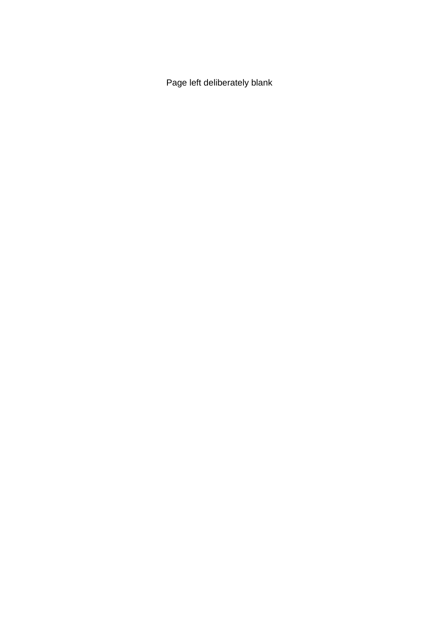Page left deliberately blank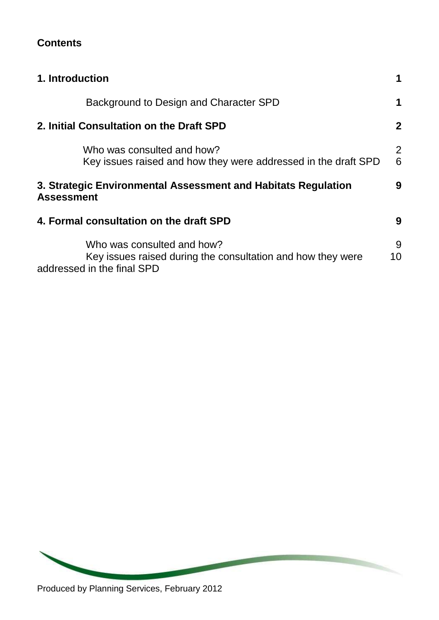## **Contents**

| 1. Introduction                                                                                                         |                     |
|-------------------------------------------------------------------------------------------------------------------------|---------------------|
| Background to Design and Character SPD                                                                                  | 1                   |
| 2. Initial Consultation on the Draft SPD                                                                                | $\mathbf{2}$        |
| Who was consulted and how?<br>Key issues raised and how they were addressed in the draft SPD                            | $\overline{2}$<br>6 |
| 3. Strategic Environmental Assessment and Habitats Regulation<br><b>Assessment</b>                                      | 9                   |
| 4. Formal consultation on the draft SPD                                                                                 | 9                   |
| Who was consulted and how?<br>Key issues raised during the consultation and how they were<br>addressed in the final SPD | 9<br>10             |

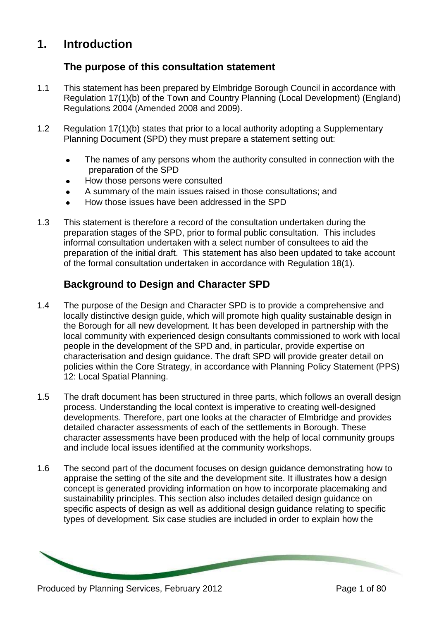# **1. Introduction**

### **The purpose of this consultation statement**

- 1.1 This statement has been prepared by Elmbridge Borough Council in accordance with Regulation 17(1)(b) of the Town and Country Planning (Local Development) (England) Regulations 2004 (Amended 2008 and 2009).
- 1.2 Regulation 17(1)(b) states that prior to a local authority adopting a Supplementary Planning Document (SPD) they must prepare a statement setting out:
	- The names of any persons whom the authority consulted in connection with the  $\bullet$ preparation of the SPD
	- How those persons were consulted  $\bullet$
	- A summary of the main issues raised in those consultations; and
	- How those issues have been addressed in the SPD
- 1.3 This statement is therefore a record of the consultation undertaken during the preparation stages of the SPD, prior to formal public consultation. This includes informal consultation undertaken with a select number of consultees to aid the preparation of the initial draft. This statement has also been updated to take account of the formal consultation undertaken in accordance with Regulation 18(1).

### **Background to Design and Character SPD**

- 1.4 The purpose of the Design and Character SPD is to provide a comprehensive and locally distinctive design guide, which will promote high quality sustainable design in the Borough for all new development. It has been developed in partnership with the local community with experienced design consultants commissioned to work with local people in the development of the SPD and, in particular, provide expertise on characterisation and design guidance. The draft SPD will provide greater detail on policies within the Core Strategy, in accordance with Planning Policy Statement (PPS) 12: Local Spatial Planning.
- 1.5 The draft document has been structured in three parts, which follows an overall design process. Understanding the local context is imperative to creating well-designed developments. Therefore, part one looks at the character of Elmbridge and provides detailed character assessments of each of the settlements in Borough. These character assessments have been produced with the help of local community groups and include local issues identified at the community workshops.
- 1.6 The second part of the document focuses on design guidance demonstrating how to appraise the setting of the site and the development site. It illustrates how a design concept is generated providing information on how to incorporate placemaking and sustainability principles. This section also includes detailed design guidance on specific aspects of design as well as additional design guidance relating to specific types of development. Six case studies are included in order to explain how the

**CONTRACTOR** 

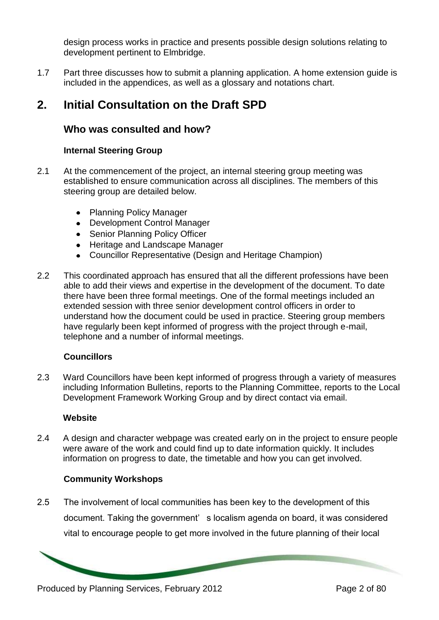design process works in practice and presents possible design solutions relating to development pertinent to Elmbridge.

1.7 Part three discusses how to submit a planning application. A home extension guide is included in the appendices, as well as a glossary and notations chart.

# **2. Initial Consultation on the Draft SPD**

### **Who was consulted and how?**

### **Internal Steering Group**

- 2.1 At the commencement of the project, an internal steering group meeting was established to ensure communication across all disciplines. The members of this steering group are detailed below.
	- Planning Policy Manager
	- Development Control Manager
	- Senior Planning Policy Officer
	- Heritage and Landscape Manager
	- Councillor Representative (Design and Heritage Champion)
- 2.2 This coordinated approach has ensured that all the different professions have been able to add their views and expertise in the development of the document. To date there have been three formal meetings. One of the formal meetings included an extended session with three senior development control officers in order to understand how the document could be used in practice. Steering group members have regularly been kept informed of progress with the project through e-mail, telephone and a number of informal meetings.

### **Councillors**

2.3 Ward Councillors have been kept informed of progress through a variety of measures including Information Bulletins, reports to the Planning Committee, reports to the Local Development Framework Working Group and by direct contact via email.

### **Website**

2.4 A design and character webpage was created early on in the project to ensure people were aware of the work and could find up to date information quickly. It includes information on progress to date, the timetable and how you can get involved.

### **Community Workshops**

2.5 The involvement of local communities has been key to the development of this document. Taking the government' s localism agenda on board, it was considered vital to encourage people to get more involved in the future planning of their local

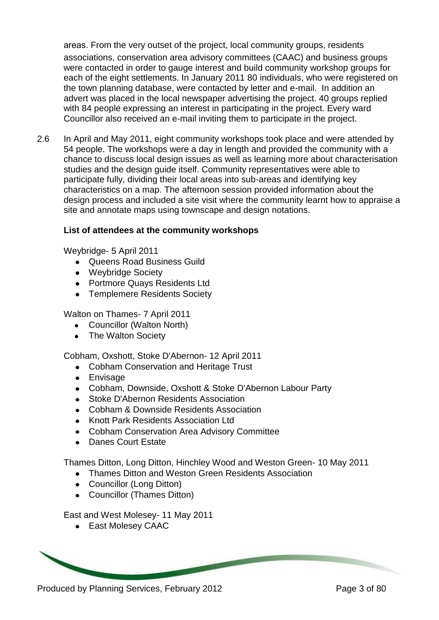areas. From the very outset of the project, local community groups, residents associations, conservation area advisory committees (CAAC) and business groups were contacted in order to gauge interest and build community workshop groups for each of the eight settlements. In January 2011 80 individuals, who were registered on the town planning database, were contacted by letter and e-mail. In addition an advert was placed in the local newspaper advertising the project. 40 groups replied with 84 people expressing an interest in participating in the project. Every ward Councillor also received an e-mail inviting them to participate in the project.

2.6 In April and May 2011, eight community workshops took place and were attended by 54 people. The workshops were a day in length and provided the community with a chance to discuss local design issues as well as learning more about characterisation studies and the design guide itself. Community representatives were able to participate fully, dividing their local areas into sub-areas and identifying key characteristics on a map. The afternoon session provided information about the design process and included a site visit where the community learnt how to appraise a site and annotate maps using townscape and design notations.

### **List of attendees at the community workshops**

Weybridge- 5 April 2011

- Queens Road Business Guild
- Weybridge Society
- Portmore Quays Residents Ltd
- Templemere Residents Society

Walton on Thames- 7 April 2011

- Councillor (Walton North)
- $\bullet$ The Walton Society

Cobham, Oxshott, Stoke D'Abernon- 12 April 2011

- Cobham Conservation and Heritage Trust
- Envisage
- Cobham, Downside, Oxshott & Stoke D'Abernon Labour Party
- Stoke D'Abernon Residents Association
- Cobham & Downside Residents Association
- Knott Park Residents Association Ltd
- Cobham Conservation Area Advisory Committee
- Danes Court Estate

Thames Ditton, Long Ditton, Hinchley Wood and Weston Green- 10 May 2011

- Thames Ditton and Weston Green Residents Association
- Councillor (Long Ditton)
- Councillor (Thames Ditton)

East and West Molesey- 11 May 2011

• East Molesey CAAC

Produced by Planning Services, February 2012 **Produced by Page 3 of 80**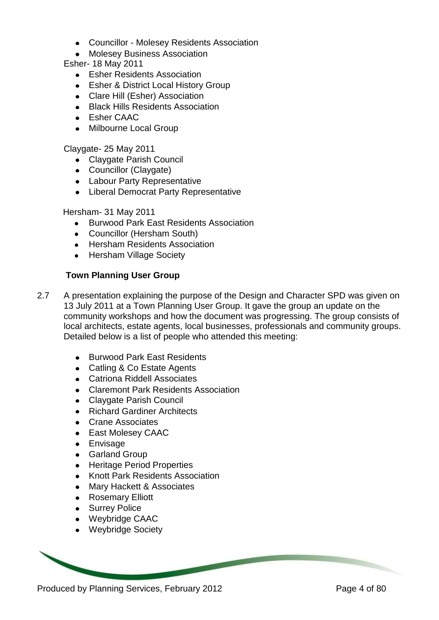- Councillor Molesey Residents Association
- Molesey Business Association

Esher- 18 May 2011

- Esher Residents Association
- Esher & District Local History Group
- Clare Hill (Esher) Association
- Black Hills Residents Association
- Esher CAAC
- Milbourne Local Group

Claygate- 25 May 2011

- Claygate Parish Council
- Councillor (Claygate)
- Labour Party Representative
- Liberal Democrat Party Representative

### Hersham- 31 May 2011

- **•** Burwood Park East Residents Association
- Councillor (Hersham South)
- **•** Hersham Residents Association
- Hersham Village Society

### **Town Planning User Group**

- 2.7 A presentation explaining the purpose of the Design and Character SPD was given on 13 July 2011 at a Town Planning User Group. It gave the group an update on the community workshops and how the document was progressing. The group consists of local architects, estate agents, local businesses, professionals and community groups. Detailed below is a list of people who attended this meeting:
	- Burwood Park East Residents
	- Catling & Co Estate Agents
	- Catriona Riddell Associates
	- Claremont Park Residents Association
	- Clavgate Parish Council
	- Richard Gardiner Architects
	- Crane Associates
	- East Molesey CAAC
	- Envisage
	- Garland Group
	- Heritage Period Properties
	- Knott Park Residents Association
	- Mary Hackett & Associates
	- Rosemary Elliott
	- Surrey Police
	- Weybridge CAAC
	- Weybridge Society

Produced by Planning Services, February 2012 **Produced by Page 4 of 80**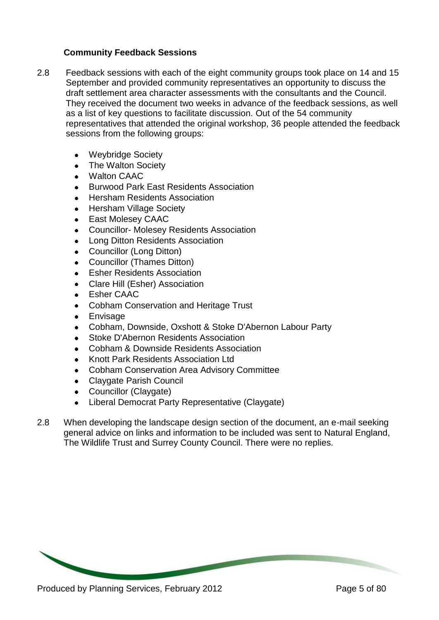### **Community Feedback Sessions**

- 2.8 Feedback sessions with each of the eight community groups took place on 14 and 15 September and provided community representatives an opportunity to discuss the draft settlement area character assessments with the consultants and the Council. They received the document two weeks in advance of the feedback sessions, as well as a list of key questions to facilitate discussion. Out of the 54 community representatives that attended the original workshop, 36 people attended the feedback sessions from the following groups:
	- Weybridge Society
	- The Walton Society
	- Walton CAAC
	- Burwood Park East Residents Association
	- Hersham Residents Association
	- Hersham Village Society
	- East Molesey CAAC
	- Councillor- Molesey Residents Association
	- Long Ditton Residents Association
	- Councillor (Long Ditton)
	- Councillor (Thames Ditton)
	- Esher Residents Association
	- Clare Hill (Esher) Association
	- Esher CAAC
	- Cobham Conservation and Heritage Trust
	- Envisage
	- Cobham, Downside, Oxshott & Stoke D'Abernon Labour Party
	- Stoke D'Abernon Residents Association
	- Cobham & Downside Residents Association
	- Knott Park Residents Association Ltd
	- Cobham Conservation Area Advisory Committee
	- Claygate Parish Council
	- Councillor (Claygate)  $\bullet$
	- Liberal Democrat Party Representative (Claygate)  $\bullet$
- 2.8 When developing the landscape design section of the document, an e-mail seeking general advice on links and information to be included was sent to Natural England, The Wildlife Trust and Surrey County Council. There were no replies.

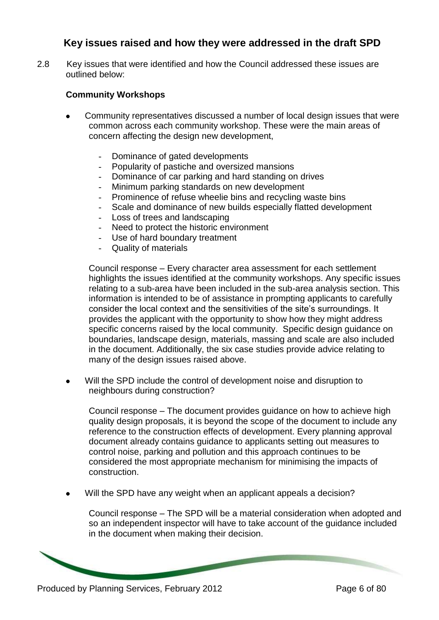### **Key issues raised and how they were addressed in the draft SPD**

2.8 Key issues that were identified and how the Council addressed these issues are outlined below:

#### **Community Workshops**

- Community representatives discussed a number of local design issues that were common across each community workshop. These were the main areas of concern affecting the design new development,
	- Dominance of gated developments
	- Popularity of pastiche and oversized mansions
	- Dominance of car parking and hard standing on drives
	- Minimum parking standards on new development
	- Prominence of refuse wheelie bins and recycling waste bins
	- Scale and dominance of new builds especially flatted development
	- Loss of trees and landscaping
	- Need to protect the historic environment
	- Use of hard boundary treatment
	- Quality of materials

Council response – Every character area assessment for each settlement highlights the issues identified at the community workshops. Any specific issues relating to a sub-area have been included in the sub-area analysis section. This information is intended to be of assistance in prompting applicants to carefully consider the local context and the sensitivities of the site's surroundings. It provides the applicant with the opportunity to show how they might address specific concerns raised by the local community. Specific design guidance on boundaries, landscape design, materials, massing and scale are also included in the document. Additionally, the six case studies provide advice relating to many of the design issues raised above.

Will the SPD include the control of development noise and disruption to neighbours during construction?

Council response – The document provides guidance on how to achieve high quality design proposals, it is beyond the scope of the document to include any reference to the construction effects of development. Every planning approval document already contains guidance to applicants setting out measures to control noise, parking and pollution and this approach continues to be considered the most appropriate mechanism for minimising the impacts of construction.

Will the SPD have any weight when an applicant appeals a decision?

Council response – The SPD will be a material consideration when adopted and so an independent inspector will have to take account of the guidance included in the document when making their decision.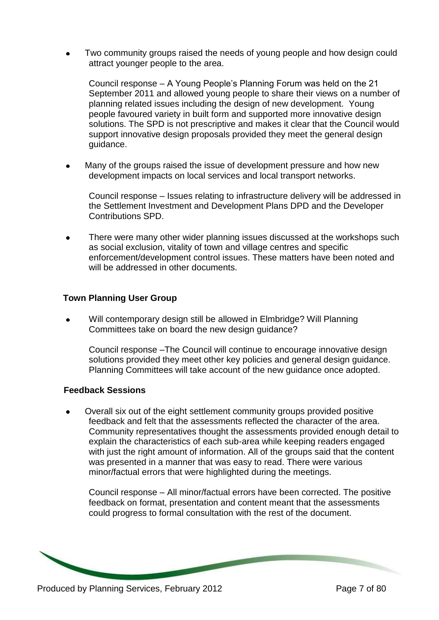Two community groups raised the needs of young people and how design could attract younger people to the area.

Council response – A Young People's Planning Forum was held on the 21 September 2011 and allowed young people to share their views on a number of planning related issues including the design of new development. Young people favoured variety in built form and supported more innovative design solutions. The SPD is not prescriptive and makes it clear that the Council would support innovative design proposals provided they meet the general design guidance.

Many of the groups raised the issue of development pressure and how new development impacts on local services and local transport networks.

Council response – Issues relating to infrastructure delivery will be addressed in the Settlement Investment and Development Plans DPD and the Developer Contributions SPD.

There were many other wider planning issues discussed at the workshops such as social exclusion, vitality of town and village centres and specific enforcement/development control issues. These matters have been noted and will be addressed in other documents.

### **Town Planning User Group**

Will contemporary design still be allowed in Elmbridge? Will Planning  $\bullet$ Committees take on board the new design guidance?

Council response –The Council will continue to encourage innovative design solutions provided they meet other key policies and general design guidance. Planning Committees will take account of the new guidance once adopted.

### **Feedback Sessions**

Overall six out of the eight settlement community groups provided positive feedback and felt that the assessments reflected the character of the area. Community representatives thought the assessments provided enough detail to explain the characteristics of each sub-area while keeping readers engaged with just the right amount of information. All of the groups said that the content was presented in a manner that was easy to read. There were various minor/factual errors that were highlighted during the meetings.

Council response – All minor/factual errors have been corrected. The positive feedback on format, presentation and content meant that the assessments could progress to formal consultation with the rest of the document.

Produced by Planning Services, February 2012 **Produced by Page 7 of 80**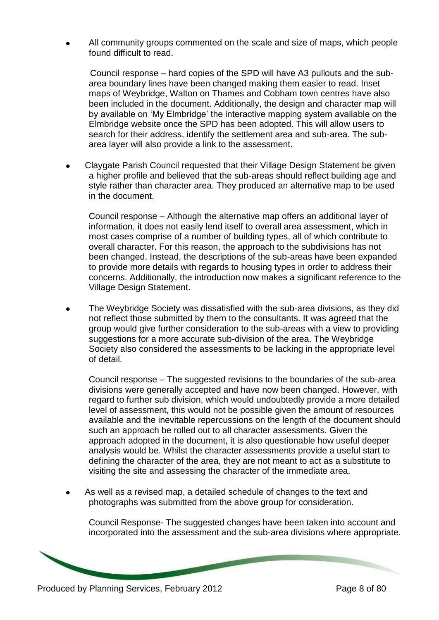All community groups commented on the scale and size of maps, which people found difficult to read.

Council response – hard copies of the SPD will have A3 pullouts and the subarea boundary lines have been changed making them easier to read. Inset maps of Weybridge, Walton on Thames and Cobham town centres have also been included in the document. Additionally, the design and character map will by available on 'My Elmbridge' the interactive mapping system available on the Elmbridge website once the SPD has been adopted. This will allow users to search for their address, identify the settlement area and sub-area. The subarea layer will also provide a link to the assessment.

Claygate Parish Council requested that their Village Design Statement be given a higher profile and believed that the sub-areas should reflect building age and style rather than character area. They produced an alternative map to be used in the document.

Council response – Although the alternative map offers an additional layer of information, it does not easily lend itself to overall area assessment, which in most cases comprise of a number of building types, all of which contribute to overall character. For this reason, the approach to the subdivisions has not been changed. Instead, the descriptions of the sub-areas have been expanded to provide more details with regards to housing types in order to address their concerns. Additionally, the introduction now makes a significant reference to the Village Design Statement.

The Weybridge Society was dissatisfied with the sub-area divisions, as they did not reflect those submitted by them to the consultants. It was agreed that the group would give further consideration to the sub-areas with a view to providing suggestions for a more accurate sub-division of the area. The Weybridge Society also considered the assessments to be lacking in the appropriate level of detail.

Council response – The suggested revisions to the boundaries of the sub-area divisions were generally accepted and have now been changed. However, with regard to further sub division, which would undoubtedly provide a more detailed level of assessment, this would not be possible given the amount of resources available and the inevitable repercussions on the length of the document should such an approach be rolled out to all character assessments. Given the approach adopted in the document, it is also questionable how useful deeper analysis would be. Whilst the character assessments provide a useful start to defining the character of the area, they are not meant to act as a substitute to visiting the site and assessing the character of the immediate area.

As well as a revised map, a detailed schedule of changes to the text and photographs was submitted from the above group for consideration.

Council Response- The suggested changes have been taken into account and incorporated into the assessment and the sub-area divisions where appropriate.

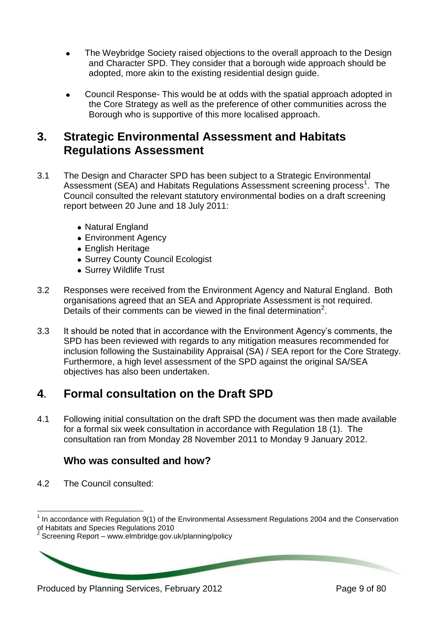- The Weybridge Society raised objections to the overall approach to the Design and Character SPD. They consider that a borough wide approach should be adopted, more akin to the existing residential design guide.
- Council Response- This would be at odds with the spatial approach adopted in the Core Strategy as well as the preference of other communities across the Borough who is supportive of this more localised approach.

## **3. Strategic Environmental Assessment and Habitats Regulations Assessment**

- 3.1 The Design and Character SPD has been subject to a Strategic Environmental Assessment (SEA) and Habitats Regulations Assessment screening process<sup>1</sup>. The Council consulted the relevant statutory environmental bodies on a draft screening report between 20 June and 18 July 2011:
	- Natural England
	- Environment Agency
	- English Heritage
	- Surrey County Council Ecologist
	- Surrey Wildlife Trust
- 3.2 Responses were received from the Environment Agency and Natural England. Both organisations agreed that an SEA and Appropriate Assessment is not required. Details of their comments can be viewed in the final determination<sup>2</sup>.
- 3.3 It should be noted that in accordance with the Environment Agency's comments, the SPD has been reviewed with regards to any mitigation measures recommended for inclusion following the Sustainability Appraisal (SA) / SEA report for the Core Strategy. Furthermore, a high level assessment of the SPD against the original SA/SEA objectives has also been undertaken.

# **4. Formal consultation on the Draft SPD**

4.1 Following initial consultation on the draft SPD the document was then made available for a formal six week consultation in accordance with Regulation 18 (1). The consultation ran from Monday 28 November 2011 to Monday 9 January 2012.

### **Who was consulted and how?**

4.2 The Council consulted:

 $\overline{a}$ 

Produced by Planning Services, February 2012 **Produced by Page 9 of 80** 

 $1$  In accordance with Regulation 9(1) of the Environmental Assessment Regulations 2004 and the Conservation of Habitats and Species Regulations 2010

<sup>2</sup> Screening Report – www.elmbridge.gov.uk/planning/policy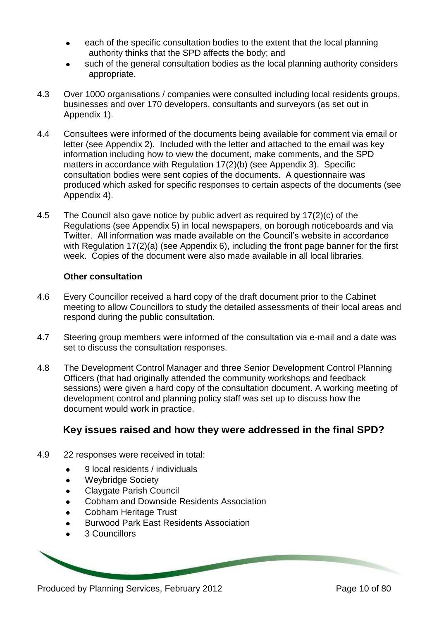- each of the specific consultation bodies to the extent that the local planning authority thinks that the SPD affects the body; and
- such of the general consultation bodies as the local planning authority considers appropriate.
- 4.3 Over 1000 organisations / companies were consulted including local residents groups, businesses and over 170 developers, consultants and surveyors (as set out in Appendix 1).
- 4.4 Consultees were informed of the documents being available for comment via email or letter (see Appendix 2). Included with the letter and attached to the email was key information including how to view the document, make comments, and the SPD matters in accordance with Regulation 17(2)(b) (see Appendix 3). Specific consultation bodies were sent copies of the documents. A questionnaire was produced which asked for specific responses to certain aspects of the documents (see Appendix 4).
- 4.5 The Council also gave notice by public advert as required by 17(2)(c) of the Regulations (see Appendix 5) in local newspapers, on borough noticeboards and via Twitter. All information was made available on the Council's website in accordance with Regulation 17(2)(a) (see Appendix 6), including the front page banner for the first week. Copies of the document were also made available in all local libraries.

#### **Other consultation**

- 4.6 Every Councillor received a hard copy of the draft document prior to the Cabinet meeting to allow Councillors to study the detailed assessments of their local areas and respond during the public consultation.
- 4.7 Steering group members were informed of the consultation via e-mail and a date was set to discuss the consultation responses.
- 4.8 The Development Control Manager and three Senior Development Control Planning Officers (that had originally attended the community workshops and feedback sessions) were given a hard copy of the consultation document. A working meeting of development control and planning policy staff was set up to discuss how the document would work in practice.

### **Key issues raised and how they were addressed in the final SPD?**

- 4.9 22 responses were received in total:
	- 9 local residents / individuals
	- Weybridge Society
	- Claygate Parish Council  $\bullet$
	- Cobham and Downside Residents Association  $\bullet$
	- Cobham Heritage Trust
	- Burwood Park East Residents Association
	- 3 Councillors

Produced by Planning Services, February 2012 Produced by Page 10 of 80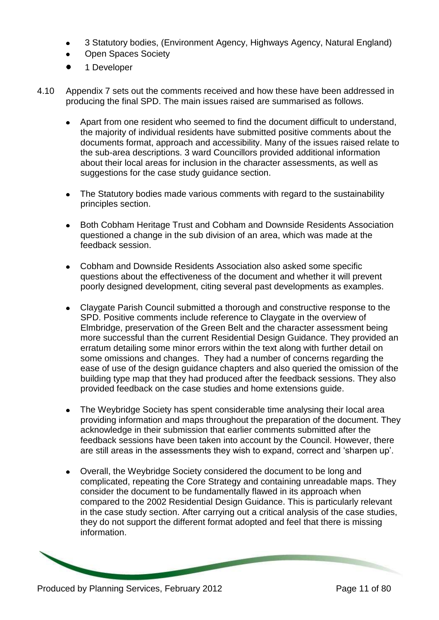- 3 Statutory bodies, (Environment Agency, Highways Agency, Natural England)
- Open Spaces Society
- 1 Developer
- 4.10 Appendix 7 sets out the comments received and how these have been addressed in producing the final SPD. The main issues raised are summarised as follows.
	- Apart from one resident who seemed to find the document difficult to understand, the majority of individual residents have submitted positive comments about the documents format, approach and accessibility. Many of the issues raised relate to the sub-area descriptions. 3 ward Councillors provided additional information about their local areas for inclusion in the character assessments, as well as suggestions for the case study guidance section.
	- $\bullet$ The Statutory bodies made various comments with regard to the sustainability principles section.
	- $\bullet$ Both Cobham Heritage Trust and Cobham and Downside Residents Association questioned a change in the sub division of an area, which was made at the feedback session.
	- Cobham and Downside Residents Association also asked some specific questions about the effectiveness of the document and whether it will prevent poorly designed development, citing several past developments as examples.
	- $\bullet$ Claygate Parish Council submitted a thorough and constructive response to the SPD. Positive comments include reference to Claygate in the overview of Elmbridge, preservation of the Green Belt and the character assessment being more successful than the current Residential Design Guidance. They provided an erratum detailing some minor errors within the text along with further detail on some omissions and changes. They had a number of concerns regarding the ease of use of the design guidance chapters and also queried the omission of the building type map that they had produced after the feedback sessions. They also provided feedback on the case studies and home extensions guide.
	- The Weybridge Society has spent considerable time analysing their local area  $\bullet$ providing information and maps throughout the preparation of the document. They acknowledge in their submission that earlier comments submitted after the feedback sessions have been taken into account by the Council. However, there are still areas in the assessments they wish to expand, correct and 'sharpen up'.
	- $\bullet$ Overall, the Weybridge Society considered the document to be long and complicated, repeating the Core Strategy and containing unreadable maps. They consider the document to be fundamentally flawed in its approach when compared to the 2002 Residential Design Guidance. This is particularly relevant in the case study section. After carrying out a critical analysis of the case studies, they do not support the different format adopted and feel that there is missing information.

Produced by Planning Services, February 2012 Produced by Planning Services, February 2012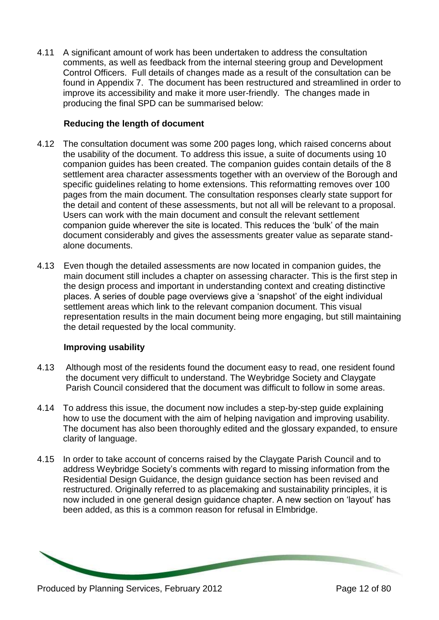4.11 A significant amount of work has been undertaken to address the consultation comments, as well as feedback from the internal steering group and Development Control Officers. Full details of changes made as a result of the consultation can be found in Appendix 7. The document has been restructured and streamlined in order to improve its accessibility and make it more user-friendly. The changes made in producing the final SPD can be summarised below:

### **Reducing the length of document**

- 4.12 The consultation document was some 200 pages long, which raised concerns about the usability of the document. To address this issue, a suite of documents using 10 companion guides has been created. The companion guides contain details of the 8 settlement area character assessments together with an overview of the Borough and specific guidelines relating to home extensions. This reformatting removes over 100 pages from the main document. The consultation responses clearly state support for the detail and content of these assessments, but not all will be relevant to a proposal. Users can work with the main document and consult the relevant settlement companion guide wherever the site is located. This reduces the 'bulk' of the main document considerably and gives the assessments greater value as separate standalone documents.
- 4.13 Even though the detailed assessments are now located in companion guides, the main document still includes a chapter on assessing character. This is the first step in the design process and important in understanding context and creating distinctive places. A series of double page overviews give a 'snapshot' of the eight individual settlement areas which link to the relevant companion document. This visual representation results in the main document being more engaging, but still maintaining the detail requested by the local community.

### **Improving usability**

- 4.13 Although most of the residents found the document easy to read, one resident found the document very difficult to understand. The Weybridge Society and Claygate Parish Council considered that the document was difficult to follow in some areas.
- 4.14 To address this issue, the document now includes a step-by-step guide explaining how to use the document with the aim of helping navigation and improving usability. The document has also been thoroughly edited and the glossary expanded, to ensure clarity of language.
- 4.15 In order to take account of concerns raised by the Claygate Parish Council and to address Weybridge Society's comments with regard to missing information from the Residential Design Guidance, the design guidance section has been revised and restructured. Originally referred to as placemaking and sustainability principles, it is now included in one general design guidance chapter. A new section on 'layout' has been added, as this is a common reason for refusal in Elmbridge.

Produced by Planning Services, February 2012 **Produced by Page 12 of 80**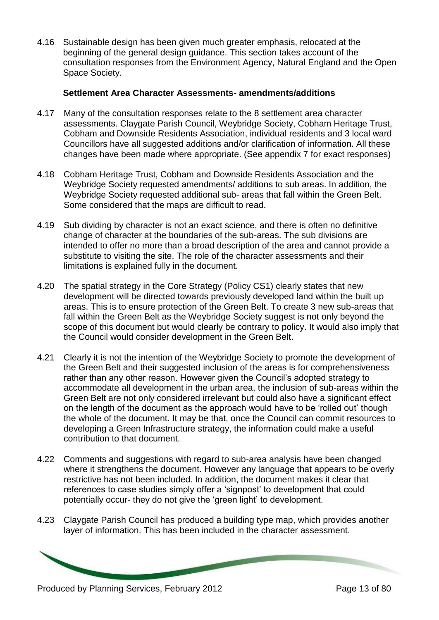4.16 Sustainable design has been given much greater emphasis, relocated at the beginning of the general design guidance. This section takes account of the consultation responses from the Environment Agency, Natural England and the Open Space Society.

### **Settlement Area Character Assessments- amendments/additions**

- 4.17 Many of the consultation responses relate to the 8 settlement area character assessments. Claygate Parish Council, Weybridge Society, Cobham Heritage Trust, Cobham and Downside Residents Association, individual residents and 3 local ward Councillors have all suggested additions and/or clarification of information. All these changes have been made where appropriate. (See appendix 7 for exact responses)
- 4.18 Cobham Heritage Trust, Cobham and Downside Residents Association and the Weybridge Society requested amendments/ additions to sub areas. In addition, the Weybridge Society requested additional sub- areas that fall within the Green Belt. Some considered that the maps are difficult to read.
- 4.19 Sub dividing by character is not an exact science, and there is often no definitive change of character at the boundaries of the sub-areas. The sub divisions are intended to offer no more than a broad description of the area and cannot provide a substitute to visiting the site. The role of the character assessments and their limitations is explained fully in the document.
- 4.20 The spatial strategy in the Core Strategy (Policy CS1) clearly states that new development will be directed towards previously developed land within the built up areas. This is to ensure protection of the Green Belt. To create 3 new sub-areas that fall within the Green Belt as the Weybridge Society suggest is not only beyond the scope of this document but would clearly be contrary to policy. It would also imply that the Council would consider development in the Green Belt.
- 4.21 Clearly it is not the intention of the Weybridge Society to promote the development of the Green Belt and their suggested inclusion of the areas is for comprehensiveness rather than any other reason. However given the Council's adopted strategy to accommodate all development in the urban area, the inclusion of sub-areas within the Green Belt are not only considered irrelevant but could also have a significant effect on the length of the document as the approach would have to be 'rolled out' though the whole of the document. It may be that, once the Council can commit resources to developing a Green Infrastructure strategy, the information could make a useful contribution to that document.
- 4.22 Comments and suggestions with regard to sub-area analysis have been changed where it strengthens the document. However any language that appears to be overly restrictive has not been included. In addition, the document makes it clear that references to case studies simply offer a 'signpost' to development that could potentially occur- they do not give the 'green light' to development.
- 4.23 Claygate Parish Council has produced a building type map, which provides another layer of information. This has been included in the character assessment.

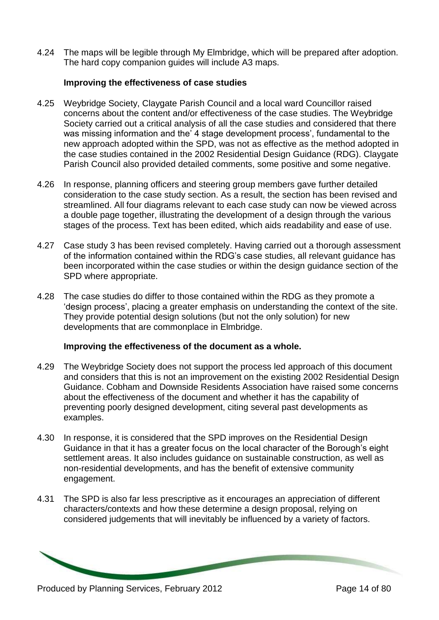4.24 The maps will be legible through My Elmbridge, which will be prepared after adoption. The hard copy companion guides will include A3 maps.

### **Improving the effectiveness of case studies**

- 4.25 Weybridge Society, Claygate Parish Council and a local ward Councillor raised concerns about the content and/or effectiveness of the case studies. The Weybridge Society carried out a critical analysis of all the case studies and considered that there was missing information and the' 4 stage development process', fundamental to the new approach adopted within the SPD, was not as effective as the method adopted in the case studies contained in the 2002 Residential Design Guidance (RDG). Claygate Parish Council also provided detailed comments, some positive and some negative.
- 4.26 In response, planning officers and steering group members gave further detailed consideration to the case study section. As a result, the section has been revised and streamlined. All four diagrams relevant to each case study can now be viewed across a double page together, illustrating the development of a design through the various stages of the process. Text has been edited, which aids readability and ease of use.
- 4.27 Case study 3 has been revised completely. Having carried out a thorough assessment of the information contained within the RDG's case studies, all relevant guidance has been incorporated within the case studies or within the design guidance section of the SPD where appropriate.
- 4.28 The case studies do differ to those contained within the RDG as they promote a 'design process', placing a greater emphasis on understanding the context of the site. They provide potential design solutions (but not the only solution) for new developments that are commonplace in Elmbridge.

#### **Improving the effectiveness of the document as a whole.**

- 4.29 The Weybridge Society does not support the process led approach of this document and considers that this is not an improvement on the existing 2002 Residential Design Guidance. Cobham and Downside Residents Association have raised some concerns about the effectiveness of the document and whether it has the capability of preventing poorly designed development, citing several past developments as examples.
- 4.30 In response, it is considered that the SPD improves on the Residential Design Guidance in that it has a greater focus on the local character of the Borough's eight settlement areas. It also includes guidance on sustainable construction, as well as non-residential developments, and has the benefit of extensive community engagement.
- 4.31 The SPD is also far less prescriptive as it encourages an appreciation of different characters/contexts and how these determine a design proposal, relying on considered judgements that will inevitably be influenced by a variety of factors.

Produced by Planning Services, February 2012 Produced by Page 14 of 80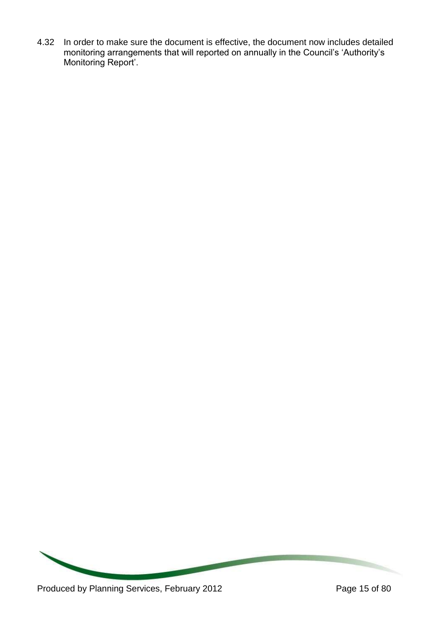4.32 In order to make sure the document is effective, the document now includes detailed monitoring arrangements that will reported on annually in the Council's 'Authority's Monitoring Report'.

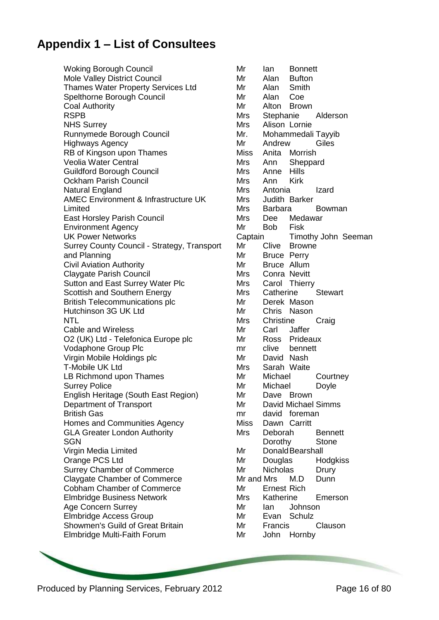# **Appendix 1 – List of Consultees**

Woking Borough Council Mole Valley District Council Thames Water Property Services Ltd Spelthorne Borough Council Coal Authority RSPB NHS Surrey Runnymede Borough Council Highways Agency RB of Kingson upon Thames Veolia Water Central Guildford Borough Council Ockham Parish Council Natural England AMEC Environment & Infrastructure UK Limited East Horsley Parish Council Environment Agency UK Power Networks Surrey County Council - Strategy, Transport and Planning Civil Aviation Authority Claygate Parish Council Sutton and East Surrey Water Plc Scottish and Southern Energy British Telecommunications plc Hutchinson 3G UK Ltd NTL Cable and Wireless O2 (UK) Ltd - Telefonica Europe plc Vodaphone Group Plc Virgin Mobile Holdings plc T-Mobile UK Ltd LB Richmond upon Thames Surrey Police English Heritage (South East Region) Department of Transport British Gas Homes and Communities Agency GLA Greater London Authority **SGN** Virgin Media Limited Orange PCS Ltd Surrey Chamber of Commerce Claygate Chamber of Commerce Cobham Chamber of Commerce Elmbridge Business Network Age Concern Surrey Elmbridge Access Group Showmen's Guild of Great Britain Elmbridge Multi-Faith Forum

Mr Ian Bonnett Mr Alan Bufton Mr Alan Smith Mr Alan Coe Mr Alton Brown Mrs Stephanie Alderson Mrs Alison Lornie Mr. Mohammedali Tayyib Mr Andrew Giles Miss Anita Morrish Mrs Ann Sheppard Mrs Anne Hills Mrs Ann Kirk Mrs Antonia Izard Mrs Judith Barker Mrs Barbara Bowman Mrs Dee Medawar Mr Bob Fisk Captain Timothy John Seeman Mr Clive Browne Mr Bruce Perry Mr Bruce Allum Mrs Conra Nevitt Mrs Carol Thierry Mrs Catherine Stewart Mr Derek Mason Mr Chris Nason Mrs Christine Craig Mr Carl Jaffer Mr Ross Prideaux mr clive bennett Mr David Nash Mrs Sarah Waite Mr Michael Courtney Mr Michael Doyle Mr Dave Brown Mr David Michael Simms mr david foreman Miss Dawn Carritt Mrs Deborah Bennett Dorothy Stone Mr Donald Bearshall Mr Douglas Hodgkiss Mr Nicholas Drury Mr and Mrs M.D Dunn Mr Ernest Rich Mrs Katherine Emerson Mr Ian Johnson Mr Evan Schulz Mr Francis Clauson Mr John Hornby

Produced by Planning Services, February 2012 **Produced by Page 16 of 80**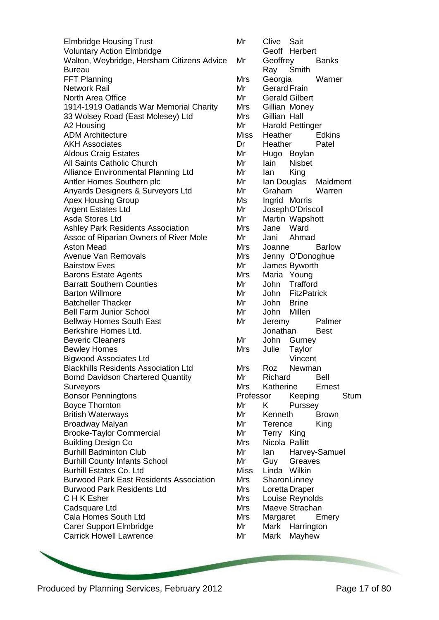Elmbridge Housing Trust Voluntary Action Elmbridge Walton, Weybridge, Hersham Citizens Advice Bureau FFT Planning Network Rail North Area Office 1914-1919 Oatlands War Memorial Charity 33 Wolsey Road (East Molesey) Ltd A2 Housing ADM Architecture AKH Associates Aldous Craig Estates All Saints Catholic Church Alliance Environmental Planning Ltd Antler Homes Southern plc Anyards Designers & Surveyors Ltd Apex Housing Group Argent Estates Ltd Asda Stores Ltd Ashley Park Residents Association Assoc of Riparian Owners of River Mole Aston Mead Avenue Van Removals Bairstow Eves Barons Estate Agents Barratt Southern Counties Barton Willmore Batcheller Thacker Bell Farm Junior School Bellway Homes South East Berkshire Homes Ltd. Beveric Cleaners Bewley Homes Bigwood Associates Ltd Blackhills Residents Association Ltd Bomd Davidson Chartered Quantity **Surveyors** Bonsor Penningtons Boyce Thornton British Waterways Broadway Malyan Brooke-Taylor Commercial Building Design Co Burhill Badminton Club Burhill County Infants School Burhill Estates Co. Ltd Burwood Park East Residents Association Burwood Park Residents Ltd C H K Esher Cadsquare Ltd Cala Homes South Ltd Carer Support Elmbridge Carrick Howell Lawrence

Mr Clive Sait Geoff Herbert Mr Geoffrey Banks Ray Smith Mrs Georgia Warner Mr Gerard Frain Mr Gerald Gilbert Mrs Gillian Money Mrs Gillian Hall Mr Harold Pettinger Miss Heather Edkins Dr Heather Patel Mr Hugo Boylan Mr Iain Nisbet Mr Ian King Mr Ian Douglas Maidment Mr Graham Warren Ms Ingrid Morris Mr JosephO'Driscoll Mr Martin Wapshott Mrs Jane Ward Mr Jani Ahmad Mrs Joanne Barlow Mrs Jenny O'Donoghue Mr James Byworth Mrs Maria Young Mr John Trafford Mr John FitzPatrick Mr John Brine Mr John Millen Mr Jeremy Palmer Jonathan Best Mr John Gurney Mrs Julie Taylor Vincent Mrs Roz Newman Mr Richard Bell Mrs Katherine Ernest Professor Keeping Stum Mr K Purssey Mr Kenneth Brown Mr Terence King Mr Terry King Mrs Nicola Pallitt Mr Ian Harvey-Samuel Mr Guy Greaves Miss Linda Wilkin Mrs SharonLinney Mrs Loretta Draper Mrs Louise Reynolds Mrs Maeve Strachan Mrs Margaret Emery Mr Mark Harrington Mr Mark Mayhew

Produced by Planning Services, February 2012 **Produced by Page 17 of 80**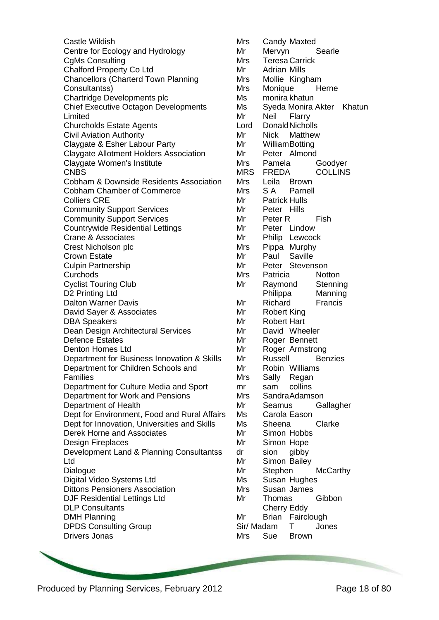Castle Wildish Centre for Ecology and Hydrology CgMs Consulting Chalford Property Co Ltd Chancellors (Charterd Town Planning Consultantss) Chartridge Developments plc Chief Executive Octagon Developments Limited Churcholds Estate Agents Civil Aviation Authority Claygate & Esher Labour Party Claygate Allotment Holders Association Claygate Women's Institute **CNBS** Cobham & Downside Residents Association Cobham Chamber of Commerce Colliers CRE Community Support Services Community Support Services Countrywide Residential Lettings Crane & Associates Crest Nicholson plc Crown Estate Culpin Partnership **Curchods** Cyclist Touring Club D2 Printing Ltd Dalton Warner Davis David Sayer & Associates DBA Speakers Dean Design Architectural Services Defence Estates Denton Homes Ltd Department for Business Innovation & Skills Department for Children Schools and Families Department for Culture Media and Sport Department for Work and Pensions Department of Health Dept for Environment, Food and Rural Affairs Dept for Innovation, Universities and Skills Derek Horne and Associates Design Fireplaces Development Land & Planning Consultantss Ltd **Dialogue** Digital Video Systems Ltd Dittons Pensioners Association DJF Residential Lettings Ltd DLP Consultants DMH Planning DPDS Consulting Group Drivers Jonas

Mrs Candy Maxted Mr Mervyn Searle Mrs Teresa Carrick Mr Adrian Mills Mrs Mollie Kingham Mrs Monique Herne Ms monira khatun Ms Syeda Monira Akter Khatun Mr Neil Flarry Lord DonaldNicholls Mr Nick Matthew Mr WilliamBotting Mr Peter Almond Mrs Pamela Goodyer MRS FREDA COLLINS Mrs Leila Brown Mrs S A Parnell Mr Patrick Hulls Mr Peter Hills Mr Peter R Fish Mr Peter Lindow Mr Philip Lewcock Mrs Pippa Murphy Mr Paul Saville Mr Peter Stevenson Mrs Patricia Notton Mr Raymond Stenning Philippa Manning Mr Richard Francis Mr Robert King Mr Robert Hart Mr David Wheeler Mr Roger Bennett Mr Roger Armstrong Mr Russell Benzies Mr Robin Williams Mrs Sally Regan mr sam collins Mrs SandraAdamson Mr Seamus Gallagher Ms Carola Eason Ms Sheena Clarke Mr Simon Hobbs Mr Simon Hope dr sion gibby Mr Simon Bailey Mr Stephen McCarthy Ms Susan Hughes Mrs Susan James Mr Thomas Gibbon Cherry Eddy Mr Brian Fairclough Sir/ Madam T Jones Mrs Sue Brown

Produced by Planning Services, February 2012 **Produced by Page 18 of 80**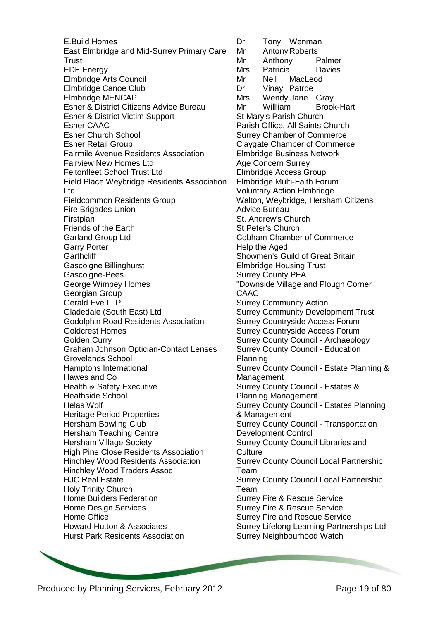E.Build Homes East Elmbridge and Mid-Surrey Primary Care **Trust** EDF Energy Elmbridge Arts Council Elmbridge Canoe Club Elmbridge MENCAP Esher & District Citizens Advice Bureau Esher & District Victim Support Esher CAAC Esher Church School Esher Retail Group Fairmile Avenue Residents Association Fairview New Homes Ltd Feltonfleet School Trust Ltd Field Place Weybridge Residents Association Ltd Fieldcommon Residents Group Fire Brigades Union **Firstplan** Friends of the Earth Garland Group Ltd Garry Porter **Garthcliff** Gascoigne Billinghurst Gascoigne-Pees George Wimpey Homes Georgian Group Gerald Eve LLP Gladedale (South East) Ltd Godolphin Road Residents Association Goldcrest Homes Golden Curry Graham Johnson Optician-Contact Lenses Grovelands School Hamptons International Hawes and Co Health & Safety Executive Heathside School Helas Wolf Heritage Period Properties Hersham Bowling Club Hersham Teaching Centre Hersham Village Society High Pine Close Residents Association Hinchley Wood Residents Association Hinchley Wood Traders Assoc HJC Real Estate Holy Trinity Church Home Builders Federation Home Design Services Home Office Howard Hutton & Associates Hurst Park Residents Association

Dr Tony Wenman Mr Antony Roberts Mr Anthony Palmer Mrs Patricia Davies Mr Neil MacLeod Dr Vinay Patroe Mrs Wendy Jane Gray Mr Willliam Brook-Hart St Mary's Parish Church Parish Office, All Saints Church Surrey Chamber of Commerce Claygate Chamber of Commerce Elmbridge Business Network Age Concern Surrey Elmbridge Access Group Elmbridge Multi-Faith Forum Voluntary Action Elmbridge Walton, Weybridge, Hersham Citizens Advice Bureau St. Andrew's Church St Peter's Church Cobham Chamber of Commerce Help the Aged Showmen's Guild of Great Britain Elmbridge Housing Trust Surrey County PFA "Downside Village and Plough Corner **CAAC** Surrey Community Action Surrey Community Development Trust Surrey Countryside Access Forum Surrey Countryside Access Forum Surrey County Council - Archaeology Surrey County Council - Education Planning Surrey County Council - Estate Planning & Management Surrey County Council - Estates & Planning Management Surrey County Council - Estates Planning & Management Surrey County Council - Transportation Development Control Surrey County Council Libraries and **Culture** Surrey County Council Local Partnership Team Surrey County Council Local Partnership Team Surrey Fire & Rescue Service Surrey Fire & Rescue Service Surrey Fire and Rescue Service Surrey Lifelong Learning Partnerships Ltd Surrey Neighbourhood Watch

Produced by Planning Services, February 2012 **Produced by Page 19 of 80**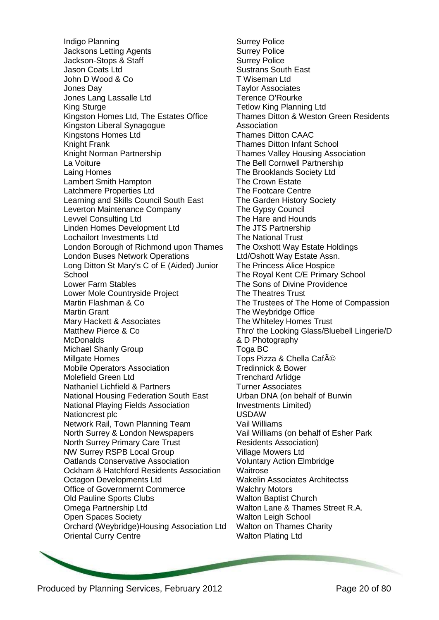Indigo Planning Jacksons Letting Agents Jackson-Stops & Staff Jason Coats Ltd John D Wood & Co Jones Day Jones Lang Lassalle Ltd King Sturge Kingston Homes Ltd, The Estates Office Kingston Liberal Synagogue Kingstons Homes Ltd Knight Frank Knight Norman Partnership La Voiture Laing Homes Lambert Smith Hampton Latchmere Properties Ltd Learning and Skills Council South East Leverton Maintenance Company Levvel Consulting Ltd Linden Homes Development Ltd Lochailort Investments Ltd London Borough of Richmond upon Thames London Buses Network Operations Long Ditton St Mary's C of E (Aided) Junior **School** Lower Farm Stables Lower Mole Countryside Project Martin Flashman & Co Martin Grant Mary Hackett & Associates Matthew Pierce & Co **McDonalds** Michael Shanly Group Millgate Homes Mobile Operators Association Molefield Green Ltd Nathaniel Lichfield & Partners National Housing Federation South East National Playing Fields Association Nationcrest plc Network Rail, Town Planning Team North Surrey & London Newspapers North Surrey Primary Care Trust NW Surrey RSPB Local Group Oatlands Conservative Association Ockham & Hatchford Residents Association Octagon Developments Ltd Office of Governmernt Commerce Old Pauline Sports Clubs Omega Partnership Ltd Open Spaces Society Orchard (Weybridge)Housing Association Ltd Oriental Curry Centre

Surrey Police Surrey Police Surrey Police Sustrans South East T Wiseman Ltd Taylor Associates Terence O'Rourke Tetlow King Planning Ltd Thames Ditton & Weston Green Residents Association Thames Ditton CAAC Thames Ditton Infant School Thames Valley Housing Association The Bell Cornwell Partnership The Brooklands Society Ltd The Crown Estate The Footcare Centre The Garden History Society The Gypsy Council The Hare and Hounds The JTS Partnership The National Trust The Oxshott Way Estate Holdings Ltd/Oshott Way Estate Assn. The Princess Alice Hospice The Royal Kent C/E Primary School The Sons of Divine Providence The Theatres Trust The Trustees of The Home of Compassion The Weybridge Office The Whiteley Homes Trust Thro' the Looking Glass/Bluebell Lingerie/D & D Photography Toga BC Tops Pizza & Chella Café Tredinnick & Bower Trenchard Arlidge Turner Associates Urban DNA (on behalf of Burwin Investments Limited) USDAW Vail Williams Vail Williams (on behalf of Esher Park Residents Association) Village Mowers Ltd Voluntary Action Elmbridge Waitrose Wakelin Associates Architectss Walchry Motors Walton Baptist Church Walton Lane & Thames Street R.A. Walton Leigh School Walton on Thames Charity Walton Plating Ltd

Produced by Planning Services, February 2012 **Produced by Page 20 of 80**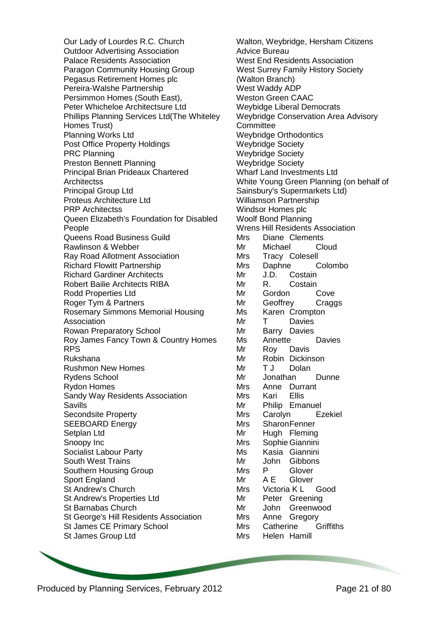Our Lady of Lourdes R.C. Church Outdoor Advertising Association Palace Residents Association Paragon Community Housing Group Pegasus Retirement Homes plc Pereira-Walshe Partnership Persimmon Homes (South East), Peter Whicheloe Architectsure Ltd Phillips Planning Services Ltd(The Whiteley Homes Trust) Planning Works Ltd Post Office Property Holdings PRC Planning Preston Bennett Planning Principal Brian Prideaux Chartered **Architectss** Principal Group Ltd Proteus Architecture Ltd PRP Architectss Queen Elizabeth's Foundation for Disabled People Queens Road Business Guild Rawlinson & Webber Ray Road Allotment Association Richard Flowitt Partnership Richard Gardiner Architects Robert Bailie Architects RIBA Rodd Properties Ltd Roger Tym & Partners Rosemary Simmons Memorial Housing **Association** Rowan Preparatory School Roy James Fancy Town & Country Homes RPS Rukshana Rushmon New Homes Rydens School Rydon Homes Sandy Way Residents Association Savills Secondsite Property SEEBOARD Energy Setplan Ltd Snoopy Inc Socialist Labour Party South West Trains Southern Housing Group Sport England St Andrew's Church St Andrew's Properties Ltd St Barnabas Church St George's Hill Residents Association St James CE Primary School St James Group Ltd

Walton, Weybridge, Hersham Citizens Advice Bureau West End Residents Association West Surrey Family History Society (Walton Branch) West Waddy ADP Weston Green CAAC Weybidge Liberal Democrats Weybridge Conservation Area Advisory **Committee** Weybridge Orthodontics Weybridge Society Weybridge Society Weybridge Society Wharf Land Investments Ltd White Young Green Planning (on behalf of Sainsbury's Supermarkets Ltd) Williamson Partnership Windsor Homes plc Woolf Bond Planning Wrens Hill Residents Association Mrs Diane Clements Mr Michael Cloud Mrs Tracy Colesell Mrs Daphne Colombo Mr J.D. Costain Mr R. Costain Mr Gordon Cove Mr Geoffrey Craggs Ms Karen Crompton Mr T Davies Mr Barry Davies Ms Annette Davies Mr Roy Davis Mr Robin Dickinson Mr T.J Dolan Mr Jonathan Dunne Mrs Anne Durrant Mrs Kari Ellis Mr Philip Emanuel Mrs Carolyn Ezekiel Mrs SharonFenner Mr Hugh Fleming Mrs Sophie Giannini Ms Kasia Giannini Mr John Gibbons Mrs P Glover<br>Mr A F Glover Mr A E Glover Mrs Victoria K L Good Mr Peter Greening Mr John Greenwood Mrs Anne Gregory Mrs Catherine Griffiths Mrs Helen Hamill

Produced by Planning Services, February 2012 **Produced by Page 21 of 80**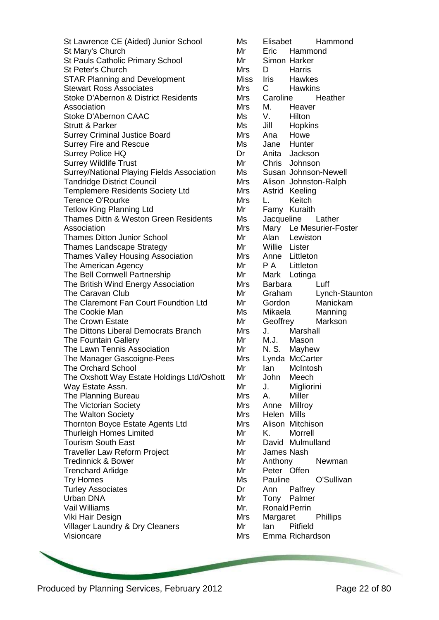St Lawrence CE (Aided) Junior School St Mary's Church St Pauls Catholic Primary School St Peter's Church STAR Planning and Development Stewart Ross Associates Stoke D'Abernon & District Residents Association Stoke D'Abernon CAAC Strutt & Parker Surrey Criminal Justice Board Surrey Fire and Rescue Surrey Police HQ Surrey Wildlife Trust Surrey/National Playing Fields Association Tandridge District Council Templemere Residents Society Ltd Terence O'Rourke Tetlow King Planning Ltd Thames Dittn & Weston Green Residents Association Thames Ditton Junior School Thames Landscape Strategy Thames Valley Housing Association The American Agency The Bell Cornwell Partnership The British Wind Energy Association The Caravan Club The Claremont Fan Court Foundtion Ltd The Cookie Man The Crown Estate The Dittons Liberal Democrats Branch The Fountain Gallery The Lawn Tennis Association The Manager Gascoigne-Pees The Orchard School The Oxshott Way Estate Holdings Ltd/Oshott Way Estate Assn. The Planning Bureau The Victorian Society The Walton Society Thornton Boyce Estate Agents Ltd Thurleigh Homes Limited Tourism South East Traveller Law Reform Project Tredinnick & Bower Trenchard Arlidge Try Homes Turley Associates Urban DNA Vail Williams Viki Hair Design Villager Laundry & Dry Cleaners Visioncare

Ms Elisabet Hammond Mr Eric Hammond Mr Simon Harker Mrs D Harris Miss Iris Hawkes Mrs C Hawkins Mrs Caroline Heather Mrs M. Heaver Ms V. Hilton Ms Jill Hopkins Mrs Ana Howe Ms Jane Hunter Dr Anita Jackson Mr Chris Johnson Ms Susan Johnson-Newell Mrs Alison Johnston-Ralph Mrs Astrid Keeling Mrs L. Keitch Mr Famy Kuraith Ms Jacqueline Lather Mrs Mary Le Mesurier-Foster Mr Alan Lewiston Mr Willie Lister Mrs Anne Littleton Mr PA Littleton Mr Mark Lotinga Mrs Barbara Luff Mr Graham Lynch-Staunton Mr Gordon Manickam Ms Mikaela Manning Mr Geoffrey Markson Mrs J. Marshall Mr M.J. Mason Mr N.S. Mayhew Mrs Lynda McCarter Mr Ian McIntosh Mr John Meech Mr J. Migliorini Mrs A. Miller Mrs Anne Millroy Mrs Helen Mills Mrs Alison Mitchison Mr K. Morrell Mr David Mulmulland Mr James Nash Mr Anthony Newman Mr Peter Offen Ms Pauline O'Sullivan Dr Ann Palfrey Mr Tony Palmer Mr. Ronald Perrin Mrs Margaret Phillips Mr Ian Pitfield Mrs Emma Richardson

Produced by Planning Services, February 2012 **Produced by Page 22 of 80**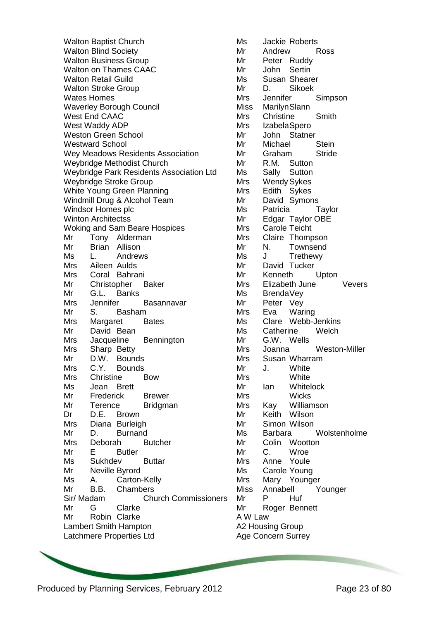Walton Baptist Church Walton Blind Society Walton Business Group Walton on Thames CAAC Walton Retail Guild Walton Stroke Group Wates Homes Waverley Borough Council West End CAAC West Waddy ADP Weston Green School Westward School Wey Meadows Residents Association Weybridge Methodist Church Weybridge Park Residents Association Ltd Weybridge Stroke Group White Young Green Planning Windmill Drug & Alcohol Team Windsor Homes plc Winton Architectss Woking and Sam Beare Hospices Mr Tony Alderman Mr Brian Allison Ms L. Andrews Mrs Aileen Aulds Mrs Coral Bahrani Mr Christopher Baker Mr G.L. Banks Mrs Jennifer Basannavar Mr S. Basham<br>Mrs Margaret B Margaret Bates Mr David Bean Mrs Jacqueline Bennington Mrs Sharp Betty Mr D.W. Bounds Mrs C.Y. Bounds Mrs Christine Bow Ms Jean Brett Mr Frederick Brewer Mr Terence Bridgman Dr D.E. Brown Mrs Diana Burleigh Mr D. Burnand Mrs Deborah Butcher Mr E Butler Ms Sukhdev Buttar Mr Neville Byrord Ms A. Carton-Kelly Mr B.B. Chambers Sir/ Madam Church Commissioners Mr G Clarke Mr Robin Clarke Lambert Smith Hampton Latchmere Properties Ltd

Ms Jackie Roberts Mr Andrew Ross Mr Peter Ruddy Mr John Sertin Ms Susan Shearer Mr D. Sikoek Mrs Jennifer Simpson Miss MarilynSlann Mrs Christine Smith Mrs IzabelaSpero Mr John Statner Mr Michael Stein Mr Graham Stride Mr R.M. Sutton Ms Sally Sutton Mrs WendySykes Mrs Edith Sykes Mr David Symons Ms Patricia Taylor Mr Edgar Taylor OBE Mrs Carole Teicht Mrs Claire Thompson Mr N. Townsend Ms J Trethewy Mr David Tucker Mr Kenneth Upton Mrs Elizabeth June Vevers Ms BrendaVev Mr Peter Vey Mrs Eva Waring Ms Clare Webb-Jenkins Ms Catherine Welch Mr G.W. Wells Mrs Joanna Weston-Miller Mrs Susan Wharram Mr J. White Mrs White Mr Ian Whitelock Mrs Wicks Mrs Kay Williamson Mr Keith Wilson Mr Simon Wilson Ms Barbara Wolstenholme Mr Colin Wootton Mr C. Wroe Mrs Anne Youle Ms Carole Young Mrs Mary Younger Miss Annabell Younger Mr P Huf Mr Roger Bennett A W Law A2 Housing Group Age Concern Surrey

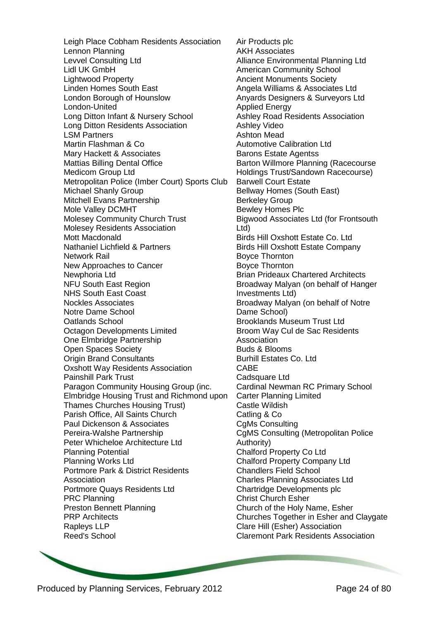Leigh Place Cobham Residents Association Lennon Planning Levvel Consulting Ltd Lidl UK GmbH Lightwood Property Linden Homes South East London Borough of Hounslow London-United Long Ditton Infant & Nursery School Long Ditton Residents Association LSM Partners Martin Flashman & Co Mary Hackett & Associates Mattias Billing Dental Office Medicom Group Ltd Metropolitan Police (Imber Court) Sports Club Michael Shanly Group Mitchell Evans Partnership Mole Valley DCMHT Molesey Community Church Trust Molesey Residents Association Mott Macdonald Nathaniel Lichfield & Partners Network Rail New Approaches to Cancer Newphoria Ltd NFU South East Region NHS South East Coast Nockles Associates Notre Dame School Oatlands School Octagon Developments Limited One Elmbridge Partnership Open Spaces Society Origin Brand Consultants Oxshott Way Residents Association Painshill Park Trust Paragon Community Housing Group (inc. Elmbridge Housing Trust and Richmond upon Thames Churches Housing Trust) Parish Office, All Saints Church Paul Dickenson & Associates Pereira-Walshe Partnership Peter Whicheloe Architecture Ltd Planning Potential Planning Works Ltd Portmore Park & District Residents Association Portmore Quays Residents Ltd PRC Planning Preston Bennett Planning PRP Architects Rapleys LLP Reed's School

Air Products plc AKH Associates Alliance Environmental Planning Ltd American Community School Ancient Monuments Society Angela Williams & Associates Ltd Anyards Designers & Surveyors Ltd Applied Energy Ashley Road Residents Association Ashley Video Ashton Mead Automotive Calibration Ltd Barons Estate Agentss Barton Willmore Planning (Racecourse Holdings Trust/Sandown Racecourse) Barwell Court Estate Bellway Homes (South East) Berkeley Group Bewley Homes Plc Bigwood Associates Ltd (for Frontsouth Ltd) Birds Hill Oxshott Estate Co. Ltd Birds Hill Oxshott Estate Company Boyce Thornton Boyce Thornton Brian Prideaux Chartered Architects Broadway Malyan (on behalf of Hanger Investments Ltd) Broadway Malyan (on behalf of Notre Dame School) Brooklands Museum Trust Ltd Broom Way Cul de Sac Residents Association Buds & Blooms Burhill Estates Co. Ltd CABE Cadsquare Ltd Cardinal Newman RC Primary School Carter Planning Limited Castle Wildish Catling & Co CgMs Consulting CgMS Consulting (Metropolitan Police Authority) Chalford Property Co Ltd Chalford Property Company Ltd Chandlers Field School Charles Planning Associates Ltd Chartridge Developments plc Christ Church Esher Church of the Holy Name, Esher Churches Together in Esher and Claygate Clare Hill (Esher) Association Claremont Park Residents Association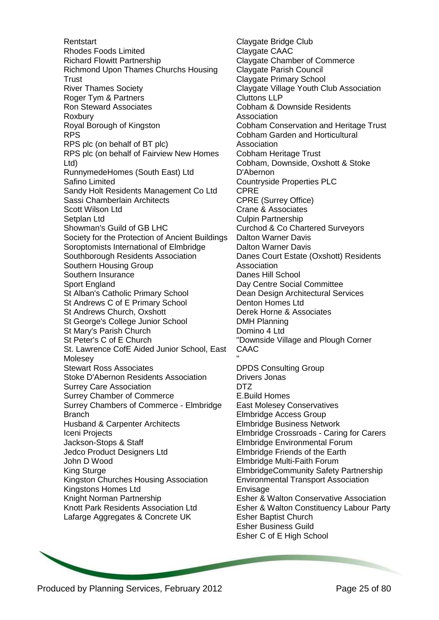Rentstart Rhodes Foods Limited Richard Flowitt Partnership Richmond Upon Thames Churchs Housing **Trust** River Thames Society Roger Tym & Partners Ron Steward Associates Roxbury Royal Borough of Kingston RPS RPS plc (on behalf of BT plc) RPS plc (on behalf of Fairview New Homes Ltd) RunnymedeHomes (South East) Ltd Safino Limited Sandy Holt Residents Management Co Ltd Sassi Chamberlain Architects Scott Wilson Ltd Setplan Ltd Showman's Guild of GB LHC Society for the Protection of Ancient Buildings Soroptomists International of Elmbridge Southborough Residents Association Southern Housing Group Southern Insurance Sport England St Alban's Catholic Primary School St Andrews C of E Primary School St Andrews Church, Oxshott St George's College Junior School St Mary's Parish Church St Peter's C of E Church St. Lawrence CofE Aided Junior School, East Molesey Stewart Ross Associates Stoke D'Abernon Residents Association Surrey Care Association Surrey Chamber of Commerce Surrey Chambers of Commerce - Elmbridge **Branch** Husband & Carpenter Architects Iceni Projects Jackson-Stops & Staff Jedco Product Designers Ltd John D Wood King Sturge Kingston Churches Housing Association Kingstons Homes Ltd Knight Norman Partnership Knott Park Residents Association Ltd Lafarge Aggregates & Concrete UK

Claygate Bridge Club Claygate CAAC Claygate Chamber of Commerce Claygate Parish Council Claygate Primary School Claygate Village Youth Club Association Cluttons LLP Cobham & Downside Residents **Association** Cobham Conservation and Heritage Trust Cobham Garden and Horticultural Association Cobham Heritage Trust Cobham, Downside, Oxshott & Stoke D'Abernon Countryside Properties PLC CPRE CPRE (Surrey Office) Crane & Associates Culpin Partnership Curchod & Co Chartered Surveyors Dalton Warner Davis Dalton Warner Davis Danes Court Estate (Oxshott) Residents Association Danes Hill School Day Centre Social Committee Dean Design Architectural Services Denton Homes Ltd Derek Horne & Associates DMH Planning Domino 4 Ltd "Downside Village and Plough Corner CAAC " DPDS Consulting Group Drivers Jonas DTZ E.Build Homes East Molesey Conservatives Elmbridge Access Group Elmbridge Business Network Elmbridge Crossroads - Caring for Carers Elmbridge Environmental Forum Elmbridge Friends of the Earth Elmbridge Multi-Faith Forum ElmbridgeCommunity Safety Partnership Environmental Transport Association **Envisage** Esher & Walton Conservative Association Esher & Walton Constituency Labour Party Esher Baptist Church Esher Business Guild Esher C of E High School

Produced by Planning Services, February 2012 **Produced by Page 25 of 80**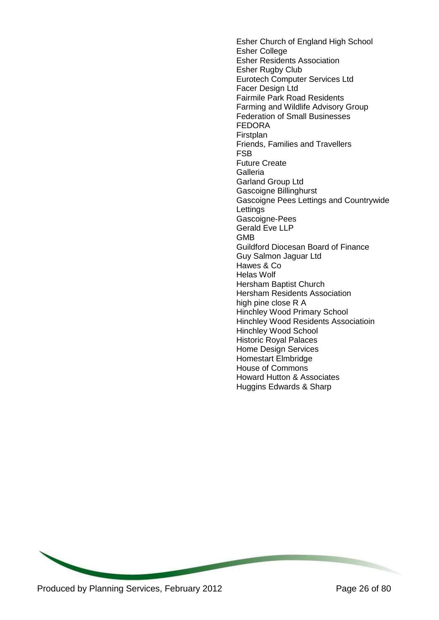Esher Church of England High School Esher College Esher Residents Association Esher Rugby Club Eurotech Computer Services Ltd Facer Design Ltd Fairmile Park Road Residents Farming and Wildlife Advisory Group Federation of Small Businesses FEDORA Firstplan Friends, Families and Travellers FSB Future Create Galleria Garland Group Ltd Gascoigne Billinghurst Gascoigne Pees Lettings and Countrywide **Lettings** Gascoigne-Pees Gerald Eve LLP GMB Guildford Diocesan Board of Finance Guy Salmon Jaguar Ltd Hawes & Co Helas Wolf Hersham Baptist Church Hersham Residents Association high pine close R A Hinchley Wood Primary School Hinchley Wood Residents Associatioin Hinchley Wood School Historic Royal Palaces Home Design Services Homestart Elmbridge House of Commons Howard Hutton & Associates Huggins Edwards & Sharp

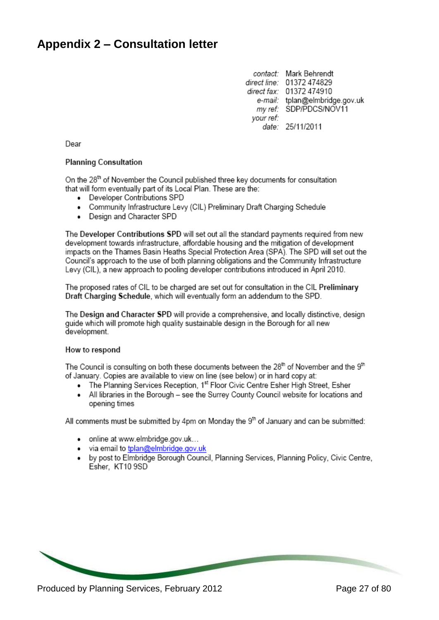## **Appendix 2 – Consultation letter**

contact: Mark Behrendt direct line: 01372 474829 direct fax: 01372 474910 e-mail: tplan@elmbridge.gov.uk my ref: SDP/PDCS/NOV11 vour ref: date: 25/11/2011

Dear

#### **Planning Consultation**

On the 28<sup>th</sup> of November the Council published three key documents for consultation that will form eventually part of its Local Plan. These are the:

- Developer Contributions SPD
- Community Infrastructure Levy (CIL) Preliminary Draft Charging Schedule
- Design and Character SPD

The Developer Contributions SPD will set out all the standard payments required from new development towards infrastructure, affordable housing and the mitigation of development impacts on the Thames Basin Heaths Special Protection Area (SPA). The SPD will set out the Council's approach to the use of both planning obligations and the Community Infrastructure Levy (CIL), a new approach to pooling developer contributions introduced in April 2010.

The proposed rates of CIL to be charged are set out for consultation in the CIL Preliminary Draft Charging Schedule, which will eventually form an addendum to the SPD.

The Design and Character SPD will provide a comprehensive, and locally distinctive, design guide which will promote high quality sustainable design in the Borough for all new development.

#### How to respond

The Council is consulting on both these documents between the 28<sup>th</sup> of November and the 9<sup>th</sup> of January. Copies are available to view on line (see below) or in hard copy at:

- The Planning Services Reception, 1<sup>st</sup> Floor Civic Centre Esher High Street, Esher
- . All libraries in the Borough see the Surrey County Council website for locations and opening times

All comments must be submitted by 4pm on Monday the 9th of January and can be submitted:

- . online at www.elmbridge.gov.uk...
- . via email to tplan@elmbridge.gov.uk
- . by post to Elmbridge Borough Council, Planning Services, Planning Policy, Civic Centre, Esher, KT10 9SD

Produced by Planning Services, February 2012 **Produced by Page 27 of 80**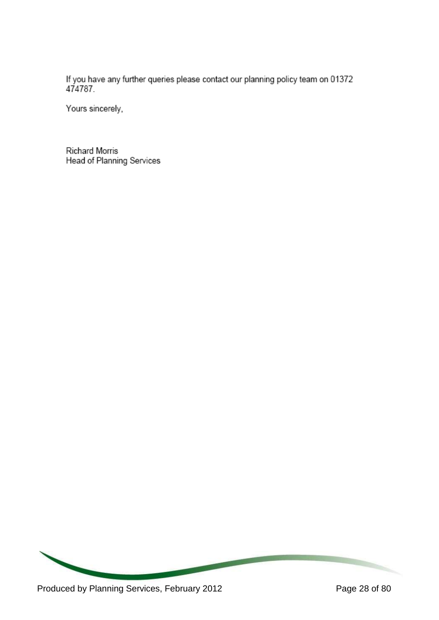If you have any further queries please contact our planning policy team on 01372 474787.

Yours sincerely,

**Richard Morris** Head of Planning Services

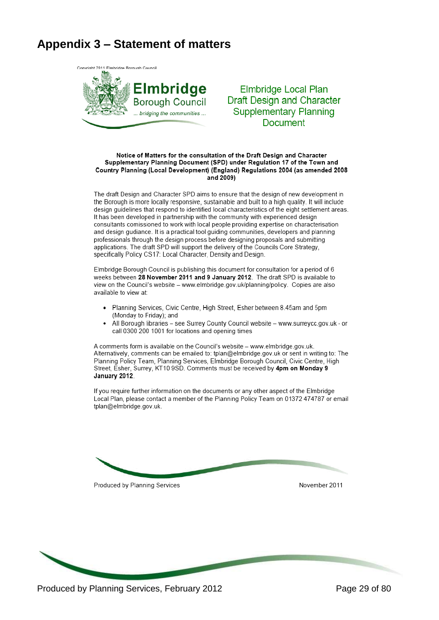# **Appendix 3 – Statement of matters**



### Elmbridge Local Plan Draft Design and Character **Supplementary Planning** Document

#### Notice of Matters for the consultation of the Draft Design and Character Supplementary Planning Document (SPD) under Regulation 17 of the Town and Country Planning (Local Development) (England) Regulations 2004 (as amended 2008 and 2009)

The draft Design and Character SPD aims to ensure that the design of new development in the Borough is more locally responsive, sustainable and built to a high quality. It will include design guidelines that respond to identified local characteristics of the eight settlement areas. It has been developed in partnership with the community with experienced design consultants comissioned to work with local people providing expertise on characterisation and design gudiance. It is a practical tool guiding communities, developers and planning professionals through the design process before designing proposals and submitting applications. The draft SPD will support the delivery of the Councils Core Strategy, specifically Policy CS17: Local Character, Density and Design.

Elmbridge Borough Council is publishing this document for consultation for a period of 6 weeks between 28 November 2011 and 9 January 2012. The draft SPD is available to view on the Council's website - www.elmbridge.gov.uk/planning/policy. Copies are also available to view at:

- Planning Services, Civic Centre, High Street, Esher between 8.45am and 5pm (Monday to Friday); and
- All Borough libraries see Surrey County Council website www.surreycc.gov.uk or call 0300 200 1001 for locations and opening times

A comments form is available on the Council's website - www.elmbridge.gov.uk. Alternatively, comments can be emailed to: tplan@elmbridge.gov.uk or sent in writing to: The Planning Policy Team, Planning Services, Elmbridge Borough Council, Civic Centre, High Street, Esher, Surrey, KT10 9SD. Comments must be received by 4pm on Monday 9 January 2012

If you require further information on the documents or any other aspect of the Elmbridge Local Plan, please contact a member of the Planning Policy Team on 01372 474787 or email tplan@elmbridge.gov.uk.

|  | <b>Contract Contract Contract</b> |
|--|-----------------------------------|
|  |                                   |

Produced by Planning Services

November 2011

Produced by Planning Services, February 2012 Produced by Page 29 of 80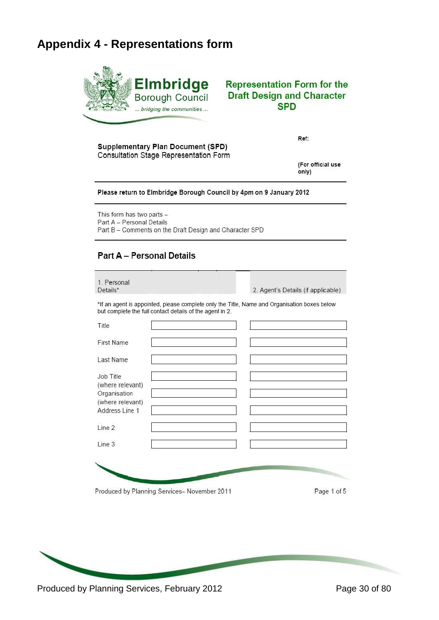# **Appendix 4 - Representations form**



Ref:

**Supplementary Plan Document (SPD)** Consultation Stage Representation Form

> (For official use only)

Please return to Elmbridge Borough Council by 4pm on 9 January 2012

This form has two parts -Part A - Personal Details Part B - Comments on the Draft Design and Character SPD

#### **Part A - Personal Details**

| 1. Personal<br>Details*                                                                       | 2. Agent's Details (if applicable)                                                           |
|-----------------------------------------------------------------------------------------------|----------------------------------------------------------------------------------------------|
| but complete the full contact details of the agent in 2.                                      | *If an agent is appointed, please complete only the Title, Name and Organisation boxes below |
| Title                                                                                         |                                                                                              |
| <b>First Name</b>                                                                             |                                                                                              |
| Last Name                                                                                     |                                                                                              |
| Job Title<br>(where relevant)<br>Organisation<br>(where relevant)<br>Address Line 1<br>Line 2 |                                                                                              |
| line 3                                                                                        |                                                                                              |
|                                                                                               |                                                                                              |
| Produced by Planning Services- November 2011                                                  | Page 1 of 5                                                                                  |

Produced by Planning Services, February 2012 Produced by Planning Services, February 2012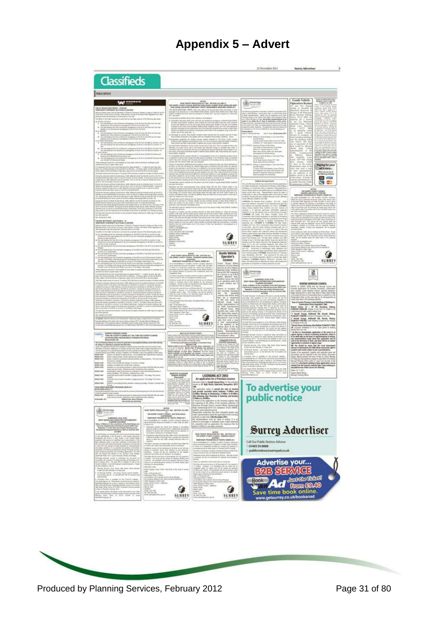# **Appendix 5 – Advert**



Produced by Planning Services, February 2012 Produced by Planning Services, February 2012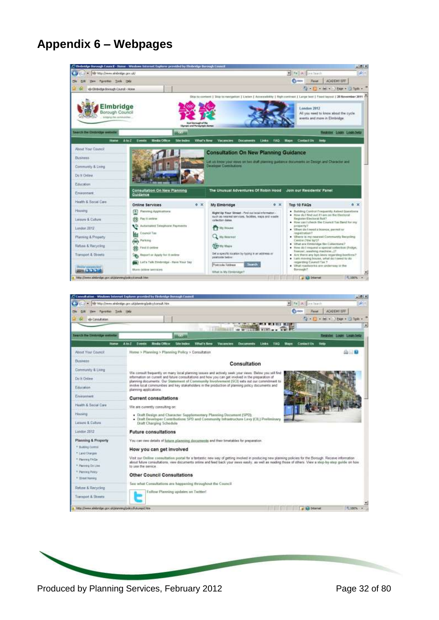# **Appendix 6 – Webpages**





**SCIENCE**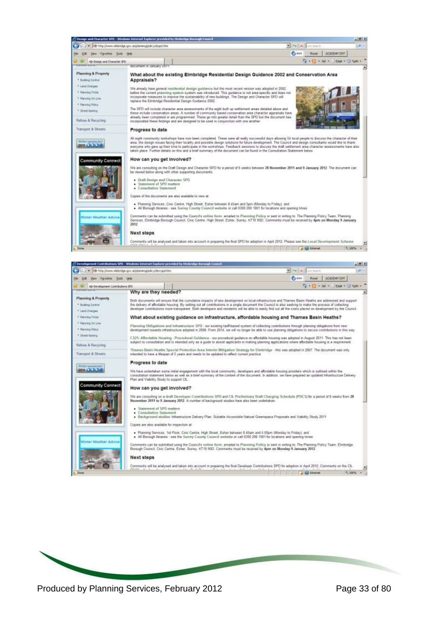| Design and Character SPD - Windows Siturnet Explorer provided by Electrology Eurosch Council                            |                                                            |                                                         |                                                                                                                                                                                                                                                                                                                                                                                                                                                                                                                                                                                                               |                         |  | 13213                                  |
|-------------------------------------------------------------------------------------------------------------------------|------------------------------------------------------------|---------------------------------------------------------|---------------------------------------------------------------------------------------------------------------------------------------------------------------------------------------------------------------------------------------------------------------------------------------------------------------------------------------------------------------------------------------------------------------------------------------------------------------------------------------------------------------------------------------------------------------------------------------------------------------|-------------------------|--|----------------------------------------|
|                                                                                                                         | Hill http://www.elstindge.gov.uk/planning/palicy/dcspd.htm |                                                         |                                                                                                                                                                                                                                                                                                                                                                                                                                                                                                                                                                                                               | * String at the fearth  |  |                                        |
| Favoline<br>Tack Heli                                                                                                   |                                                            |                                                         | <b>CLINDER</b><br><b>ACADEMY CET</b><br><b>FEALEN</b>                                                                                                                                                                                                                                                                                                                                                                                                                                                                                                                                                         |                         |  |                                        |
| tillr Dexgn and Character IPD.                                                                                          |                                                            |                                                         |                                                                                                                                                                                                                                                                                                                                                                                                                                                                                                                                                                                                               |                         |  | (2) + [2] = (w) + 12 Bags + (12 Toda + |
|                                                                                                                         | ogcoment in January 2011.                                  |                                                         |                                                                                                                                                                                                                                                                                                                                                                                                                                                                                                                                                                                                               |                         |  |                                        |
| Planning & Property<br>7. Building Cardner<br>Y Land Charges<br><sup>9</sup> -Parents FACs<br>* <i>Viewing Oil Line</i> | Appraisals?                                                | replace the Elmbridge Residential Design Guidance 2002. | What about the existing Elmbridge Residential Design Guidance 2002 and Conservation Area<br>We already have general residermial design guidance but the most recent version was adopted in 2002.<br>before the current planning system system was introduced. This purdance is not area specific and does not<br>incorporate measures to snowye the sustainability of new buildings. The Design and Character SPD will                                                                                                                                                                                        |                         |  |                                        |
| * Flering Policy<br><sup>8</sup> Street Autorio<br>Refuse & Recycling                                                   |                                                            |                                                         | The SPD will include character area assessments of the eight built up settlement areas detailed above and<br>these include conservation areas. A number of community based conservation area character appraisals have<br>already been completed or are programmed. These go into greater detail than the SPD but the document has<br>incorporated these findings and are designed to be used in consinction with one another                                                                                                                                                                                 |                         |  |                                        |
| Transport & Streets                                                                                                     | Progress to date                                           |                                                         |                                                                                                                                                                                                                                                                                                                                                                                                                                                                                                                                                                                                               |                         |  |                                        |
| <b><i>Pinitian salesment find</i></b><br>2011 13:313 d<br><b>Community Connect</b>                                      | How can you get involved?                                  |                                                         | All eight community workshops have now been completed. These were all really successful days allowing 54 local people to discuss the character of their<br>area, the design issues facing their locality and possible design selulisms for future development. The Council and design consultants would like to thank<br>everyone who gave up their time to participate in the workshops. Feedback sessions to discuss the draft settlement area character assessments have also<br>taken place. Further details on this and a trief summary of the document can be hund in the Consultation Statement telow. |                         |  |                                        |
|                                                                                                                         |                                                            | be viewed below along with other supporting documents:  | We are compliing on the Draft Design and Character SPD for a period of 6 weeks between 28 November 2011 and 9 January 2012. The document can                                                                                                                                                                                                                                                                                                                                                                                                                                                                  |                         |  |                                        |
|                                                                                                                         | · Statement of SPD matters.<br>· Consultation Statement    | · Draft Design and Character SPD                        |                                                                                                                                                                                                                                                                                                                                                                                                                                                                                                                                                                                                               |                         |  |                                        |
|                                                                                                                         |                                                            | Copies of the documents are also analistic to view at   |                                                                                                                                                                                                                                                                                                                                                                                                                                                                                                                                                                                                               |                         |  |                                        |
|                                                                                                                         |                                                            |                                                         | - Planning Services: Clvic Centre, High Street. Esher lietween 8.45am and Spm (Monday to Friday); and<br>. All Borough Ibranes - see Surrey County Council website or call 0308-200 1001 for locations and opening times                                                                                                                                                                                                                                                                                                                                                                                      |                         |  |                                        |
| Winter Westher Advice                                                                                                   | 2012                                                       |                                                         | Comments can be submitted using the Council's online form, emailed to Plenning Policy or sent in writing to. The Planning Policy Team, Planning<br>Services. Elmbodge Borsugh Council. Civic Centre. High Street. Esher. Surrey. KT10 SSD: Comments must be received by 4pm on Monday 9 January                                                                                                                                                                                                                                                                                                               |                         |  |                                        |
|                                                                                                                         | Next steps                                                 |                                                         |                                                                                                                                                                                                                                                                                                                                                                                                                                                                                                                                                                                                               |                         |  |                                        |
|                                                                                                                         | mean money ( Priming Priming)                              |                                                         | Comments will be analysed and taken into account in preparing the final SPD for adoption in April 2012. Please see the Local Development Scheme                                                                                                                                                                                                                                                                                                                                                                                                                                                               |                         |  |                                        |
| <b>Doris</b>                                                                                                            |                                                            |                                                         |                                                                                                                                                                                                                                                                                                                                                                                                                                                                                                                                                                                                               | <b>Carl La Internat</b> |  | 七 100% 。                               |



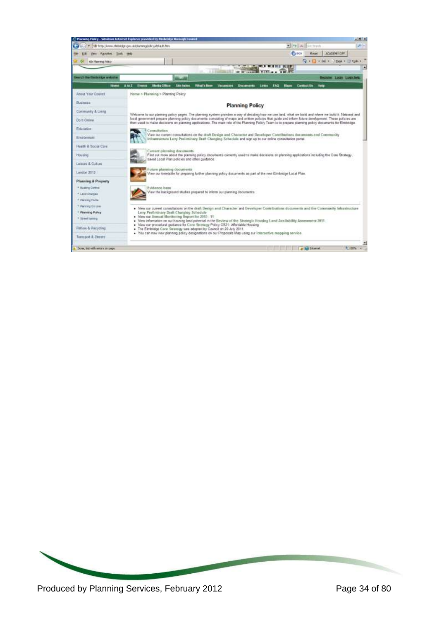

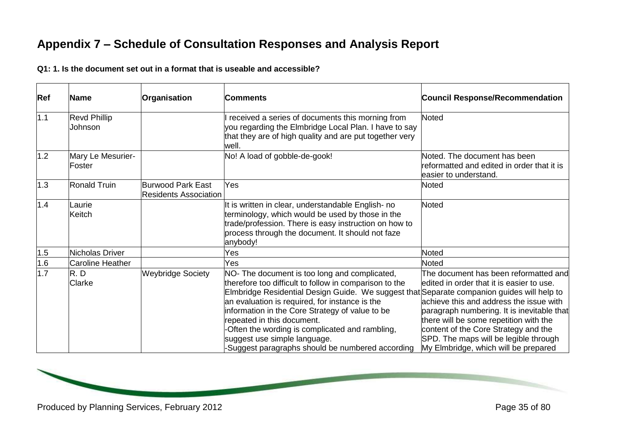# **Appendix 7 – Schedule of Consultation Responses and Analysis Report**

### **Q1: 1. Is the document set out in a format that is useable and accessible?**

| Ref | Name                           | Organisation                                      | <b>Comments</b>                                                                                                                                                                                                                                                                                                                                                                                                                                                                 | <b>Council Response/Recommendation</b>                                                                                                                                                                                                                                                                                                         |
|-----|--------------------------------|---------------------------------------------------|---------------------------------------------------------------------------------------------------------------------------------------------------------------------------------------------------------------------------------------------------------------------------------------------------------------------------------------------------------------------------------------------------------------------------------------------------------------------------------|------------------------------------------------------------------------------------------------------------------------------------------------------------------------------------------------------------------------------------------------------------------------------------------------------------------------------------------------|
| 1.1 | <b>Revd Phillip</b><br>Johnson |                                                   | received a series of documents this morning from<br>you regarding the Elmbridge Local Plan. I have to say<br>that they are of high quality and are put together very<br>well.                                                                                                                                                                                                                                                                                                   | <b>Noted</b>                                                                                                                                                                                                                                                                                                                                   |
| 1.2 | Mary Le Mesurier-<br>Foster    |                                                   | No! A load of gobble-de-gook!                                                                                                                                                                                                                                                                                                                                                                                                                                                   | Noted. The document has been<br>reformatted and edited in order that it is<br>easier to understand.                                                                                                                                                                                                                                            |
| 1.3 | Ronald Truin                   | Burwood Park East<br><b>Residents Association</b> | Yes                                                                                                                                                                                                                                                                                                                                                                                                                                                                             | <b>Noted</b>                                                                                                                                                                                                                                                                                                                                   |
| 1.4 | Laurie<br>Keitch               |                                                   | It is written in clear, understandable English- no<br>terminology, which would be used by those in the<br>trade/profession. There is easy instruction on how to<br>process through the document. It should not faze<br>anybody!                                                                                                                                                                                                                                                 | <b>Noted</b>                                                                                                                                                                                                                                                                                                                                   |
| 1.5 | <b>Nicholas Driver</b>         |                                                   | Yes                                                                                                                                                                                                                                                                                                                                                                                                                                                                             | Noted                                                                                                                                                                                                                                                                                                                                          |
| 1.6 | <b>Caroline Heather</b>        |                                                   | Yes                                                                                                                                                                                                                                                                                                                                                                                                                                                                             | <b>Noted</b>                                                                                                                                                                                                                                                                                                                                   |
| 1.7 | R.D<br><b>Clarke</b>           | <b>Weybridge Society</b>                          | NO- The document is too long and complicated,<br>therefore too difficult to follow in comparison to the<br>Elmbridge Residential Design Guide. We suggest that Separate companion guides will help to<br>an evaluation is required, for instance is the<br>information in the Core Strategy of value to be<br>repeated in this document.<br>-Often the wording is complicated and rambling,<br>suggest use simple language.<br>-Suggest paragraphs should be numbered according | The document has been reformatted and<br>edited in order that it is easier to use.<br>achieve this and address the issue with<br>paragraph numbering. It is inevitable that<br>there will be some repetition with the<br>content of the Core Strategy and the<br>SPD. The maps will be legible through<br>My Elmbridge, which will be prepared |

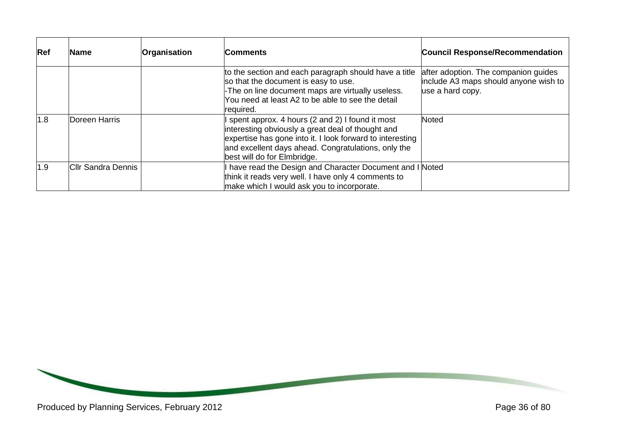| <b>Ref</b> | <b>Name</b>               | Organisation | <b>Comments</b>                                                                                                                                                                                                                                         | <b>Council Response/Recommendation</b>                                                            |
|------------|---------------------------|--------------|---------------------------------------------------------------------------------------------------------------------------------------------------------------------------------------------------------------------------------------------------------|---------------------------------------------------------------------------------------------------|
|            |                           |              | to the section and each paragraph should have a title<br>so that the document is easy to use.<br>-The on line document maps are virtually useless.<br>You need at least A2 to be able to see the detail<br>required.                                    | after adoption. The companion guides<br>include A3 maps should anyone wish to<br>use a hard copy. |
| 1.8        | Doreen Harris             |              | spent approx. 4 hours (2 and 2) I found it most<br>interesting obviously a great deal of thought and<br>expertise has gone into it. I look forward to interesting<br>and excellent days ahead. Congratulations, only the<br>best will do for Elmbridge. | <b>Noted</b>                                                                                      |
| 1.9        | <b>Cllr Sandra Dennis</b> |              | have read the Design and Character Document and I Noted<br>think it reads very well. I have only 4 comments to<br>make which I would ask you to incorporate.                                                                                            |                                                                                                   |

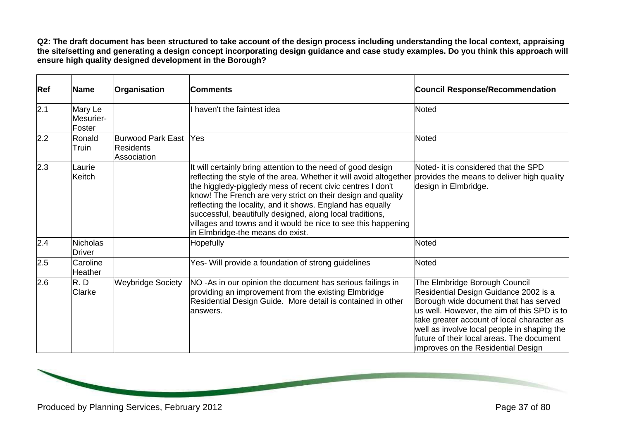**Q2: The draft document has been structured to take account of the design process including understanding the local context, appraising the site/setting and generating a design concept incorporating design guidance and case study examples. Do you think this approach will ensure high quality designed development in the Borough?**

| Ref | Name                             | Organisation                                         | <b>Comments</b>                                                                                                                                                                                                                                                                                                                                                                                                                                                                                  | <b>Council Response/Recommendation</b>                                                                                                                                                                                                                                                                                                         |
|-----|----------------------------------|------------------------------------------------------|--------------------------------------------------------------------------------------------------------------------------------------------------------------------------------------------------------------------------------------------------------------------------------------------------------------------------------------------------------------------------------------------------------------------------------------------------------------------------------------------------|------------------------------------------------------------------------------------------------------------------------------------------------------------------------------------------------------------------------------------------------------------------------------------------------------------------------------------------------|
| 2.1 | Mary Le<br>Mesurier-<br>Foster   |                                                      | haven't the faintest idea                                                                                                                                                                                                                                                                                                                                                                                                                                                                        | <b>Noted</b>                                                                                                                                                                                                                                                                                                                                   |
| 2.2 | Ronald<br><b>Truin</b>           | Burwood Park East<br><b>Residents</b><br>Association | <b>Yes</b>                                                                                                                                                                                                                                                                                                                                                                                                                                                                                       | <b>Noted</b>                                                                                                                                                                                                                                                                                                                                   |
| 2.3 | Laurie<br>Keitch                 |                                                      | It will certainly bring attention to the need of good design<br>reflecting the style of the area. Whether it will avoid altogether<br>the higgledy-piggledy mess of recent civic centres I don't<br>know! The French are very strict on their design and quality<br>reflecting the locality, and it shows. England has equally<br>successful, beautifully designed, along local traditions,<br>villages and towns and it would be nice to see this happening<br>in Elmbridge-the means do exist. | Noted- it is considered that the SPD<br>provides the means to deliver high quality<br>design in Elmbridge.                                                                                                                                                                                                                                     |
| 2.4 | <b>Nicholas</b><br><b>Driver</b> |                                                      | Hopefully                                                                                                                                                                                                                                                                                                                                                                                                                                                                                        | Noted                                                                                                                                                                                                                                                                                                                                          |
| 2.5 | Caroline<br><b>Heather</b>       |                                                      | Yes- Will provide a foundation of strong guidelines                                                                                                                                                                                                                                                                                                                                                                                                                                              | <b>Noted</b>                                                                                                                                                                                                                                                                                                                                   |
| 2.6 | R.D<br><b>Clarke</b>             | <b>Weybridge Society</b>                             | NO -As in our opinion the document has serious failings in<br>providing an improvement from the existing Elmbridge<br>Residential Design Guide. More detail is contained in other<br>answers.                                                                                                                                                                                                                                                                                                    | The Elmbridge Borough Council<br>Residential Design Guidance 2002 is a<br>Borough wide document that has served<br>us well. However, the aim of this SPD is to<br>take greater account of local character as<br>well as involve local people in shaping the<br>future of their local areas. The document<br>improves on the Residential Design |



Produced by Planning Services, February 2012 **Produced by Planning Services**, February 2012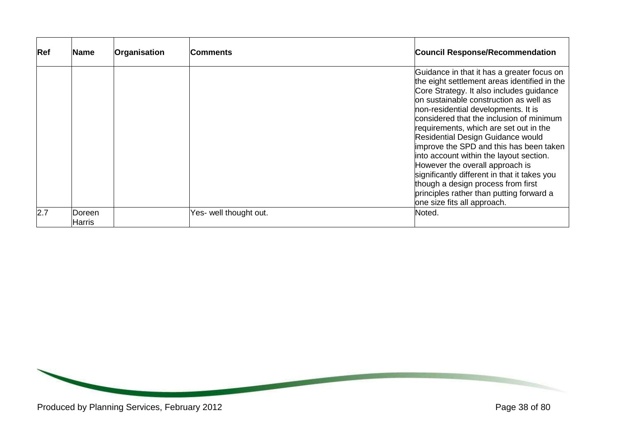| Ref | Name             | Organisation | <b>Comments</b>        | <b>Council Response/Recommendation</b>                                                                                                                                                                                                                                                                                                                                                                                                                                                                                                                                                                                                       |
|-----|------------------|--------------|------------------------|----------------------------------------------------------------------------------------------------------------------------------------------------------------------------------------------------------------------------------------------------------------------------------------------------------------------------------------------------------------------------------------------------------------------------------------------------------------------------------------------------------------------------------------------------------------------------------------------------------------------------------------------|
|     |                  |              |                        | Guidance in that it has a greater focus on<br>the eight settlement areas identified in the<br>Core Strategy. It also includes guidance<br>on sustainable construction as well as<br>non-residential developments. It is<br>considered that the inclusion of minimum<br>requirements, which are set out in the<br>Residential Design Guidance would<br>improve the SPD and this has been taken<br>into account within the layout section.<br>However the overall approach is<br>significantly different in that it takes you<br>though a design process from first<br>principles rather than putting forward a<br>one size fits all approach. |
| 2.7 | Doreen<br>Harris |              | Yes- well thought out. | Noted.                                                                                                                                                                                                                                                                                                                                                                                                                                                                                                                                                                                                                                       |

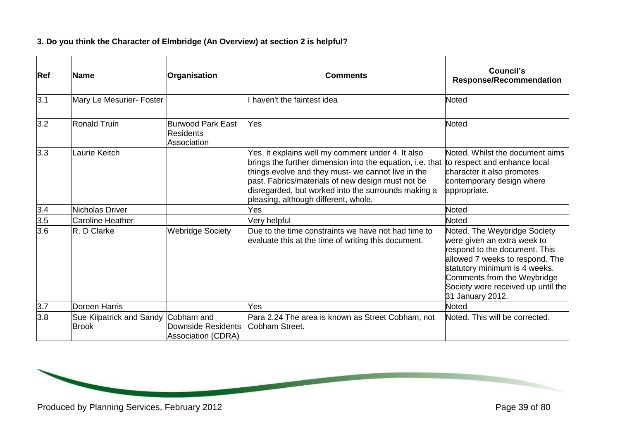## **3. Do you think the Character of Elmbridge (An Overview) at section 2 is helpful?**

| <b>Ref</b> | <b>Name</b>                              | Organisation                                                         | <b>Comments</b>                                                                                                                                                                                                                                                                                                          | <b>Council's</b><br><b>Response/Recommendation</b>                                                                                                                                                                                                        |
|------------|------------------------------------------|----------------------------------------------------------------------|--------------------------------------------------------------------------------------------------------------------------------------------------------------------------------------------------------------------------------------------------------------------------------------------------------------------------|-----------------------------------------------------------------------------------------------------------------------------------------------------------------------------------------------------------------------------------------------------------|
| 3.1        | Mary Le Mesurier- Foster                 |                                                                      | I haven't the faintest idea                                                                                                                                                                                                                                                                                              | Noted                                                                                                                                                                                                                                                     |
| 3.2        | <b>Ronald Truin</b>                      | <b>Burwood Park East</b><br><b>Residents</b><br>Association          | Yes                                                                                                                                                                                                                                                                                                                      | Noted                                                                                                                                                                                                                                                     |
| 3.3        | Laurie Keitch                            |                                                                      | Yes, it explains well my comment under 4. It also<br>brings the further dimension into the equation, i.e. that<br>things evolve and they must- we cannot live in the<br>past. Fabrics/materials of new design must not be<br>disregarded, but worked into the surrounds making a<br>pleasing, although different, whole. | Noted. Whilst the document aims<br>to respect and enhance local<br>character it also promotes<br>contemporary design where<br>appropriate.                                                                                                                |
| 3.4        | Nicholas Driver                          |                                                                      | Yes                                                                                                                                                                                                                                                                                                                      | Noted                                                                                                                                                                                                                                                     |
| 3.5        | Caroline Heather                         |                                                                      | Very helpful                                                                                                                                                                                                                                                                                                             | <b>Noted</b>                                                                                                                                                                                                                                              |
| 3.6        | R. D Clarke                              | <b>Webridge Society</b>                                              | Due to the time constraints we have not had time to<br>evaluate this at the time of writing this document.                                                                                                                                                                                                               | Noted. The Weybridge Society<br>were given an extra week to<br>respond to the document. This<br>allowed 7 weeks to respond. The<br>statutory minimum is 4 weeks.<br>Comments from the Weybridge<br>Society were received up until the<br>31 January 2012. |
| 3.7        | Doreen Harris                            |                                                                      | Yes                                                                                                                                                                                                                                                                                                                      | Noted                                                                                                                                                                                                                                                     |
| 3.8        | Sue Kilpatrick and Sandy<br><b>Brook</b> | Cobham and<br><b>Downside Residents</b><br><b>Association (CDRA)</b> | Para 2.24 The area is known as Street Cobham, not<br>Cobham Street.                                                                                                                                                                                                                                                      | Noted. This will be corrected.                                                                                                                                                                                                                            |

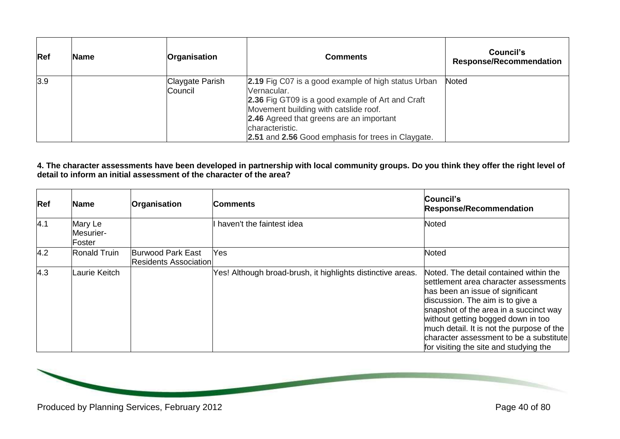| Ref | Name | Organisation               | <b>Comments</b>                                                                                                                                                                                                                                                                             | Council's<br><b>Response/Recommendation</b> |
|-----|------|----------------------------|---------------------------------------------------------------------------------------------------------------------------------------------------------------------------------------------------------------------------------------------------------------------------------------------|---------------------------------------------|
| 3.9 |      | Claygate Parish<br>Council | <b>2.19</b> Fig C07 is a good example of high status Urban<br>Vernacular.<br>2.36 Fig GT09 is a good example of Art and Craft<br>Movement building with catslide roof.<br>2.46 Agreed that greens are an important<br>characteristic.<br>2.51 and 2.56 Good emphasis for trees in Claygate. | <b>Noted</b>                                |

#### **4. The character assessments have been developed in partnership with local community groups. Do you think they offer the right level of detail to inform an initial assessment of the character of the area?**

| Ref               | <b>Name</b>                    | Organisation                                      | <b>Comments</b>                                             | Council's<br><b>Response/Recommendation</b>                                                                                                                                                                                                                                                                                                                               |
|-------------------|--------------------------------|---------------------------------------------------|-------------------------------------------------------------|---------------------------------------------------------------------------------------------------------------------------------------------------------------------------------------------------------------------------------------------------------------------------------------------------------------------------------------------------------------------------|
| $\vert 4.1 \vert$ | Mary Le<br>Mesurier-<br>Foster |                                                   | I haven't the faintest idea                                 | <b>Noted</b>                                                                                                                                                                                                                                                                                                                                                              |
| 4.2               | Ronald Truin                   | Burwood Park East<br><b>Residents Association</b> | Yes                                                         | Noted                                                                                                                                                                                                                                                                                                                                                                     |
| 4.3               | Laurie Keitch                  |                                                   | Yes! Although broad-brush, it highlights distinctive areas. | Noted. The detail contained within the<br>settlement area character assessments<br>has been an issue of significant<br>discussion. The aim is to give a<br>snapshot of the area in a succinct way<br>without getting bogged down in too<br>much detail. It is not the purpose of the<br>character assessment to be a substitute<br>for visiting the site and studying the |

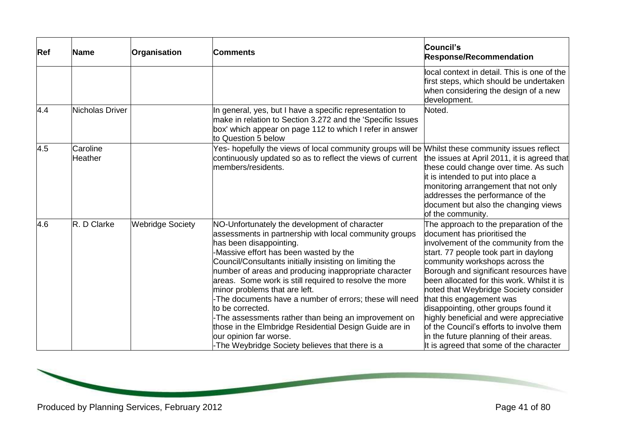| <b>Ref</b> | <b>Name</b>                | Organisation            | <b>Comments</b>                                                                                                                                                                                                                                                                                                                                                                                                                                                                                                                                                                                                                                                           | Council's<br><b>Response/Recommendation</b>                                                                                                                                                                                                                                                                                                                                                                                                                                                                                                                                 |
|------------|----------------------------|-------------------------|---------------------------------------------------------------------------------------------------------------------------------------------------------------------------------------------------------------------------------------------------------------------------------------------------------------------------------------------------------------------------------------------------------------------------------------------------------------------------------------------------------------------------------------------------------------------------------------------------------------------------------------------------------------------------|-----------------------------------------------------------------------------------------------------------------------------------------------------------------------------------------------------------------------------------------------------------------------------------------------------------------------------------------------------------------------------------------------------------------------------------------------------------------------------------------------------------------------------------------------------------------------------|
|            |                            |                         |                                                                                                                                                                                                                                                                                                                                                                                                                                                                                                                                                                                                                                                                           | local context in detail. This is one of the<br>first steps, which should be undertaken<br>when considering the design of a new<br>development.                                                                                                                                                                                                                                                                                                                                                                                                                              |
| 4.4        | Nicholas Driver            |                         | In general, yes, but I have a specific representation to<br>make in relation to Section 3.272 and the 'Specific Issues<br>box' which appear on page 112 to which I refer in answer<br>to Question 5 below                                                                                                                                                                                                                                                                                                                                                                                                                                                                 | Noted.                                                                                                                                                                                                                                                                                                                                                                                                                                                                                                                                                                      |
| 4.5        | Caroline<br><b>Heather</b> |                         | Yes- hopefully the views of local community groups will be Whilst these community issues reflect<br>continuously updated so as to reflect the views of current<br>members/residents.                                                                                                                                                                                                                                                                                                                                                                                                                                                                                      | the issues at April 2011, it is agreed that<br>these could change over time. As such<br>it is intended to put into place a<br>monitoring arrangement that not only<br>addresses the performance of the<br>document but also the changing views<br>of the community.                                                                                                                                                                                                                                                                                                         |
| 4.6        | R. D Clarke                | <b>Webridge Society</b> | NO-Unfortunately the development of character<br>assessments in partnership with local community groups<br>has been disappointing.<br>-Massive effort has been wasted by the<br>Council/Consultants initially insisting on limiting the<br>number of areas and producing inappropriate character<br>areas. Some work is still required to resolve the more<br>minor problems that are left.<br>-The documents have a number of errors; these will need<br>to be corrected.<br>-The assessments rather than being an improvement on<br>those in the Elmbridge Residential Design Guide are in<br>our opinion far worse.<br>-The Weybridge Society believes that there is a | The approach to the preparation of the<br>document has prioritised the<br>involvement of the community from the<br>start. 77 people took part in daylong<br>community workshops across the<br>Borough and significant resources have<br>been allocated for this work. Whilst it is<br>noted that Weybridge Society consider<br>that this engagement was<br>disappointing, other groups found it<br>highly beneficial and were appreciative<br>of the Council's efforts to involve them<br>in the future planning of their areas.<br>It is agreed that some of the character |

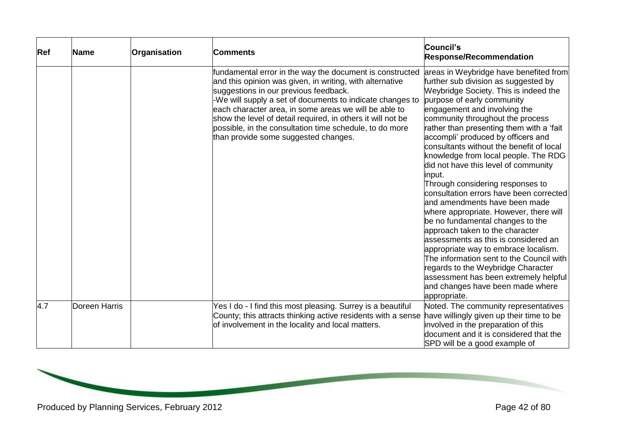| Ref | Name          | <b>Organisation</b> | <b>Comments</b>                                                                                                                                                                                                                                                                                                                                                                                                                                       | Council's<br><b>Response/Recommendation</b>                                                                                                                                                                                                                                                                                                                                                                                                                                                                                                                                                                                                                                                                                                                                                                                                                                                                                                       |
|-----|---------------|---------------------|-------------------------------------------------------------------------------------------------------------------------------------------------------------------------------------------------------------------------------------------------------------------------------------------------------------------------------------------------------------------------------------------------------------------------------------------------------|---------------------------------------------------------------------------------------------------------------------------------------------------------------------------------------------------------------------------------------------------------------------------------------------------------------------------------------------------------------------------------------------------------------------------------------------------------------------------------------------------------------------------------------------------------------------------------------------------------------------------------------------------------------------------------------------------------------------------------------------------------------------------------------------------------------------------------------------------------------------------------------------------------------------------------------------------|
|     |               |                     | fundamental error in the way the document is constructed<br>and this opinion was given, in writing, with alternative<br>suggestions in our previous feedback.<br>-We will supply a set of documents to indicate changes to<br>each character area, in some areas we will be able to<br>show the level of detail required, in others it will not be<br>possible, in the consultation time schedule, to do more<br>than provide some suggested changes. | areas in Weybridge have benefited from<br>further sub division as suggested by<br>Weybridge Society. This is indeed the<br>purpose of early community<br>engagement and involving the<br>community throughout the process<br>rather than presenting them with a 'fait<br>accompli' produced by officers and<br>consultants without the benefit of local<br>knowledge from local people. The RDG<br>did not have this level of community<br>input.<br>Through considering responses to<br>consultation errors have been corrected<br>and amendments have been made<br>where appropriate. However, there will<br>be no fundamental changes to the<br>approach taken to the character<br>assessments as this is considered an<br>appropriate way to embrace localism.<br>The information sent to the Council with<br>regards to the Weybridge Character<br>assessment has been extremely helpful<br>and changes have been made where<br>appropriate. |
| 4.7 | Doreen Harris |                     | Yes I do - I find this most pleasing. Surrey is a beautiful<br>County; this attracts thinking active residents with a sense<br>of involvement in the locality and local matters.                                                                                                                                                                                                                                                                      | Noted. The community representatives<br>have willingly given up their time to be<br>involved in the preparation of this<br>document and it is considered that the<br>SPD will be a good example of                                                                                                                                                                                                                                                                                                                                                                                                                                                                                                                                                                                                                                                                                                                                                |

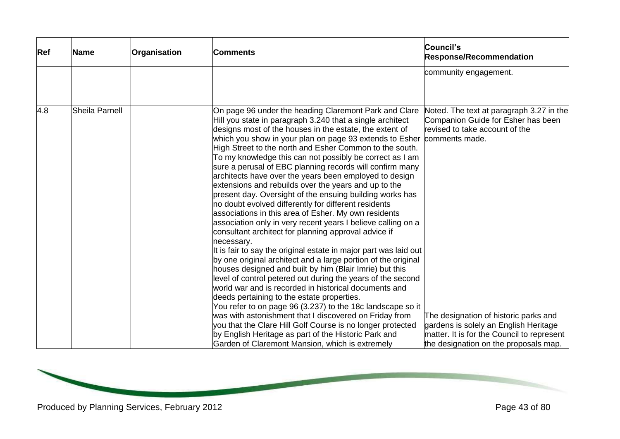| Ref | Name           | Organisation | <b>Comments</b>                                                                                                      | <b>Council's</b><br><b>Response/Recommendation</b> |
|-----|----------------|--------------|----------------------------------------------------------------------------------------------------------------------|----------------------------------------------------|
|     |                |              |                                                                                                                      | community engagement.                              |
|     |                |              |                                                                                                                      |                                                    |
|     |                |              |                                                                                                                      |                                                    |
|     |                |              |                                                                                                                      |                                                    |
| 4.8 | Sheila Parnell |              | On page 96 under the heading Claremont Park and Clare                                                                | Noted. The text at paragraph 3.27 in the           |
|     |                |              | Hill you state in paragraph 3.240 that a single architect                                                            | Companion Guide for Esher has been                 |
|     |                |              | designs most of the houses in the estate, the extent of                                                              | revised to take account of the                     |
|     |                |              | which you show in your plan on page 93 extends to Esher                                                              | comments made.                                     |
|     |                |              | High Street to the north and Esher Common to the south.                                                              |                                                    |
|     |                |              | To my knowledge this can not possibly be correct as I am                                                             |                                                    |
|     |                |              | sure a perusal of EBC planning records will confirm many                                                             |                                                    |
|     |                |              | architects have over the years been employed to design                                                               |                                                    |
|     |                |              | extensions and rebuilds over the years and up to the                                                                 |                                                    |
|     |                |              | present day. Oversight of the ensuing building works has                                                             |                                                    |
|     |                |              | no doubt evolved differently for different residents                                                                 |                                                    |
|     |                |              | associations in this area of Esher. My own residents<br>association only in very recent years I believe calling on a |                                                    |
|     |                |              |                                                                                                                      |                                                    |
|     |                |              | consultant architect for planning approval advice if<br>necessary.                                                   |                                                    |
|     |                |              | It is fair to say the original estate in major part was laid out                                                     |                                                    |
|     |                |              | by one original architect and a large portion of the original                                                        |                                                    |
|     |                |              | houses designed and built by him (Blair Imrie) but this                                                              |                                                    |
|     |                |              | level of control petered out during the years of the second                                                          |                                                    |
|     |                |              | world war and is recorded in historical documents and                                                                |                                                    |
|     |                |              | deeds pertaining to the estate properties.                                                                           |                                                    |
|     |                |              | You refer to on page 96 (3.237) to the 18c landscape so it                                                           |                                                    |
|     |                |              | was with astonishment that I discovered on Friday from                                                               | The designation of historic parks and              |
|     |                |              | you that the Clare Hill Golf Course is no longer protected                                                           | gardens is solely an English Heritage              |
|     |                |              | by English Heritage as part of the Historic Park and                                                                 | matter. It is for the Council to represent         |
|     |                |              | Garden of Claremont Mansion, which is extremely                                                                      | the designation on the proposals map.              |

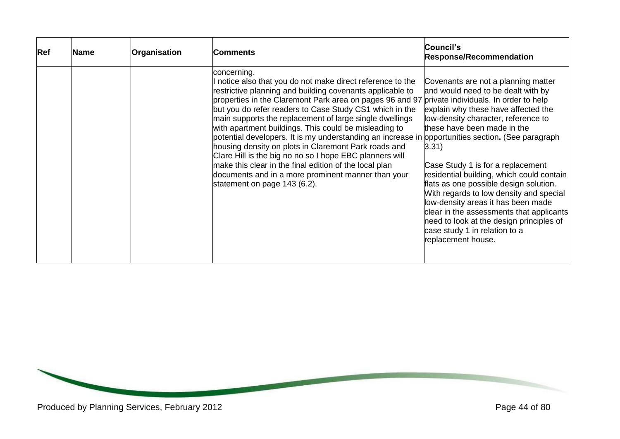| <b>Ref</b> | <b>Name</b> | Organisation | <b>Comments</b>                                                                                                                                                                                                                                                                                                                                                                                                                                                                                                                                                                                                                                                                                                                                                                                 | Council's<br><b>Response/Recommendation</b>                                                                                                                                                                                                                                                                                                                                                                                                                                                                                                                 |
|------------|-------------|--------------|-------------------------------------------------------------------------------------------------------------------------------------------------------------------------------------------------------------------------------------------------------------------------------------------------------------------------------------------------------------------------------------------------------------------------------------------------------------------------------------------------------------------------------------------------------------------------------------------------------------------------------------------------------------------------------------------------------------------------------------------------------------------------------------------------|-------------------------------------------------------------------------------------------------------------------------------------------------------------------------------------------------------------------------------------------------------------------------------------------------------------------------------------------------------------------------------------------------------------------------------------------------------------------------------------------------------------------------------------------------------------|
|            |             |              | concerning.<br>I notice also that you do not make direct reference to the<br>restrictive planning and building covenants applicable to<br>properties in the Claremont Park area on pages 96 and 97 private individuals. In order to help<br>but you do refer readers to Case Study CS1 which in the<br>main supports the replacement of large single dwellings<br>with apartment buildings. This could be misleading to<br>potential developers. It is my understanding an increase in opportunities section. (See paragraph<br>housing density on plots in Claremont Park roads and<br>Clare Hill is the big no no so I hope EBC planners will<br>make this clear in the final edition of the local plan<br>documents and in a more prominent manner than your<br>statement on page 143 (6.2). | Covenants are not a planning matter<br>and would need to be dealt with by<br>explain why these have affected the<br>low-density character, reference to<br>these have been made in the<br>3.31)<br>Case Study 1 is for a replacement<br>residential building, which could contain<br>flats as one possible design solution.<br>With regards to low density and special<br>low-density areas it has been made<br>clear in the assessments that applicants<br>need to look at the design principles of<br>case study 1 in relation to a<br>replacement house. |

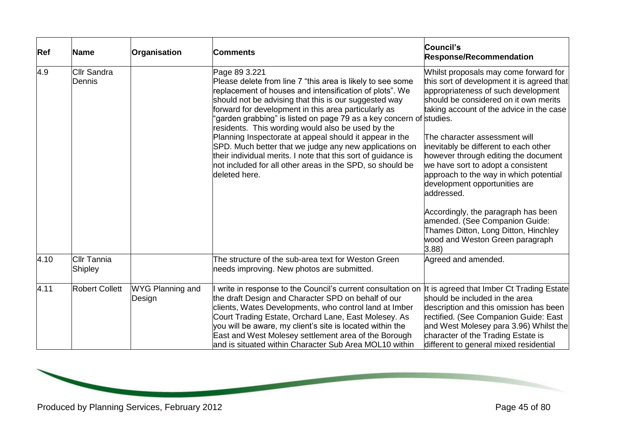| <b>Ref</b> | <b>Name</b>                   | <b>Organisation</b>               | <b>Comments</b>                                                                                                                                                                                                                                                                                                                                                                                                                                                                                                                                                                                                                                         | Council's<br>Response/Recommendation                                                                                                                                                                                                                                                                                                                                                                                                                                                                                                                                                                                         |
|------------|-------------------------------|-----------------------------------|---------------------------------------------------------------------------------------------------------------------------------------------------------------------------------------------------------------------------------------------------------------------------------------------------------------------------------------------------------------------------------------------------------------------------------------------------------------------------------------------------------------------------------------------------------------------------------------------------------------------------------------------------------|------------------------------------------------------------------------------------------------------------------------------------------------------------------------------------------------------------------------------------------------------------------------------------------------------------------------------------------------------------------------------------------------------------------------------------------------------------------------------------------------------------------------------------------------------------------------------------------------------------------------------|
| 4.9        | <b>Cllr Sandra</b><br>Dennis  |                                   | Page 89 3.221<br>Please delete from line 7 "this area is likely to see some<br>replacement of houses and intensification of plots". We<br>should not be advising that this is our suggested way<br>forward for development in this area particularly as<br>"garden grabbing" is listed on page 79 as a key concern of studies.<br>residents. This wording would also be used by the<br>Planning Inspectorate at appeal should it appear in the<br>SPD. Much better that we judge any new applications on<br>their individual merits. I note that this sort of guidance is<br>not included for all other areas in the SPD, so should be<br>deleted here. | Whilst proposals may come forward for<br>this sort of development it is agreed that<br>appropriateness of such development<br>should be considered on it own merits<br>taking account of the advice in the case<br>The character assessment will<br>inevitably be different to each other<br>however through editing the document<br>we have sort to adopt a consistent<br>approach to the way in which potential<br>development opportunities are<br>addressed.<br>Accordingly, the paragraph has been<br>amended. (See Companion Guide:<br>Thames Ditton, Long Ditton, Hinchley<br>wood and Weston Green paragraph<br>3.88 |
| 4.10       | <b>Cllr Tannia</b><br>Shipley |                                   | The structure of the sub-area text for Weston Green<br>needs improving. New photos are submitted.                                                                                                                                                                                                                                                                                                                                                                                                                                                                                                                                                       | Agreed and amended.                                                                                                                                                                                                                                                                                                                                                                                                                                                                                                                                                                                                          |
| 4.11       | <b>Robert Collett</b>         | <b>WYG Planning and</b><br>Design | write in response to the Council's current consultation on<br>the draft Design and Character SPD on behalf of our<br>clients, Wates Developments, who control land at Imber<br>Court Trading Estate, Orchard Lane, East Molesey. As<br>you will be aware, my client's site is located within the<br>East and West Molesey settlement area of the Borough<br>and is situated within Character Sub Area MOL10 within                                                                                                                                                                                                                                      | It is agreed that Imber Ct Trading Estate<br>should be included in the area<br>description and this omission has been<br>rectified. (See Companion Guide: East<br>and West Molesey para 3.96) Whilst the<br>character of the Trading Estate is<br>different to general mixed residential                                                                                                                                                                                                                                                                                                                                     |

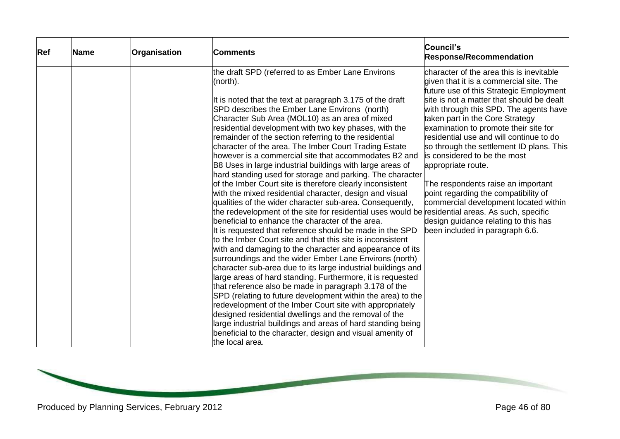| <b>Ref</b><br>Name | Organisation | <b>Comments</b>                                                                                                                                                                                                                                                                                                                                                                                                                                                                                                                                                                                                                                                                                                                                                                                                                                                                                                                                                                                                                                                                                                                                                                                                                                                                                                                                                                                                                                                                                                                                                                                                                                                                                                   | Council's<br><b>Response/Recommendation</b>                                                                                                                                                                                                                                                                                                                                                                                                                                                                                                                                                                                                       |
|--------------------|--------------|-------------------------------------------------------------------------------------------------------------------------------------------------------------------------------------------------------------------------------------------------------------------------------------------------------------------------------------------------------------------------------------------------------------------------------------------------------------------------------------------------------------------------------------------------------------------------------------------------------------------------------------------------------------------------------------------------------------------------------------------------------------------------------------------------------------------------------------------------------------------------------------------------------------------------------------------------------------------------------------------------------------------------------------------------------------------------------------------------------------------------------------------------------------------------------------------------------------------------------------------------------------------------------------------------------------------------------------------------------------------------------------------------------------------------------------------------------------------------------------------------------------------------------------------------------------------------------------------------------------------------------------------------------------------------------------------------------------------|---------------------------------------------------------------------------------------------------------------------------------------------------------------------------------------------------------------------------------------------------------------------------------------------------------------------------------------------------------------------------------------------------------------------------------------------------------------------------------------------------------------------------------------------------------------------------------------------------------------------------------------------------|
|                    |              | the draft SPD (referred to as Ember Lane Environs<br>(north).<br>It is noted that the text at paragraph 3.175 of the draft<br>SPD describes the Ember Lane Environs (north)<br>Character Sub Area (MOL10) as an area of mixed<br>residential development with two key phases, with the<br>remainder of the section referring to the residential<br>character of the area. The Imber Court Trading Estate<br>however is a commercial site that accommodates B2 and<br>B8 Uses in large industrial buildings with large areas of<br>hard standing used for storage and parking. The character<br>of the Imber Court site is therefore clearly inconsistent<br>with the mixed residential character, design and visual<br>qualities of the wider character sub-area. Consequently,<br>the redevelopment of the site for residential uses would be residential areas. As such, specific<br>beneficial to enhance the character of the area.<br>It is requested that reference should be made in the SPD<br>to the Imber Court site and that this site is inconsistent<br>with and damaging to the character and appearance of its<br>surroundings and the wider Ember Lane Environs (north)<br>character sub-area due to its large industrial buildings and<br>large areas of hard standing. Furthermore, it is requested<br>that reference also be made in paragraph 3.178 of the<br>SPD (relating to future development within the area) to the<br>redevelopment of the Imber Court site with appropriately<br>designed residential dwellings and the removal of the<br>large industrial buildings and areas of hard standing being<br>beneficial to the character, design and visual amenity of<br>the local area. | character of the area this is inevitable<br>given that it is a commercial site. The<br>future use of this Strategic Employment<br>site is not a matter that should be dealt<br>with through this SPD. The agents have<br>taken part in the Core Strategy<br>examination to promote their site for<br>residential use and will continue to do<br>so through the settlement ID plans. This<br>lis considered to be the most<br>appropriate route.<br>The respondents raise an important<br>point regarding the compatibility of<br>commercial development located within<br>design guidance relating to this has<br>been included in paragraph 6.6. |

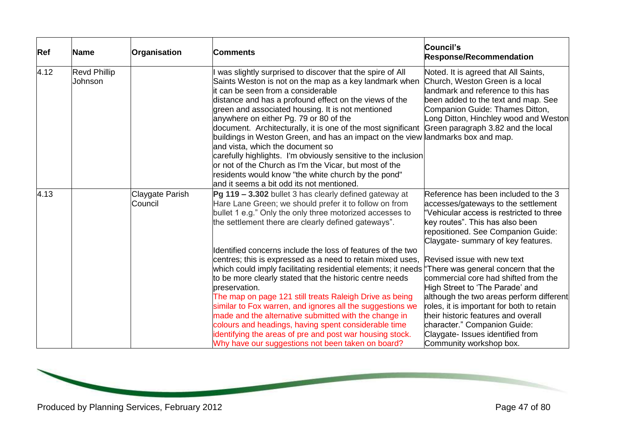| Ref  | Name                           | <b>Organisation</b>        | <b>Comments</b>                                                                                                                                                                                                                                                                                                                                                                                                                                                                                                                                                                                                                                                                                                                                                              | Council's<br><b>Response/Recommendation</b>                                                                                                                                                                                                                                                                                                                                 |
|------|--------------------------------|----------------------------|------------------------------------------------------------------------------------------------------------------------------------------------------------------------------------------------------------------------------------------------------------------------------------------------------------------------------------------------------------------------------------------------------------------------------------------------------------------------------------------------------------------------------------------------------------------------------------------------------------------------------------------------------------------------------------------------------------------------------------------------------------------------------|-----------------------------------------------------------------------------------------------------------------------------------------------------------------------------------------------------------------------------------------------------------------------------------------------------------------------------------------------------------------------------|
| 4.12 | <b>Revd Phillip</b><br>Johnson |                            | was slightly surprised to discover that the spire of All<br>Saints Weston is not on the map as a key landmark when<br>lit can be seen from a considerable<br>distance and has a profound effect on the views of the<br>green and associated housing. It is not mentioned<br>anywhere on either Pg. 79 or 80 of the<br>document. Architecturally, it is one of the most significant Green paragraph 3.82 and the local<br>buildings in Weston Green, and has an impact on the view landmarks box and map.<br>and vista, which the document so<br>carefully highlights. I'm obviously sensitive to the inclusion<br>or not of the Church as I'm the Vicar, but most of the<br>residents would know "the white church by the pond"<br>and it seems a bit odd its not mentioned. | Noted. It is agreed that All Saints,<br>Church, Weston Green is a local<br>landmark and reference to this has<br>been added to the text and map. See<br>Companion Guide: Thames Ditton,<br>Long Ditton, Hinchley wood and Weston                                                                                                                                            |
| 4.13 |                                | Claygate Parish<br>Council | Pg 119 - 3.302 bullet 3 has clearly defined gateway at<br>Hare Lane Green; we should prefer it to follow on from<br>bullet 1 e.g." Only the only three motorized accesses to<br>the settlement there are clearly defined gateways".                                                                                                                                                                                                                                                                                                                                                                                                                                                                                                                                          | Reference has been included to the 3<br>accesses/gateways to the settlement<br>'Vehicular access is restricted to three<br>key routes". This has also been<br>repositioned. See Companion Guide:<br>Claygate- summary of key features.                                                                                                                                      |
|      |                                |                            | Identified concerns include the loss of features of the two<br>centres; this is expressed as a need to retain mixed uses,<br>which could imply facilitating residential elements; it needs<br>to be more clearly stated that the historic centre needs<br>preservation.<br>The map on page 121 still treats Raleigh Drive as being<br>similar to Fox warren, and ignores all the suggestions we<br>made and the alternative submitted with the change in<br>colours and headings, having spent considerable time<br>identifying the areas of pre and post war housing stock.<br>Why have our suggestions not been taken on board?                                                                                                                                            | Revised issue with new text<br>There was general concern that the<br>commercial core had shifted from the<br>High Street to 'The Parade' and<br>although the two areas perform different<br>roles, it is important for both to retain<br>their historic features and overall<br>character." Companion Guide:<br>Claygate- Issues identified from<br>Community workshop box. |

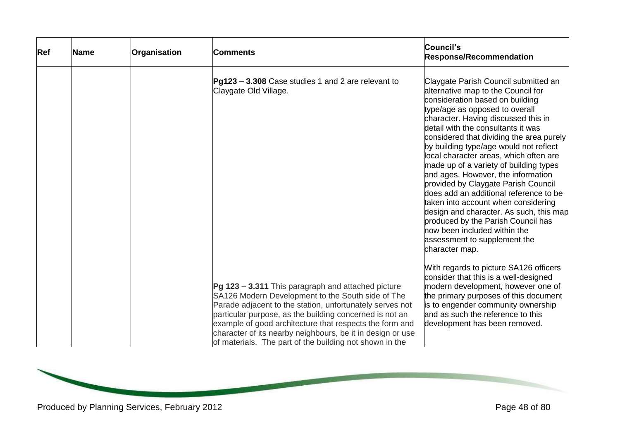| Ref | <b>Name</b> | Organisation | <b>Comments</b>                                                                                                                                                                                                                                                                                                                                                                                                    | Council's<br><b>Response/Recommendation</b>                                                                                                                                                                                                                                                                                                                                                                                                                                                                                                                                                                                                                                                                                             |
|-----|-------------|--------------|--------------------------------------------------------------------------------------------------------------------------------------------------------------------------------------------------------------------------------------------------------------------------------------------------------------------------------------------------------------------------------------------------------------------|-----------------------------------------------------------------------------------------------------------------------------------------------------------------------------------------------------------------------------------------------------------------------------------------------------------------------------------------------------------------------------------------------------------------------------------------------------------------------------------------------------------------------------------------------------------------------------------------------------------------------------------------------------------------------------------------------------------------------------------------|
|     |             |              | $Pg123 - 3.308$ Case studies 1 and 2 are relevant to<br>Claygate Old Village.                                                                                                                                                                                                                                                                                                                                      | Claygate Parish Council submitted an<br>alternative map to the Council for<br>consideration based on building<br>type/age as opposed to overall<br>character. Having discussed this in<br>detail with the consultants it was<br>considered that dividing the area purely<br>by building type/age would not reflect<br>local character areas, which often are<br>made up of a variety of building types<br>and ages. However, the information<br>provided by Claygate Parish Council<br>does add an additional reference to be<br>taken into account when considering<br>design and character. As such, this map<br>produced by the Parish Council has<br>now been included within the<br>assessment to supplement the<br>character map. |
|     |             |              | Pg 123 - 3.311 This paragraph and attached picture<br>SA126 Modern Development to the South side of The<br>Parade adjacent to the station, unfortunately serves not<br>particular purpose, as the building concerned is not an<br>example of good architecture that respects the form and<br>character of its nearby neighbours, be it in design or use<br>of materials. The part of the building not shown in the | With regards to picture SA126 officers<br>consider that this is a well-designed<br>modern development, however one of<br>the primary purposes of this document<br>is to engender community ownership<br>and as such the reference to this<br>development has been removed.                                                                                                                                                                                                                                                                                                                                                                                                                                                              |

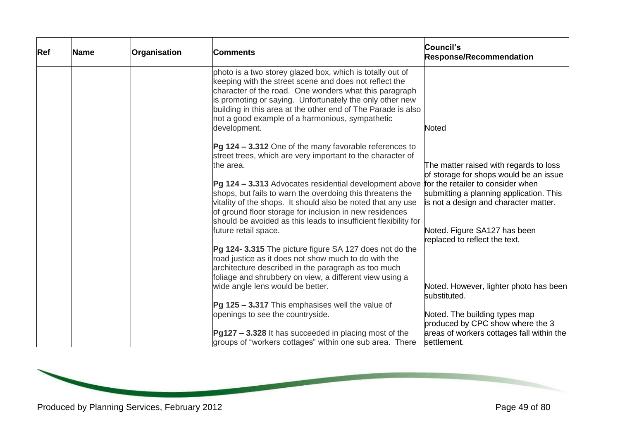| Ref | <b>Name</b> | Organisation<br><b>Comments</b> |                                                                                                                                                                                                                                                                                                                                                                              | Council's<br><b>Response/Recommendation</b>                                                                           |
|-----|-------------|---------------------------------|------------------------------------------------------------------------------------------------------------------------------------------------------------------------------------------------------------------------------------------------------------------------------------------------------------------------------------------------------------------------------|-----------------------------------------------------------------------------------------------------------------------|
|     |             |                                 | photo is a two storey glazed box, which is totally out of<br>keeping with the street scene and does not reflect the<br>character of the road. One wonders what this paragraph<br>is promoting or saying. Unfortunately the only other new<br>building in this area at the other end of The Parade is also<br>not a good example of a harmonious, sympathetic<br>development. | <b>Noted</b>                                                                                                          |
|     |             |                                 | <b>Pg 124 – 3.312</b> One of the many favorable references to<br>street trees, which are very important to the character of<br>the area.                                                                                                                                                                                                                                     | The matter raised with regards to loss<br>of storage for shops would be an issue                                      |
|     |             |                                 | Pg 124 - 3.313 Advocates residential development above<br>shops, but fails to warn the overdoing this threatens the<br>vitality of the shops. It should also be noted that any use<br>of ground floor storage for inclusion in new residences<br>should be avoided as this leads to insufficient flexibility for                                                             | for the retailer to consider when<br>submitting a planning application. This<br>is not a design and character matter. |
|     |             |                                 | future retail space.                                                                                                                                                                                                                                                                                                                                                         | Noted. Figure SA127 has been<br>replaced to reflect the text.                                                         |
|     |             |                                 | Pg 124-3.315 The picture figure SA 127 does not do the<br>road justice as it does not show much to do with the<br>architecture described in the paragraph as too much<br>foliage and shrubbery on view, a different view using a                                                                                                                                             |                                                                                                                       |
|     |             |                                 | wide angle lens would be better.                                                                                                                                                                                                                                                                                                                                             | Noted. However, lighter photo has been<br>substituted.                                                                |
|     |             |                                 | $Pg$ 125 – 3.317 This emphasises well the value of<br>openings to see the countryside.                                                                                                                                                                                                                                                                                       | Noted. The building types map                                                                                         |
|     |             |                                 |                                                                                                                                                                                                                                                                                                                                                                              | produced by CPC show where the 3                                                                                      |
|     |             |                                 | Pg127 - 3.328 It has succeeded in placing most of the<br>groups of "workers cottages" within one sub area. There                                                                                                                                                                                                                                                             | areas of workers cottages fall within the<br>settlement.                                                              |

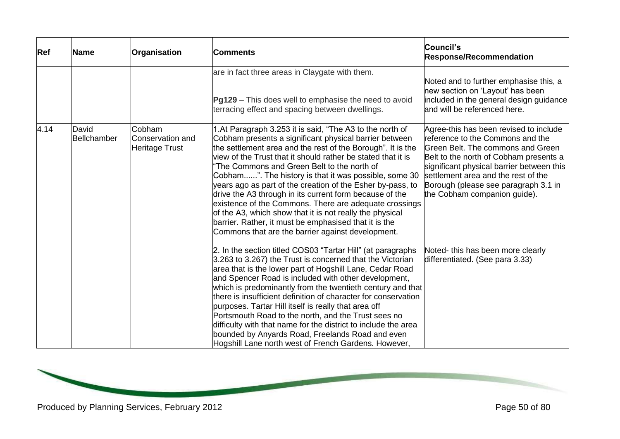| Ref  | <b>Name</b><br>Organisation |                                              | <b>Comments</b>                                                                                                                                                                                                                                                                                                                                                                                                                                                                                                                                                                                                                                                                                                       | Council's<br><b>Response/Recommendation</b>                                                                                                                                                                                                                                                                           |
|------|-----------------------------|----------------------------------------------|-----------------------------------------------------------------------------------------------------------------------------------------------------------------------------------------------------------------------------------------------------------------------------------------------------------------------------------------------------------------------------------------------------------------------------------------------------------------------------------------------------------------------------------------------------------------------------------------------------------------------------------------------------------------------------------------------------------------------|-----------------------------------------------------------------------------------------------------------------------------------------------------------------------------------------------------------------------------------------------------------------------------------------------------------------------|
|      |                             |                                              | are in fact three areas in Claygate with them.<br>Pg129 - This does well to emphasise the need to avoid<br>terracing effect and spacing between dwellings.                                                                                                                                                                                                                                                                                                                                                                                                                                                                                                                                                            | Noted and to further emphasise this, a<br>new section on 'Layout' has been<br>included in the general design guidance<br>and will be referenced here.                                                                                                                                                                 |
| 4.14 | David<br>Bellchamber        | Cobham<br>Conservation and<br>Heritage Trust | 1.At Paragraph 3.253 it is said, "The A3 to the north of<br>Cobham presents a significant physical barrier between<br>the settlement area and the rest of the Borough". It is the<br>view of the Trust that it should rather be stated that it is<br>The Commons and Green Belt to the north of<br>Cobham". The history is that it was possible, some 30<br>years ago as part of the creation of the Esher by-pass, to<br>drive the A3 through in its current form because of the<br>existence of the Commons. There are adequate crossings<br>of the A3, which show that it is not really the physical<br>barrier. Rather, it must be emphasised that it is the<br>Commons that are the barrier against development. | Agree-this has been revised to include<br>reference to the Commons and the<br>Green Belt. The commons and Green<br>Belt to the north of Cobham presents a<br>significant physical barrier between this<br>settlement area and the rest of the<br>Borough (please see paragraph 3.1 in<br>the Cobham companion guide). |
|      |                             |                                              | 2. In the section titled COS03 "Tartar Hill" (at paragraphs<br>3.263 to 3.267) the Trust is concerned that the Victorian<br>area that is the lower part of Hogshill Lane, Cedar Road<br>and Spencer Road is included with other development,<br>which is predominantly from the twentieth century and that<br>there is insufficient definition of character for conservation<br>purposes. Tartar Hill itself is really that area off<br>Portsmouth Road to the north, and the Trust sees no<br>difficulty with that name for the district to include the area<br>bounded by Anyards Road, Freelands Road and even<br>Hogshill Lane north west of French Gardens. However,                                             | Noted-this has been more clearly<br>differentiated. (See para 3.33)                                                                                                                                                                                                                                                   |

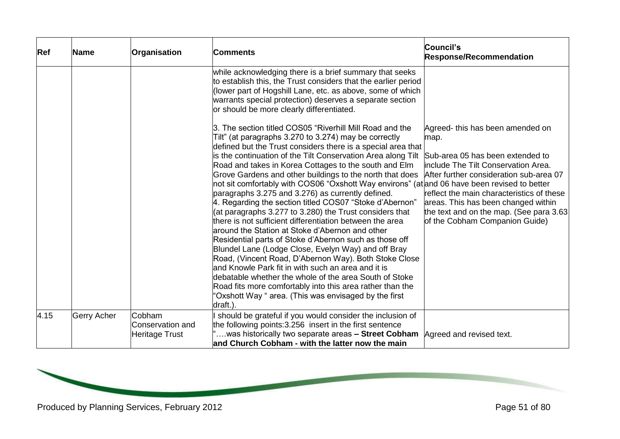| Ref  | Name        | Organisation                        | <b>Comments</b>                                                                                                                                                                                                                                                                                                                                                                                                                                                                                                                                                                                                                                                                                                                                                                                                                                                                                                                                                                                                                                                                                                                                                                               | Council's<br><b>Response/Recommendation</b>                                                                                                                                                                                                                                                                                     |
|------|-------------|-------------------------------------|-----------------------------------------------------------------------------------------------------------------------------------------------------------------------------------------------------------------------------------------------------------------------------------------------------------------------------------------------------------------------------------------------------------------------------------------------------------------------------------------------------------------------------------------------------------------------------------------------------------------------------------------------------------------------------------------------------------------------------------------------------------------------------------------------------------------------------------------------------------------------------------------------------------------------------------------------------------------------------------------------------------------------------------------------------------------------------------------------------------------------------------------------------------------------------------------------|---------------------------------------------------------------------------------------------------------------------------------------------------------------------------------------------------------------------------------------------------------------------------------------------------------------------------------|
|      |             |                                     | while acknowledging there is a brief summary that seeks<br>to establish this, the Trust considers that the earlier period<br>(lower part of Hogshill Lane, etc. as above, some of which<br>warrants special protection) deserves a separate section<br>or should be more clearly differentiated.                                                                                                                                                                                                                                                                                                                                                                                                                                                                                                                                                                                                                                                                                                                                                                                                                                                                                              |                                                                                                                                                                                                                                                                                                                                 |
|      |             |                                     | 3. The section titled COS05 "Riverhill Mill Road and the<br>Tilt" (at paragraphs 3.270 to 3.274) may be correctly<br>defined but the Trust considers there is a special area that<br>is the continuation of the Tilt Conservation Area along Tilt<br>Road and takes in Korea Cottages to the south and Elm<br>Grove Gardens and other buildings to the north that does<br>not sit comfortably with COS06 "Oxshott Way environs" (at and 06 have been revised to better<br>paragraphs 3.275 and 3.276) as currently defined.<br>4. Regarding the section titled COS07 "Stoke d'Abernon"<br>(at paragraphs 3.277 to 3.280) the Trust considers that<br>there is not sufficient differentiation between the area<br>around the Station at Stoke d'Abernon and other<br>Residential parts of Stoke d'Abernon such as those off<br>Blundel Lane (Lodge Close, Evelyn Way) and off Bray<br>Road, (Vincent Road, D'Abernon Way). Both Stoke Close<br>land Knowle Park fit in with such an area and it is<br>debatable whether the whole of the area South of Stoke<br>Road fits more comfortably into this area rather than the<br>"Oxshott Way " area. (This was envisaged by the first<br>draft.). | Agreed-this has been amended on<br>map.<br>Sub-area 05 has been extended to<br>linclude The Tilt Conservation Area.<br>After further consideration sub-area 07<br>reflect the main characteristics of these<br>areas. This has been changed within<br>the text and on the map. (See para 3.63<br>of the Cobham Companion Guide) |
| 4.15 | Gerry Acher | Cobham                              | I should be grateful if you would consider the inclusion of                                                                                                                                                                                                                                                                                                                                                                                                                                                                                                                                                                                                                                                                                                                                                                                                                                                                                                                                                                                                                                                                                                                                   |                                                                                                                                                                                                                                                                                                                                 |
|      |             | lConservation and<br>Heritage Trust | the following points: 3.256 insert in the first sentence<br>"was historically two separate areas - Street Cobham<br>and Church Cobham - with the latter now the main                                                                                                                                                                                                                                                                                                                                                                                                                                                                                                                                                                                                                                                                                                                                                                                                                                                                                                                                                                                                                          | Agreed and revised text.                                                                                                                                                                                                                                                                                                        |

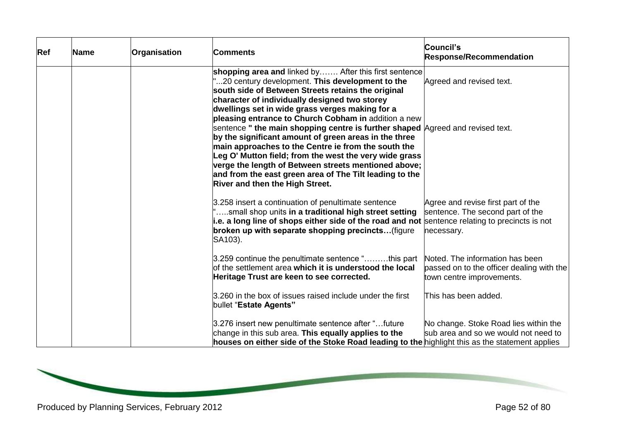| Ref | <b>Name</b> | Organisation | <b>Comments</b>                                                                                                                                                                                                                                                                                                                                                                                                       | Council's<br><b>Response/Recommendation</b>                                                               |
|-----|-------------|--------------|-----------------------------------------------------------------------------------------------------------------------------------------------------------------------------------------------------------------------------------------------------------------------------------------------------------------------------------------------------------------------------------------------------------------------|-----------------------------------------------------------------------------------------------------------|
|     |             |              | shopping area and linked by After this first sentence<br>20 century development. This development to the<br>south side of Between Streets retains the original<br>character of individually designed two storey<br>dwellings set in wide grass verges making for a<br>pleasing entrance to Church Cobham in addition a new                                                                                            | Agreed and revised text.                                                                                  |
|     |             |              | sentence " the main shopping centre is further shaped Agreed and revised text.<br>by the significant amount of green areas in the three<br>main approaches to the Centre ie from the south the<br>Leg O' Mutton field; from the west the very wide grass<br>verge the length of Between streets mentioned above;<br>and from the east green area of The Tilt leading to the<br><b>River and then the High Street.</b> |                                                                                                           |
|     |             |              | 3.258 insert a continuation of penultimate sentence<br>'small shop units in a traditional high street setting<br>i.e. a long line of shops either side of the road and not sentence relating to precincts is not<br>broken up with separate shopping precincts(figure<br>SA103).                                                                                                                                      | Agree and revise first part of the<br>sentence. The second part of the<br>necessary.                      |
|     |             |              | 3.259 continue the penultimate sentence "this part<br>of the settlement area which it is understood the local<br>Heritage Trust are keen to see corrected.                                                                                                                                                                                                                                                            | Noted. The information has been<br>passed on to the officer dealing with the<br>town centre improvements. |
|     |             |              | 3.260 in the box of issues raised include under the first<br>bullet "Estate Agents"                                                                                                                                                                                                                                                                                                                                   | This has been added.                                                                                      |
|     |             |              | 3.276 insert new penultimate sentence after "future<br>change in this sub area. This equally applies to the<br>houses on either side of the Stoke Road leading to the highlight this as the statement applies                                                                                                                                                                                                         | No change. Stoke Road lies within the<br>sub area and so we would not need to                             |

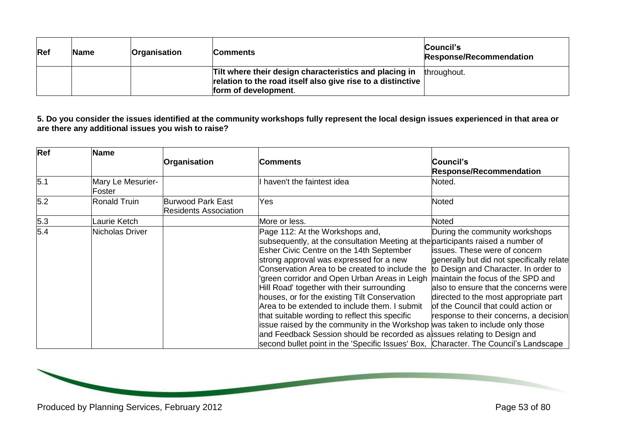| Ref | <b>Name</b> | Organisation | <b>Comments</b>                                                                                                                               | <b>Council's</b><br><b>Response/Recommendation</b> |
|-----|-------------|--------------|-----------------------------------------------------------------------------------------------------------------------------------------------|----------------------------------------------------|
|     |             |              | Tilt where their design characteristics and placing in<br>relation to the road itself also give rise to a distinctive<br>form of development. | throughout.                                        |

**5. Do you consider the issues identified at the community workshops fully represent the local design issues experienced in that area or are there any additional issues you wish to raise?**

| Ref | <b>Name</b>                 | Organisation                                      | <b>Comments</b>                                                                                                                                                                                                                                                                                                                                                                                                                                                                                                                                                                                                                                                                                                                                                                | <b>Council's</b>                                                                                                                                                                                                                                                                                                                                             |
|-----|-----------------------------|---------------------------------------------------|--------------------------------------------------------------------------------------------------------------------------------------------------------------------------------------------------------------------------------------------------------------------------------------------------------------------------------------------------------------------------------------------------------------------------------------------------------------------------------------------------------------------------------------------------------------------------------------------------------------------------------------------------------------------------------------------------------------------------------------------------------------------------------|--------------------------------------------------------------------------------------------------------------------------------------------------------------------------------------------------------------------------------------------------------------------------------------------------------------------------------------------------------------|
|     |                             |                                                   |                                                                                                                                                                                                                                                                                                                                                                                                                                                                                                                                                                                                                                                                                                                                                                                | <b>Response/Recommendation</b>                                                                                                                                                                                                                                                                                                                               |
| 5.1 | Mary Le Mesurier-<br>Foster |                                                   | haven't the faintest idea                                                                                                                                                                                                                                                                                                                                                                                                                                                                                                                                                                                                                                                                                                                                                      | Noted.                                                                                                                                                                                                                                                                                                                                                       |
| 5.2 | Ronald Truin                | Burwood Park East<br><b>Residents Association</b> | Yes                                                                                                                                                                                                                                                                                                                                                                                                                                                                                                                                                                                                                                                                                                                                                                            | <b>Noted</b>                                                                                                                                                                                                                                                                                                                                                 |
| 5.3 | Laurie Ketch                |                                                   | More or less.                                                                                                                                                                                                                                                                                                                                                                                                                                                                                                                                                                                                                                                                                                                                                                  | <b>Noted</b>                                                                                                                                                                                                                                                                                                                                                 |
| 5.4 | Nicholas Driver             |                                                   | Page 112: At the Workshops and,<br>subsequently, at the consultation Meeting at the participants raised a number of<br><b>Esher Civic Centre on the 14th September</b><br>strong approval was expressed for a new<br>Conservation Area to be created to include the<br>'green corridor and Open Urban Areas in Leigh<br>Hill Road' together with their surrounding<br>houses, or for the existing Tilt Conservation<br>Area to be extended to include them. I submit<br>that suitable wording to reflect this specific<br>issue raised by the community in the Workshop was taken to include only those<br>and Feedback Session should be recorded as a sissues relating to Design and<br>second bullet point in the 'Specific Issues' Box, Character. The Council's Landscape | During the community workshops<br>issues. These were of concern<br>generally but did not specifically relate<br>to Design and Character. In order to<br>maintain the focus of the SPD and<br>also to ensure that the concerns were<br>directed to the most appropriate part<br>of the Council that could action or<br>response to their concerns, a decision |

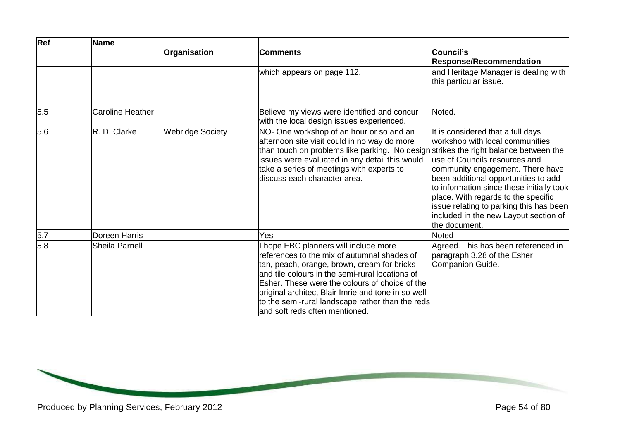| Ref | Name             |                         |                                                                                                                                                                                                                                                                                                                                                                                        |                                                                                                                                                                                                                                                                                                                                                                            |
|-----|------------------|-------------------------|----------------------------------------------------------------------------------------------------------------------------------------------------------------------------------------------------------------------------------------------------------------------------------------------------------------------------------------------------------------------------------------|----------------------------------------------------------------------------------------------------------------------------------------------------------------------------------------------------------------------------------------------------------------------------------------------------------------------------------------------------------------------------|
|     |                  | Organisation            | <b>Comments</b>                                                                                                                                                                                                                                                                                                                                                                        | <b>Council's</b><br><b>Response/Recommendation</b>                                                                                                                                                                                                                                                                                                                         |
|     |                  |                         | which appears on page 112.                                                                                                                                                                                                                                                                                                                                                             | and Heritage Manager is dealing with<br>this particular issue.                                                                                                                                                                                                                                                                                                             |
| 5.5 | Caroline Heather |                         | Believe my views were identified and concur<br>with the local design issues experienced.                                                                                                                                                                                                                                                                                               | Noted.                                                                                                                                                                                                                                                                                                                                                                     |
| 5.6 | R. D. Clarke     | <b>Webridge Society</b> | NO- One workshop of an hour or so and an<br>afternoon site visit could in no way do more<br>than touch on problems like parking. No design strikes the right balance between the<br>issues were evaluated in any detail this would<br>take a series of meetings with experts to<br>ldiscuss each character area.                                                                       | It is considered that a full days<br>workshop with local communities<br>use of Councils resources and<br>community engagement. There have<br>been additional opportunities to add<br>to information since these initially took<br>place. With regards to the specific<br>issue relating to parking this has been<br>included in the new Layout section of<br>the document. |
| 5.7 | Doreen Harris    |                         | Yes                                                                                                                                                                                                                                                                                                                                                                                    | Noted                                                                                                                                                                                                                                                                                                                                                                      |
| 5.8 | Sheila Parnell   |                         | I hope EBC planners will include more<br>references to the mix of autumnal shades of<br>tan, peach, orange, brown, cream for bricks<br>land tile colours in the semi-rural locations of<br>Esher. These were the colours of choice of the<br>original architect Blair Imrie and tone in so well<br>to the semi-rural landscape rather than the reds<br>land soft reds often mentioned. | Agreed. This has been referenced in<br>paragraph 3.28 of the Esher<br>Companion Guide.                                                                                                                                                                                                                                                                                     |

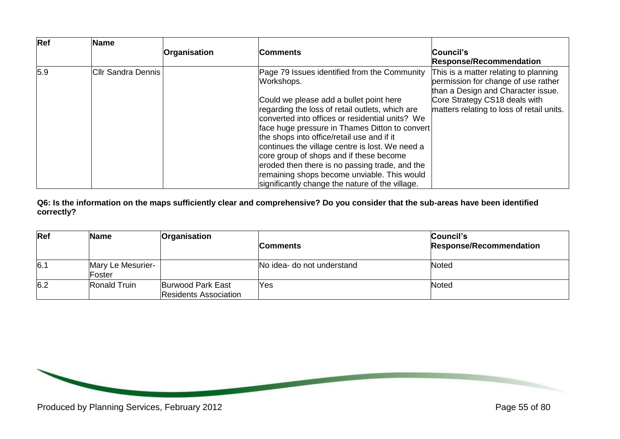| Ref | <b>Name</b>               | Organisation | <b>Comments</b>                                                                                                                                                                                                                                                                                                                                                                                                                                                                                                                                               | Council's                                                                                                                                                                                                                          |
|-----|---------------------------|--------------|---------------------------------------------------------------------------------------------------------------------------------------------------------------------------------------------------------------------------------------------------------------------------------------------------------------------------------------------------------------------------------------------------------------------------------------------------------------------------------------------------------------------------------------------------------------|------------------------------------------------------------------------------------------------------------------------------------------------------------------------------------------------------------------------------------|
| 5.9 | <b>CIIr Sandra Dennis</b> |              | Page 79 Issues identified from the Community<br>Workshops.<br>Could we please add a bullet point here<br>regarding the loss of retail outlets, which are<br>converted into offices or residential units? We<br>face huge pressure in Thames Ditton to convert<br>the shops into office/retail use and if it<br>continues the village centre is lost. We need a<br>core group of shops and if these become<br>eroded then there is no passing trade, and the<br>remaining shops become unviable. This would<br>significantly change the nature of the village. | <b>Response/Recommendation</b><br>This is a matter relating to planning<br>permission for change of use rather<br>than a Design and Character issue.<br>Core Strategy CS18 deals with<br>matters relating to loss of retail units. |

**Q6: Is the information on the maps sufficiently clear and comprehensive? Do you consider that the sub-areas have been identified correctly?**

| Ref | <b>Name</b>                 | Organisation                                      | <b>Comments</b>            | Council's<br><b>Response/Recommendation</b> |
|-----|-----------------------------|---------------------------------------------------|----------------------------|---------------------------------------------|
| 6.1 | Mary Le Mesurier-<br>Foster |                                                   | No idea- do not understand | <b>Noted</b>                                |
| 6.2 | Ronald Truin                | Burwood Park East<br><b>Residents Association</b> | Yes                        | Noted                                       |

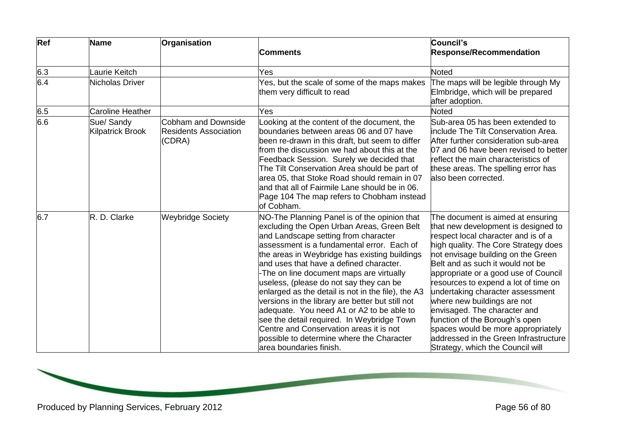| Ref | <b>Name</b>                           | Organisation                                                         | <b>Comments</b>                                                                                                                                                                                                                                                                                                                                                                                                                                                                                                                                                                                                                                                                             | Council's<br><b>Response/Recommendation</b>                                                                                                                                                                                                                                                                                                                                                                                                                                                                                                                               |
|-----|---------------------------------------|----------------------------------------------------------------------|---------------------------------------------------------------------------------------------------------------------------------------------------------------------------------------------------------------------------------------------------------------------------------------------------------------------------------------------------------------------------------------------------------------------------------------------------------------------------------------------------------------------------------------------------------------------------------------------------------------------------------------------------------------------------------------------|---------------------------------------------------------------------------------------------------------------------------------------------------------------------------------------------------------------------------------------------------------------------------------------------------------------------------------------------------------------------------------------------------------------------------------------------------------------------------------------------------------------------------------------------------------------------------|
| 6.3 | Laurie Keitch                         |                                                                      | Yes                                                                                                                                                                                                                                                                                                                                                                                                                                                                                                                                                                                                                                                                                         | <b>Noted</b>                                                                                                                                                                                                                                                                                                                                                                                                                                                                                                                                                              |
| 6.4 | Nicholas Driver                       |                                                                      | Yes, but the scale of some of the maps makes<br>them very difficult to read                                                                                                                                                                                                                                                                                                                                                                                                                                                                                                                                                                                                                 | The maps will be legible through My<br>Elmbridge, which will be prepared<br>after adoption.                                                                                                                                                                                                                                                                                                                                                                                                                                                                               |
| 6.5 | Caroline Heather                      |                                                                      | Yes                                                                                                                                                                                                                                                                                                                                                                                                                                                                                                                                                                                                                                                                                         | <b>Noted</b>                                                                                                                                                                                                                                                                                                                                                                                                                                                                                                                                                              |
| 6.6 | Sue/ Sandy<br><b>Kilpatrick Brook</b> | <b>Cobham and Downside</b><br><b>Residents Association</b><br>(CDRA) | Looking at the content of the document, the<br>boundaries between areas 06 and 07 have<br>been re-drawn in this draft, but seem to differ<br>from the discussion we had about this at the<br>Feedback Session. Surely we decided that<br>The Tilt Conservation Area should be part of<br>area 05, that Stoke Road should remain in 07<br>and that all of Fairmile Lane should be in 06.<br>Page 104 The map refers to Chobham instead<br>of Cobham.                                                                                                                                                                                                                                         | Sub-area 05 has been extended to<br>include The Tilt Conservation Area.<br>After further consideration sub-area<br>07 and 06 have been revised to better<br>reflect the main characteristics of<br>these areas. The spelling error has<br>also been corrected.                                                                                                                                                                                                                                                                                                            |
| 6.7 | R. D. Clarke                          | <b>Weybridge Society</b>                                             | NO-The Planning Panel is of the opinion that<br>excluding the Open Urban Areas, Green Belt<br>and Landscape setting from character<br>assessment is a fundamental error. Each of<br>the areas in Weybridge has existing buildings<br>and uses that have a defined character.<br>-The on line document maps are virtually<br>useless, (please do not say they can be<br>enlarged as the detail is not in the file), the A3<br>versions in the library are better but still not<br>adequate. You need A1 or A2 to be able to<br>see the detail required. In Weybridge Town<br>Centre and Conservation areas it is not<br>possible to determine where the Character<br>area boundaries finish. | The document is aimed at ensuring<br>that new development is designed to<br>respect local character and is of a<br>high quality. The Core Strategy does<br>not envisage building on the Green<br>Belt and as such it would not be<br>appropriate or a good use of Council<br>resources to expend a lot of time on<br>undertaking character assessment<br>where new buildings are not<br>envisaged. The character and<br>function of the Borough's open<br>spaces would be more appropriately<br>addressed in the Green Infrastructure<br>Strategy, which the Council will |

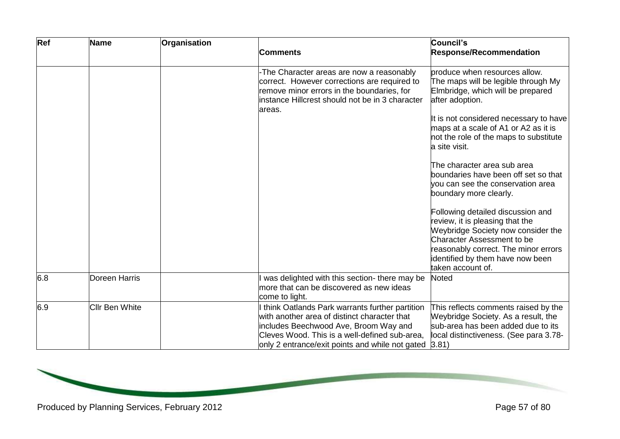| Ref | <b>Name</b>           | Organisation | <b>Comments</b>                                                                                                                                                                                                                             | Council's<br><b>Response/Recommendation</b>                                                                                                                                                                                               |
|-----|-----------------------|--------------|---------------------------------------------------------------------------------------------------------------------------------------------------------------------------------------------------------------------------------------------|-------------------------------------------------------------------------------------------------------------------------------------------------------------------------------------------------------------------------------------------|
|     |                       |              | -The Character areas are now a reasonably<br>correct. However corrections are required to<br>remove minor errors in the boundaries, for<br>instance Hillcrest should not be in 3 character<br>areas.                                        | produce when resources allow.<br>The maps will be legible through My<br>Elmbridge, which will be prepared<br>after adoption.                                                                                                              |
|     |                       |              |                                                                                                                                                                                                                                             | It is not considered necessary to have<br>maps at a scale of A1 or A2 as it is<br>not the role of the maps to substitute<br>a site visit.                                                                                                 |
|     |                       |              |                                                                                                                                                                                                                                             | The character area sub area<br>boundaries have been off set so that<br>you can see the conservation area<br>boundary more clearly.                                                                                                        |
|     |                       |              |                                                                                                                                                                                                                                             | Following detailed discussion and<br>review, it is pleasing that the<br>Weybridge Society now consider the<br>Character Assessment to be<br>reasonably correct. The minor errors<br>identified by them have now been<br>taken account of. |
| 6.8 | Doreen Harris         |              | was delighted with this section- there may be<br>more that can be discovered as new ideas<br>come to light.                                                                                                                                 | Noted                                                                                                                                                                                                                                     |
| 6.9 | <b>Cllr Ben White</b> |              | think Oatlands Park warrants further partition<br>with another area of distinct character that<br>includes Beechwood Ave, Broom Way and<br>Cleves Wood. This is a well-defined sub-area,<br>only 2 entrance/exit points and while not gated | This reflects comments raised by the<br>Weybridge Society. As a result, the<br>sub-area has been added due to its<br>local distinctiveness. (See para 3.78-<br>(3.81)                                                                     |

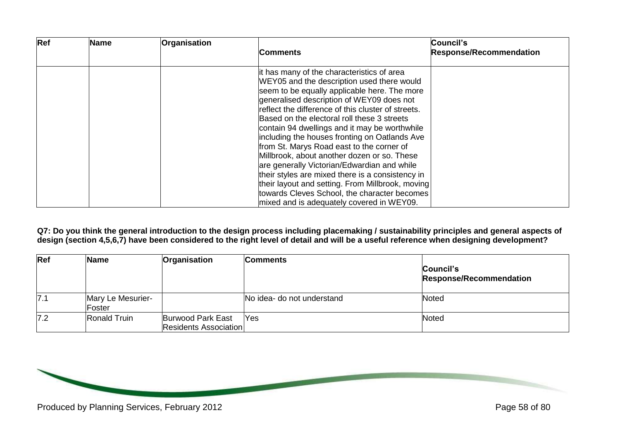| Ref | Name | Organisation | <b>Comments</b>                                                                                                                                                                                                                                                                                                                                                                                                                                                                                                                                                                                                                                                                                                                               | Council's<br><b>Response/Recommendation</b> |
|-----|------|--------------|-----------------------------------------------------------------------------------------------------------------------------------------------------------------------------------------------------------------------------------------------------------------------------------------------------------------------------------------------------------------------------------------------------------------------------------------------------------------------------------------------------------------------------------------------------------------------------------------------------------------------------------------------------------------------------------------------------------------------------------------------|---------------------------------------------|
|     |      |              | lit has many of the characteristics of area<br>WEY05 and the description used there would<br>seem to be equally applicable here. The more<br>generalised description of WEY09 does not<br>reflect the difference of this cluster of streets.<br>Based on the electoral roll these 3 streets<br>contain 94 dwellings and it may be worthwhile<br>including the houses fronting on Oatlands Ave<br>from St. Marys Road east to the corner of<br>Millbrook, about another dozen or so. These<br>are generally Victorian/Edwardian and while<br>their styles are mixed there is a consistency in<br>their layout and setting. From Millbrook, moving<br>towards Cleves School, the character becomes<br>mixed and is adequately covered in WEY09. |                                             |

**Q7: Do you think the general introduction to the design process including placemaking / sustainability principles and general aspects of design (section 4,5,6,7) have been considered to the right level of detail and will be a useful reference when designing development?**

| Ref | <b>Name</b>                 | Organisation                                      | <b>Comments</b>            | Council's<br><b>Response/Recommendation</b> |
|-----|-----------------------------|---------------------------------------------------|----------------------------|---------------------------------------------|
| 7.1 | Mary Le Mesurier-<br>Foster |                                                   | No idea- do not understand | Noted                                       |
| 7.2 | <b>Ronald Truin</b>         | Burwood Park East<br><b>Residents Association</b> | <b>Yes</b>                 | Noted                                       |

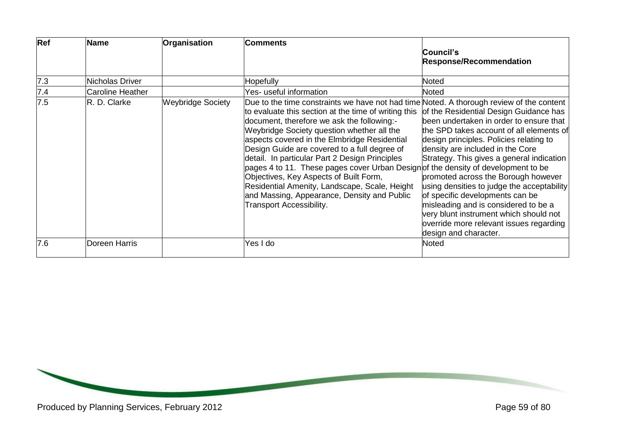| Ref | Name                    | Organisation             | <b>Comments</b>                                                                                                                                                                                                                                                                                                                                                                                                                                                                                                                                                                                                                                                  | Council's<br><b>Response/Recommendation</b>                                                                                                                                                                                                                                                                                                                                                                                                                                                                                             |
|-----|-------------------------|--------------------------|------------------------------------------------------------------------------------------------------------------------------------------------------------------------------------------------------------------------------------------------------------------------------------------------------------------------------------------------------------------------------------------------------------------------------------------------------------------------------------------------------------------------------------------------------------------------------------------------------------------------------------------------------------------|-----------------------------------------------------------------------------------------------------------------------------------------------------------------------------------------------------------------------------------------------------------------------------------------------------------------------------------------------------------------------------------------------------------------------------------------------------------------------------------------------------------------------------------------|
| 7.3 | Nicholas Driver         |                          | Hopefully                                                                                                                                                                                                                                                                                                                                                                                                                                                                                                                                                                                                                                                        | <b>Noted</b>                                                                                                                                                                                                                                                                                                                                                                                                                                                                                                                            |
| 7.4 | <b>Caroline Heather</b> |                          | Yes- useful information                                                                                                                                                                                                                                                                                                                                                                                                                                                                                                                                                                                                                                          | <b>Noted</b>                                                                                                                                                                                                                                                                                                                                                                                                                                                                                                                            |
| 7.5 | R. D. Clarke            | <b>Weybridge Society</b> | Due to the time constraints we have not had time Noted. A thorough review of the content<br>to evaluate this section at the time of writing this<br>document, therefore we ask the following:-<br>Weybridge Society question whether all the<br>aspects covered in the Elmbridge Residential<br>Design Guide are covered to a full degree of<br>detail. In particular Part 2 Design Principles<br>pages 4 to 11. These pages cover Urban Design of the density of development to be<br>Objectives, Key Aspects of Built Form,<br>Residential Amenity, Landscape, Scale, Height<br>and Massing, Appearance, Density and Public<br><b>Transport Accessibility.</b> | of the Residential Design Guidance has<br>been undertaken in order to ensure that<br>the SPD takes account of all elements of<br>design principles. Policies relating to<br>density are included in the Core<br>Strategy. This gives a general indication<br>promoted across the Borough however<br>using densities to judge the acceptability<br>of specific developments can be<br>misleading and is considered to be a<br>very blunt instrument which should not<br>override more relevant issues regarding<br>design and character. |
| 7.6 | Doreen Harris           |                          | Yes I do                                                                                                                                                                                                                                                                                                                                                                                                                                                                                                                                                                                                                                                         | <b>Noted</b>                                                                                                                                                                                                                                                                                                                                                                                                                                                                                                                            |

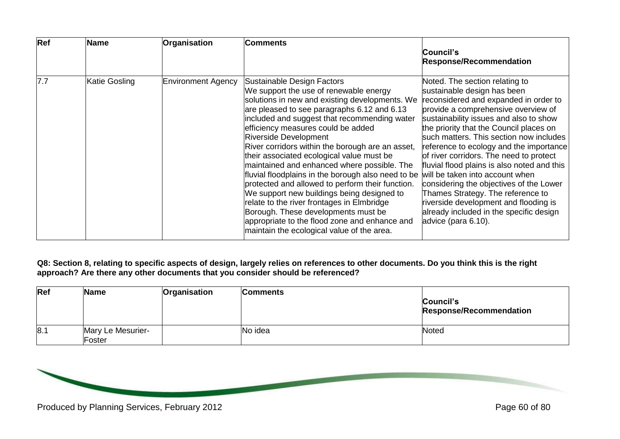| Ref | <b>Name</b>          | Organisation              | <b>Comments</b>                                                                                                                                                                                                                                                                                                                                                                                                                                                                                                                                                                                                                                                                                                                                                                         | Council's<br><b>Response/Recommendation</b>                                                                                                                                                                                                                                                                                                                                                                                                                                                                                                                                                                                                      |
|-----|----------------------|---------------------------|-----------------------------------------------------------------------------------------------------------------------------------------------------------------------------------------------------------------------------------------------------------------------------------------------------------------------------------------------------------------------------------------------------------------------------------------------------------------------------------------------------------------------------------------------------------------------------------------------------------------------------------------------------------------------------------------------------------------------------------------------------------------------------------------|--------------------------------------------------------------------------------------------------------------------------------------------------------------------------------------------------------------------------------------------------------------------------------------------------------------------------------------------------------------------------------------------------------------------------------------------------------------------------------------------------------------------------------------------------------------------------------------------------------------------------------------------------|
| 7.7 | <b>Katie Gosling</b> | <b>Environment Agency</b> | Sustainable Design Factors<br>We support the use of renewable energy<br>solutions in new and existing developments. We<br>are pleased to see paragraphs 6.12 and 6.13<br>included and suggest that recommending water<br>efficiency measures could be added<br><b>Riverside Development</b><br>River corridors within the borough are an asset,<br>their associated ecological value must be<br>maintained and enhanced where possible. The<br>fluvial floodplains in the borough also need to be<br>protected and allowed to perform their function.<br>We support new buildings being designed to<br>relate to the river frontages in Elmbridge<br>Borough. These developments must be<br>appropriate to the flood zone and enhance and<br>maintain the ecological value of the area. | Noted. The section relating to<br>sustainable design has been<br>reconsidered and expanded in order to<br>provide a comprehensive overview of<br>sustainability issues and also to show<br>the priority that the Council places on<br>such matters. This section now includes<br>reference to ecology and the importance<br>of river corridors. The need to protect<br>fluvial flood plains is also noted and this<br>will be taken into account when<br>considering the objectives of the Lower<br>Thames Strategy. The reference to<br>riverside development and flooding is<br>already included in the specific design<br>advice (para 6.10). |

**Q8: Section 8, relating to specific aspects of design, largely relies on references to other documents. Do you think this is the right approach? Are there any other documents that you consider should be referenced?**

| Ref | Name                        | Organisation | <b>Comments</b> | Council's<br><b>Response/Recommendation</b> |
|-----|-----------------------------|--------------|-----------------|---------------------------------------------|
| 8.1 | Mary Le Mesurier-<br>Foster |              | No idea         | Noted                                       |

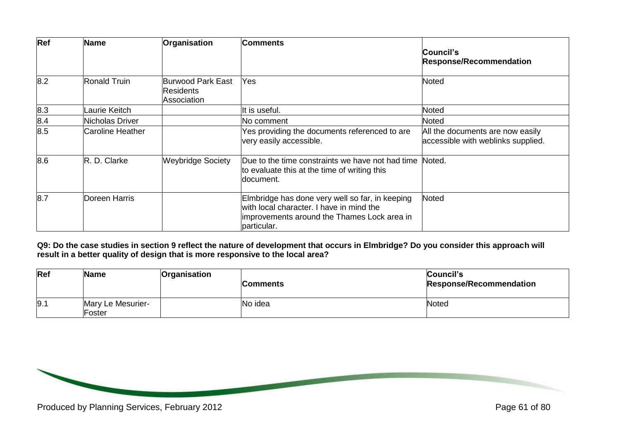| Ref | <b>Name</b>            | Organisation                                         | <b>Comments</b>                                                                                                                                            | Council's<br><b>Response/Recommendation</b>                            |
|-----|------------------------|------------------------------------------------------|------------------------------------------------------------------------------------------------------------------------------------------------------------|------------------------------------------------------------------------|
| 8.2 | <b>Ronald Truin</b>    | Burwood Park East<br><b>Residents</b><br>Association | Yes                                                                                                                                                        | Noted                                                                  |
| 8.3 | Laurie Keitch          |                                                      | llt is useful.                                                                                                                                             | Noted                                                                  |
| 8.4 | <b>Nicholas Driver</b> |                                                      | No comment                                                                                                                                                 | Noted                                                                  |
| 8.5 | Caroline Heather       |                                                      | Yes providing the documents referenced to are<br>very easily accessible.                                                                                   | All the documents are now easily<br>accessible with weblinks supplied. |
| 8.6 | R. D. Clarke           | <b>Weybridge Society</b>                             | Due to the time constraints we have not had time<br>to evaluate this at the time of writing this<br> document.                                             | Noted.                                                                 |
| 8.7 | Doreen Harris          |                                                      | Elmbridge has done very well so far, in keeping<br>with local character. I have in mind the<br>limprovements around the Thames Lock area in<br>particular. | Noted                                                                  |

**Q9: Do the case studies in section 9 reflect the nature of development that occurs in Elmbridge? Do you consider this approach will result in a better quality of design that is more responsive to the local area?**

| Ref | Name                        | Organisation | <b>Comments</b> | Council's<br><b>Response/Recommendation</b> |
|-----|-----------------------------|--------------|-----------------|---------------------------------------------|
| 9.1 | Mary Le Mesurier-<br>Foster |              | No idea         | Noted                                       |

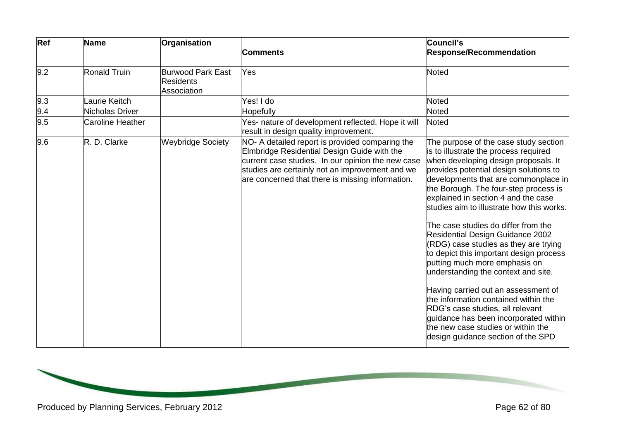| Ref | Name                    | Organisation                                                | <b>Comments</b>                                                                                                                                                                                                                                            | Council's<br><b>Response/Recommendation</b>                                                                                                                                                                                                                                                                                                                                                                                                                                                                                                                                                                                                                                                                                                                                                                                 |
|-----|-------------------------|-------------------------------------------------------------|------------------------------------------------------------------------------------------------------------------------------------------------------------------------------------------------------------------------------------------------------------|-----------------------------------------------------------------------------------------------------------------------------------------------------------------------------------------------------------------------------------------------------------------------------------------------------------------------------------------------------------------------------------------------------------------------------------------------------------------------------------------------------------------------------------------------------------------------------------------------------------------------------------------------------------------------------------------------------------------------------------------------------------------------------------------------------------------------------|
| 9.2 | Ronald Truin            | <b>Burwood Park East</b><br><b>Residents</b><br>Association | Yes                                                                                                                                                                                                                                                        | Noted                                                                                                                                                                                                                                                                                                                                                                                                                                                                                                                                                                                                                                                                                                                                                                                                                       |
| 9.3 | Laurie Keitch           |                                                             | Yes! I do                                                                                                                                                                                                                                                  | <b>Noted</b>                                                                                                                                                                                                                                                                                                                                                                                                                                                                                                                                                                                                                                                                                                                                                                                                                |
| 9.4 | <b>Nicholas Driver</b>  |                                                             | Hopefully                                                                                                                                                                                                                                                  | <b>Noted</b>                                                                                                                                                                                                                                                                                                                                                                                                                                                                                                                                                                                                                                                                                                                                                                                                                |
| 9.5 | <b>Caroline Heather</b> |                                                             | Yes- nature of development reflected. Hope it will<br>result in design quality improvement.                                                                                                                                                                | Noted                                                                                                                                                                                                                                                                                                                                                                                                                                                                                                                                                                                                                                                                                                                                                                                                                       |
| 9.6 | R. D. Clarke            | <b>Weybridge Society</b>                                    | NO- A detailed report is provided comparing the<br>Elmbridge Residential Design Guide with the<br>current case studies. In our opinion the new case<br>studies are certainly not an improvement and we<br>are concerned that there is missing information. | The purpose of the case study section<br>is to illustrate the process required<br>when developing design proposals. It<br>provides potential design solutions to<br>developments that are commonplace in<br>the Borough. The four-step process is<br>explained in section 4 and the case<br>studies aim to illustrate how this works.<br>The case studies do differ from the<br><b>Residential Design Guidance 2002</b><br>(RDG) case studies as they are trying<br>to depict this important design process<br>putting much more emphasis on<br>understanding the context and site.<br>Having carried out an assessment of<br>the information contained within the<br>RDG's case studies, all relevant<br>quidance has been incorporated within<br>the new case studies or within the<br>design guidance section of the SPD |

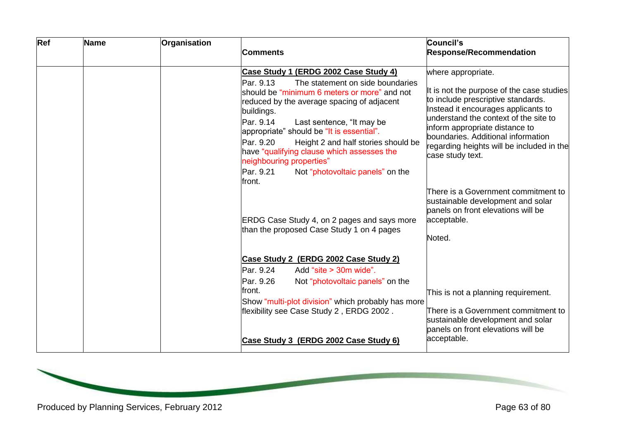| Ref | <b>Name</b> | Organisation | <b>Comments</b>                                                                                                                                                                                                                                                                                                                                                                                                         | Council's<br><b>Response/Recommendation</b>                                                                                                                                                                                                                                                                                    |
|-----|-------------|--------------|-------------------------------------------------------------------------------------------------------------------------------------------------------------------------------------------------------------------------------------------------------------------------------------------------------------------------------------------------------------------------------------------------------------------------|--------------------------------------------------------------------------------------------------------------------------------------------------------------------------------------------------------------------------------------------------------------------------------------------------------------------------------|
|     |             |              | Case Study 1 (ERDG 2002 Case Study 4)<br>Par. 9.13<br>The statement on side boundaries<br>should be "minimum 6 meters or more" and not<br>reduced by the average spacing of adjacent<br>buildings.<br>Par. 9.14<br>Last sentence, "It may be<br>appropriate" should be "It is essential".<br>Par. 9.20<br>Height 2 and half stories should be<br>have "qualifying clause which assesses the<br>neighbouring properties" | where appropriate.<br>It is not the purpose of the case studies<br>to include prescriptive standards.<br>Instead it encourages applicants to<br>understand the context of the site to<br>inform appropriate distance to<br>boundaries. Additional information<br>regarding heights will be included in the<br>case study text. |
|     |             |              | Par. 9.21<br>Not "photovoltaic panels" on the<br>front.<br>ERDG Case Study 4, on 2 pages and says more<br>than the proposed Case Study 1 on 4 pages                                                                                                                                                                                                                                                                     | There is a Government commitment to<br>sustainable development and solar<br>panels on front elevations will be<br>acceptable.<br>Noted.                                                                                                                                                                                        |
|     |             |              | Case Study 2 (ERDG 2002 Case Study 2)<br>Par. 9.24<br>Add "site > 30m wide".<br>Par. 9.26<br>Not "photovoltaic panels" on the<br>front.<br>Show "multi-plot division" which probably has more<br>flexibility see Case Study 2, ERDG 2002.<br>Case Study 3 (ERDG 2002 Case Study 6)                                                                                                                                      | This is not a planning requirement.<br>There is a Government commitment to<br>sustainable development and solar<br>banels on front elevations will be<br>acceptable.                                                                                                                                                           |

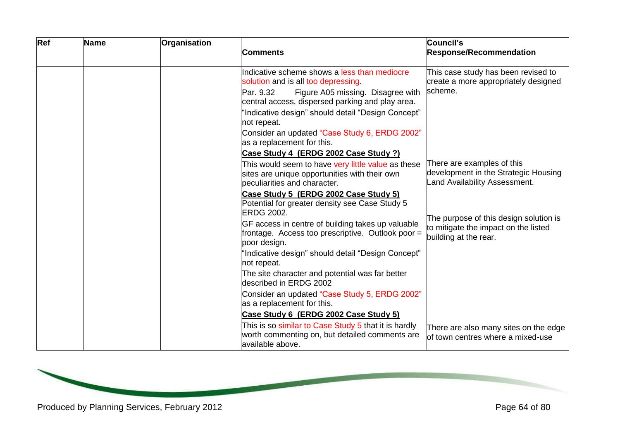| Ref | Name | Organisation | <b>Comments</b>                                                                                                                     | Council's<br><b>Response/Recommendation</b>                                                                |
|-----|------|--------------|-------------------------------------------------------------------------------------------------------------------------------------|------------------------------------------------------------------------------------------------------------|
|     |      |              | Indicative scheme shows a less than mediocre<br>solution and is all too depressing.                                                 | This case study has been revised to<br>create a more appropriately designed                                |
|     |      |              | Par. 9.32<br>Figure A05 missing. Disagree with<br>central access, dispersed parking and play area.                                  | scheme.                                                                                                    |
|     |      |              | "Indicative design" should detail "Design Concept"<br>not repeat.                                                                   |                                                                                                            |
|     |      |              | Consider an updated "Case Study 6, ERDG 2002"<br>as a replacement for this.                                                         |                                                                                                            |
|     |      |              | Case Study 4 (ERDG 2002 Case Study ?)                                                                                               |                                                                                                            |
|     |      |              | This would seem to have very little value as these<br>sites are unique opportunities with their own<br>peculiarities and character. | There are examples of this<br>development in the Strategic Housing<br><b>Land Availability Assessment.</b> |
|     |      |              | Case Study 5 (ERDG 2002 Case Study 5)<br>Potential for greater density see Case Study 5<br><b>ERDG 2002.</b>                        |                                                                                                            |
|     |      |              | GF access in centre of building takes up valuable<br>frontage. Access too prescriptive. Outlook poor =<br>poor design.              | The purpose of this design solution is<br>to mitigate the impact on the listed<br>building at the rear.    |
|     |      |              | "Indicative design" should detail "Design Concept"<br>not repeat.                                                                   |                                                                                                            |
|     |      |              | The site character and potential was far better<br>described in ERDG 2002                                                           |                                                                                                            |
|     |      |              | Consider an updated "Case Study 5, ERDG 2002"<br>as a replacement for this.                                                         |                                                                                                            |
|     |      |              | Case Study 6 (ERDG 2002 Case Study 5)                                                                                               |                                                                                                            |
|     |      |              | This is so similar to Case Study 5 that it is hardly<br>worth commenting on, but detailed comments are<br>available above.          | There are also many sites on the edge<br>of town centres where a mixed-use                                 |

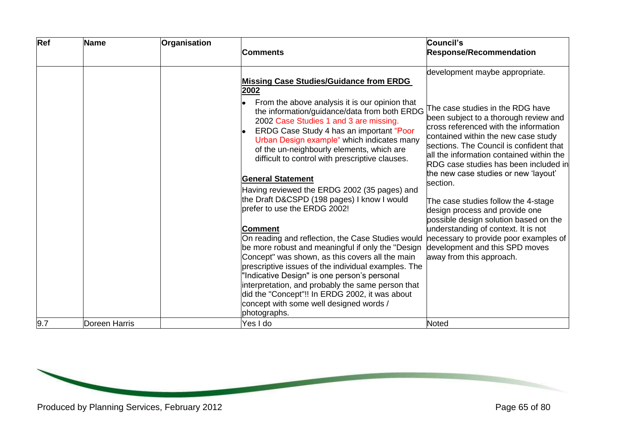| Ref | <b>Name</b>   | Organisation | <b>Comments</b>                                                                                                                                                                                                                                                                                                                                                                                                                                                                                                                                                                                                                                                                                                                                                                                                                                                                                                                                                                                                  | <b>Council's</b><br><b>Response/Recommendation</b>                                                                                                                                                                                                                                                                                                                                                                                                                                                                                                                                                                                              |
|-----|---------------|--------------|------------------------------------------------------------------------------------------------------------------------------------------------------------------------------------------------------------------------------------------------------------------------------------------------------------------------------------------------------------------------------------------------------------------------------------------------------------------------------------------------------------------------------------------------------------------------------------------------------------------------------------------------------------------------------------------------------------------------------------------------------------------------------------------------------------------------------------------------------------------------------------------------------------------------------------------------------------------------------------------------------------------|-------------------------------------------------------------------------------------------------------------------------------------------------------------------------------------------------------------------------------------------------------------------------------------------------------------------------------------------------------------------------------------------------------------------------------------------------------------------------------------------------------------------------------------------------------------------------------------------------------------------------------------------------|
|     |               |              | <b>Missing Case Studies/Guidance from ERDG</b><br>2002<br>From the above analysis it is our opinion that<br>the information/guidance/data from both ERDG<br>2002 Case Studies 1 and 3 are missing.<br>ERDG Case Study 4 has an important "Poor<br>Urban Design example" which indicates many<br>of the un-neighbourly elements, which are<br>difficult to control with prescriptive clauses.<br><b>General Statement</b><br>Having reviewed the ERDG 2002 (35 pages) and<br>the Draft D&CSPD (198 pages) I know I would<br>lprefer to use the ERDG 2002!<br><b>Comment</b><br>On reading and reflection, the Case Studies would<br>be more robust and meaningful if only the "Design<br>Concept" was shown, as this covers all the main<br>prescriptive issues of the individual examples. The<br>"Indicative Design" is one person's personal<br>interpretation, and probably the same person that<br>did the "Concept"!! In ERDG 2002, it was about<br>concept with some well designed words /<br>photographs. | development maybe appropriate.<br>The case studies in the RDG have<br>been subject to a thorough review and<br>cross referenced with the information<br>contained within the new case study<br>sections. The Council is confident that<br>all the information contained within the<br>RDG case studies has been included in<br>the new case studies or new 'layout'<br>section.<br>The case studies follow the 4-stage<br>design process and provide one<br>possible design solution based on the<br>understanding of context. It is not<br>necessary to provide poor examples of<br>development and this SPD moves<br>away from this approach. |
| 9.7 | Doreen Harris |              | Yes I do                                                                                                                                                                                                                                                                                                                                                                                                                                                                                                                                                                                                                                                                                                                                                                                                                                                                                                                                                                                                         | <b>Noted</b>                                                                                                                                                                                                                                                                                                                                                                                                                                                                                                                                                                                                                                    |

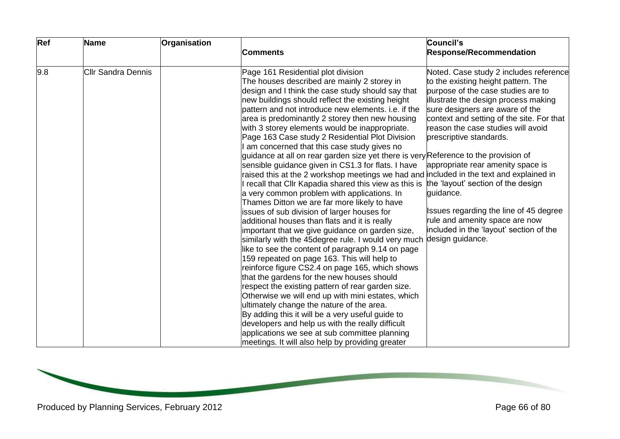| Ref | Name                      | Organisation | <b>Comments</b>                                                                                                                                                                                                                                                                                                                                                                                                                                                                                                                                                                                                                                                                                 | Council's<br><b>Response/Recommendation</b>                                                                                                                                                                                                                                                                                                       |
|-----|---------------------------|--------------|-------------------------------------------------------------------------------------------------------------------------------------------------------------------------------------------------------------------------------------------------------------------------------------------------------------------------------------------------------------------------------------------------------------------------------------------------------------------------------------------------------------------------------------------------------------------------------------------------------------------------------------------------------------------------------------------------|---------------------------------------------------------------------------------------------------------------------------------------------------------------------------------------------------------------------------------------------------------------------------------------------------------------------------------------------------|
| 9.8 | <b>Cllr Sandra Dennis</b> |              | Page 161 Residential plot division<br>The houses described are mainly 2 storey in<br>design and I think the case study should say that<br>new buildings should reflect the existing height<br>pattern and not introduce new elements. i.e. if the<br>area is predominantly 2 storey then new housing<br>with 3 storey elements would be inappropriate.<br>Page 163 Case study 2 Residential Plot Division<br>am concerned that this case study gives no<br>guidance at all on rear garden size yet there is very Reference to the provision of<br>sensible guidance given in CS1.3 for flats. I have<br>raised this at the 2 workshop meetings we had and included in the text and explained in | Noted. Case study 2 includes reference<br>to the existing height pattern. The<br>purpose of the case studies are to<br>illustrate the design process making<br>sure designers are aware of the<br>context and setting of the site. For that<br>reason the case studies will avoid<br>prescriptive standards.<br>appropriate rear amenity space is |
|     |                           |              | I recall that Cllr Kapadia shared this view as this is<br>a very common problem with applications. In<br>Thames Ditton we are far more likely to have<br>issues of sub division of larger houses for<br>additional houses than flats and it is really<br>important that we give guidance on garden size,<br>similarly with the 45degree rule. I would very much<br>like to see the content of paragraph 9.14 on page<br>159 repeated on page 163. This will help to<br>reinforce figure CS2.4 on page 165, which shows<br>that the gardens for the new houses should<br>respect the existing pattern of rear garden size.                                                                       | the 'layout' section of the design<br>guidance.<br>Issues regarding the line of 45 degree<br>rule and amenity space are now<br>included in the 'layout' section of the<br>design guidance.                                                                                                                                                        |
|     |                           |              | Otherwise we will end up with mini estates, which<br>ultimately change the nature of the area.<br>By adding this it will be a very useful guide to<br>developers and help us with the really difficult<br>applications we see at sub committee planning<br>meetings. It will also help by providing greater                                                                                                                                                                                                                                                                                                                                                                                     |                                                                                                                                                                                                                                                                                                                                                   |

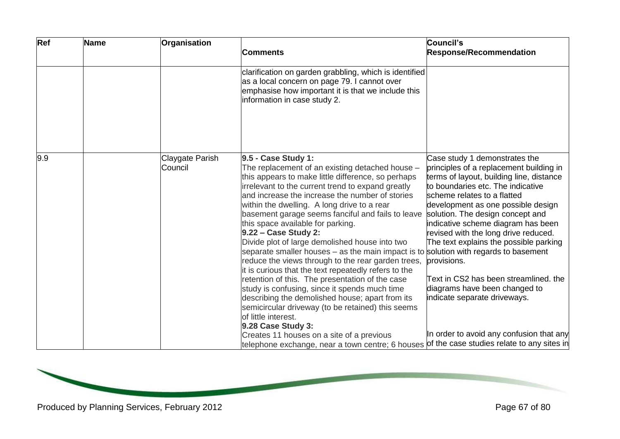| Ref | Name | Organisation               | <b>Comments</b>                                                                                                                                                                                                                                                                                                                                                                                                                                                                                                                                                                                                                                                                                                                                                                                                                                                                                                                                                                                                                                                    | <b>Council's</b><br><b>Response/Recommendation</b>                                                                                                                                                                                                                                                                                                                                                                                                                                                                                                              |
|-----|------|----------------------------|--------------------------------------------------------------------------------------------------------------------------------------------------------------------------------------------------------------------------------------------------------------------------------------------------------------------------------------------------------------------------------------------------------------------------------------------------------------------------------------------------------------------------------------------------------------------------------------------------------------------------------------------------------------------------------------------------------------------------------------------------------------------------------------------------------------------------------------------------------------------------------------------------------------------------------------------------------------------------------------------------------------------------------------------------------------------|-----------------------------------------------------------------------------------------------------------------------------------------------------------------------------------------------------------------------------------------------------------------------------------------------------------------------------------------------------------------------------------------------------------------------------------------------------------------------------------------------------------------------------------------------------------------|
|     |      |                            | clarification on garden grabbling, which is identified<br>as a local concern on page 79. I cannot over<br>emphasise how important it is that we include this<br>information in case study 2.                                                                                                                                                                                                                                                                                                                                                                                                                                                                                                                                                                                                                                                                                                                                                                                                                                                                       |                                                                                                                                                                                                                                                                                                                                                                                                                                                                                                                                                                 |
| 9.9 |      | Claygate Parish<br>Council | 9.5 - Case Study 1:<br>The replacement of an existing detached house -<br>this appears to make little difference, so perhaps<br>irrelevant to the current trend to expand greatly<br>and increase the increase the number of stories<br>within the dwelling. A long drive to a rear<br>basement garage seems fanciful and fails to leave<br>this space available for parking.<br>9.22 - Case Study 2:<br>Divide plot of large demolished house into two<br>separate smaller houses – as the main impact is to solution with regards to basement<br>reduce the views through to the rear garden trees,<br>it is curious that the text repeatedly refers to the<br>retention of this. The presentation of the case<br>study is confusing, since it spends much time<br>describing the demolished house; apart from its<br>semicircular driveway (to be retained) this seems<br>of little interest.<br>9.28 Case Study 3:<br>Creates 11 houses on a site of a previous<br>telephone exchange, near a town centre; 6 houses of the case studies relate to any sites in | Case study 1 demonstrates the<br>principles of a replacement building in<br>terms of layout, building line, distance<br>to boundaries etc. The indicative<br>scheme relates to a flatted<br>development as one possible design<br>solution. The design concept and<br>indicative scheme diagram has been<br>revised with the long drive reduced.<br>The text explains the possible parking<br>provisions.<br>Text in CS2 has been streamlined. the<br>diagrams have been changed to<br>indicate separate driveways.<br>In order to avoid any confusion that any |

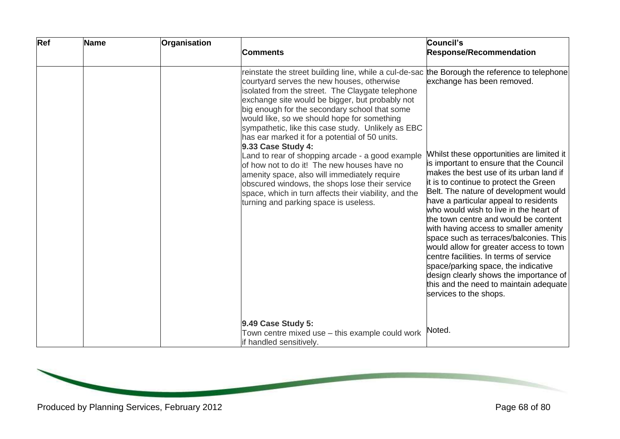| Ref | Name | Organisation | <b>Comments</b>                                                                                                                                                                                                                                                                                                                                                                                                                                                                                                                                                                                                                                                                                                                                  | Council's<br><b>Response/Recommendation</b>                                                                                                                                                                                                                                                                                                                                                                                                                                                                                                                                                                                                                                                                                                       |
|-----|------|--------------|--------------------------------------------------------------------------------------------------------------------------------------------------------------------------------------------------------------------------------------------------------------------------------------------------------------------------------------------------------------------------------------------------------------------------------------------------------------------------------------------------------------------------------------------------------------------------------------------------------------------------------------------------------------------------------------------------------------------------------------------------|---------------------------------------------------------------------------------------------------------------------------------------------------------------------------------------------------------------------------------------------------------------------------------------------------------------------------------------------------------------------------------------------------------------------------------------------------------------------------------------------------------------------------------------------------------------------------------------------------------------------------------------------------------------------------------------------------------------------------------------------------|
|     |      |              | reinstate the street building line, while a cul-de-sac<br>courtyard serves the new houses, otherwise<br>isolated from the street. The Claygate telephone<br>exchange site would be bigger, but probably not<br>big enough for the secondary school that some<br>would like, so we should hope for something<br>sympathetic, like this case study. Unlikely as EBC<br>has ear marked it for a potential of 50 units.<br>9.33 Case Study 4:<br>Land to rear of shopping arcade - a good example<br>of how not to do it! The new houses have no<br>amenity space, also will immediately require<br>obscured windows, the shops lose their service<br>space, which in turn affects their viability, and the<br>turning and parking space is useless. | the Borough the reference to telephone<br>exchange has been removed.<br>Whilst these opportunities are limited it<br>is important to ensure that the Council<br>makes the best use of its urban land if<br>it is to continue to protect the Green<br>Belt. The nature of development would<br>have a particular appeal to residents<br>who would wish to live in the heart of<br>the town centre and would be content<br>with having access to smaller amenity<br>space such as terraces/balconies. This<br>would allow for greater access to town<br>centre facilities. In terms of service<br>space/parking space, the indicative<br>design clearly shows the importance of<br>this and the need to maintain adequate<br>services to the shops. |
|     |      |              | 9.49 Case Study 5:<br>Town centre mixed use – this example could work<br>if handled sensitively.                                                                                                                                                                                                                                                                                                                                                                                                                                                                                                                                                                                                                                                 | Noted.                                                                                                                                                                                                                                                                                                                                                                                                                                                                                                                                                                                                                                                                                                                                            |

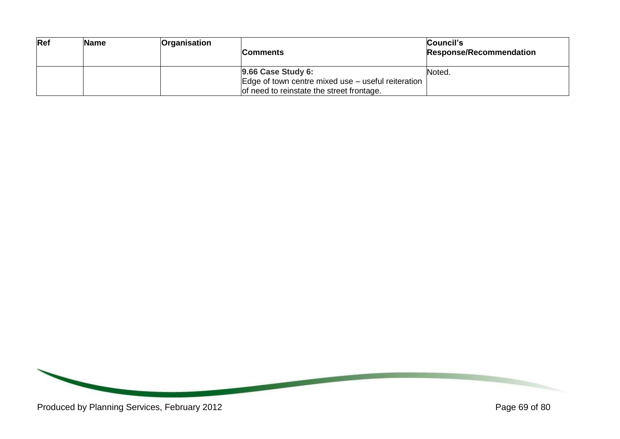| <b>Ref</b> | <b>Name</b> | Organisation | <b>Comments</b>                                      | Council's<br><b>Response/Recommendation</b> |
|------------|-------------|--------------|------------------------------------------------------|---------------------------------------------|
|            |             |              | $9.66$ Case Study 6:                                 | Noted.                                      |
|            |             |              | Edge of town centre mixed use $-$ useful reiteration |                                             |
|            |             |              | of need to reinstate the street frontage.            |                                             |



# Produced by Planning Services, February 2012 **Produced by Page 69 of 80**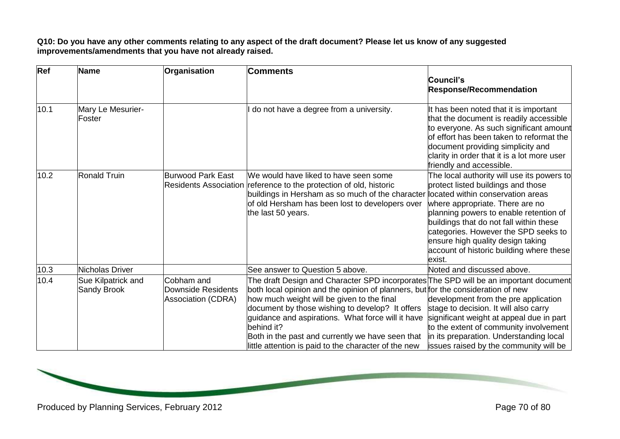**Q10: Do you have any other comments relating to any aspect of the draft document? Please let us know of any suggested improvements/amendments that you have not already raised.**

| Ref  | <b>Name</b>                              | <b>Organisation</b>                                           | <b>Comments</b>                                                                                                                                                                                                                                                                                                                                                                                                                                           | <b>Council's</b><br><b>Response/Recommendation</b>                                                                                                                                                                                                                                                                                                                                |
|------|------------------------------------------|---------------------------------------------------------------|-----------------------------------------------------------------------------------------------------------------------------------------------------------------------------------------------------------------------------------------------------------------------------------------------------------------------------------------------------------------------------------------------------------------------------------------------------------|-----------------------------------------------------------------------------------------------------------------------------------------------------------------------------------------------------------------------------------------------------------------------------------------------------------------------------------------------------------------------------------|
| 10.1 | Mary Le Mesurier-<br>Foster              |                                                               | do not have a degree from a university.                                                                                                                                                                                                                                                                                                                                                                                                                   | It has been noted that it is important<br>that the document is readily accessible<br>to everyone. As such significant amount<br>of effort has been taken to reformat the<br>document providing simplicity and<br>clarity in order that it is a lot more user<br>friendly and accessible.                                                                                          |
| 10.2 | Ronald Truin                             | <b>Burwood Park East</b>                                      | We would have liked to have seen some<br>Residents Association reference to the protection of old, historic<br>buildings in Hersham as so much of the character<br>of old Hersham has been lost to developers over<br>the last 50 years.                                                                                                                                                                                                                  | The local authority will use its powers to<br>protect listed buildings and those<br>located within conservation areas<br>where appropriate. There are no<br>planning powers to enable retention of<br>buildings that do not fall within these<br>categories. However the SPD seeks to<br>ensure high quality design taking<br>account of historic building where these<br>lexist. |
| 10.3 | <b>Nicholas Driver</b>                   |                                                               | See answer to Question 5 above.                                                                                                                                                                                                                                                                                                                                                                                                                           | Noted and discussed above.                                                                                                                                                                                                                                                                                                                                                        |
| 10.4 | Sue Kilpatrick and<br><b>Sandy Brook</b> | Cobham and<br><b>Downside Residents</b><br>Association (CDRA) | The draft Design and Character SPD incorporates The SPD will be an important document<br>both local opinion and the opinion of planners, but for the consideration of new<br>how much weight will be given to the final<br>document by those wishing to develop? It offers<br>guidance and aspirations. What force will it have<br>behind it?<br>Both in the past and currently we have seen that<br>little attention is paid to the character of the new | development from the pre application<br>stage to decision. It will also carry<br>significant weight at appeal due in part<br>to the extent of community involvement<br>in its preparation. Understanding local<br>issues raised by the community will be                                                                                                                          |

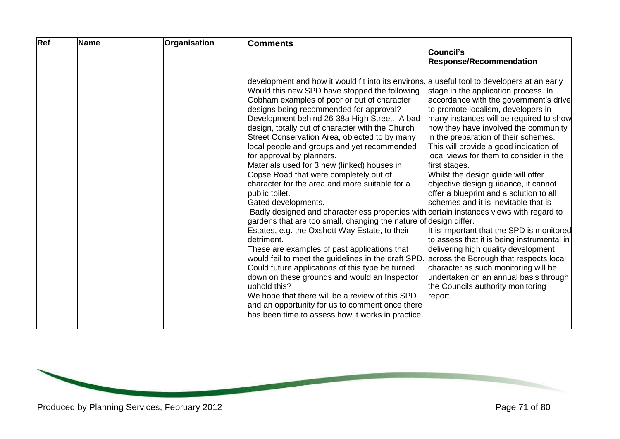| Ref | Name | Organisation | <b>Comments</b>                                                                                                                                                                                                                                                                                                                                                                                                                                                                                                                                                                                                                                                                                                                                                                                                                                                                                                                                                                                                                                                                                                                                                                                                                                                                   | Council's<br><b>Response/Recommendation</b>                                                                                                                                                                                                                                                                                                                                                                                                                                                                                                                                                                                                                                                                                                                                                                                         |
|-----|------|--------------|-----------------------------------------------------------------------------------------------------------------------------------------------------------------------------------------------------------------------------------------------------------------------------------------------------------------------------------------------------------------------------------------------------------------------------------------------------------------------------------------------------------------------------------------------------------------------------------------------------------------------------------------------------------------------------------------------------------------------------------------------------------------------------------------------------------------------------------------------------------------------------------------------------------------------------------------------------------------------------------------------------------------------------------------------------------------------------------------------------------------------------------------------------------------------------------------------------------------------------------------------------------------------------------|-------------------------------------------------------------------------------------------------------------------------------------------------------------------------------------------------------------------------------------------------------------------------------------------------------------------------------------------------------------------------------------------------------------------------------------------------------------------------------------------------------------------------------------------------------------------------------------------------------------------------------------------------------------------------------------------------------------------------------------------------------------------------------------------------------------------------------------|
|     |      |              | development and how it would fit into its environs. a useful tool to developers at an early<br>Would this new SPD have stopped the following<br>Cobham examples of poor or out of character<br>designs being recommended for approval?<br>Development behind 26-38a High Street. A bad<br>design, totally out of character with the Church<br>Street Conservation Area, objected to by many<br>local people and groups and yet recommended<br>for approval by planners.<br>Materials used for 3 new (linked) houses in<br>Copse Road that were completely out of<br>character for the area and more suitable for a<br>public toilet.<br>Gated developments.<br>Badly designed and characterless properties with certain instances views with regard to<br>gardens that are too small, changing the nature of design differ.<br>Estates, e.g. the Oxshott Way Estate, to their<br>detriment.<br>These are examples of past applications that<br>would fail to meet the guidelines in the draft SPD.<br>Could future applications of this type be turned<br>down on these grounds and would an Inspector<br>uphold this?<br>We hope that there will be a review of this SPD<br>and an opportunity for us to comment once there<br>has been time to assess how it works in practice. | stage in the application process. In<br>accordance with the government's drive<br>to promote localism, developers in<br>many instances will be required to show<br>how they have involved the community<br>in the preparation of their schemes.<br>This will provide a good indication of<br>local views for them to consider in the<br>first stages.<br>Whilst the design guide will offer<br>objective design guidance, it cannot<br>offer a blueprint and a solution to all<br>schemes and it is inevitable that is<br>It is important that the SPD is monitored<br>to assess that it is being instrumental in<br>delivering high quality development<br>across the Borough that respects local<br>character as such monitoring will be<br>undertaken on an annual basis through<br>the Councils authority monitoring<br>report. |

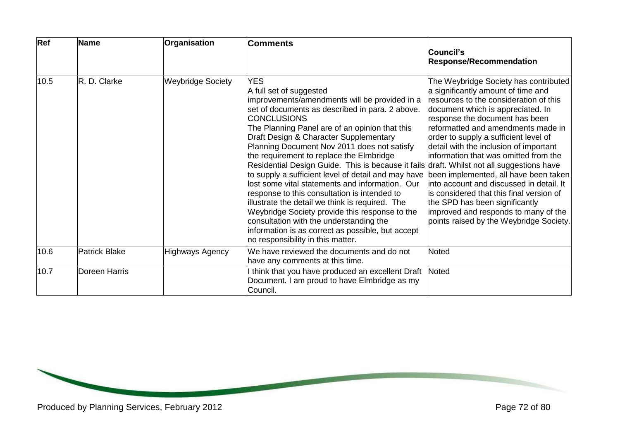| Ref  | <b>Name</b>          | Organisation             | <b>Comments</b>                                                                                                                                                                                                                                                                                                                                                                                                                                                                                                                                                                                                                                                                                                                                                                                                                                          | Council's<br><b>Response/Recommendation</b>                                                                                                                                                                                                                                                                                                                                                                                                                                                                                                                                                                          |
|------|----------------------|--------------------------|----------------------------------------------------------------------------------------------------------------------------------------------------------------------------------------------------------------------------------------------------------------------------------------------------------------------------------------------------------------------------------------------------------------------------------------------------------------------------------------------------------------------------------------------------------------------------------------------------------------------------------------------------------------------------------------------------------------------------------------------------------------------------------------------------------------------------------------------------------|----------------------------------------------------------------------------------------------------------------------------------------------------------------------------------------------------------------------------------------------------------------------------------------------------------------------------------------------------------------------------------------------------------------------------------------------------------------------------------------------------------------------------------------------------------------------------------------------------------------------|
| 10.5 | R. D. Clarke         | <b>Weybridge Society</b> | <b>YES</b><br>A full set of suggested<br>improvements/amendments will be provided in a<br>set of documents as described in para. 2 above.<br><b>ICONCLUSIONS</b><br>The Planning Panel are of an opinion that this<br>Draft Design & Character Supplementary<br>Planning Document Nov 2011 does not satisfy<br>the requirement to replace the Elmbridge<br>Residential Design Guide. This is because it fails draft. Whilst not all suggestions have<br>to supply a sufficient level of detail and may have<br>lost some vital statements and information. Our<br>response to this consultation is intended to<br>illustrate the detail we think is required. The<br>Weybridge Society provide this response to the<br>consultation with the understanding the<br>information is as correct as possible, but accept<br>no responsibility in this matter. | The Weybridge Society has contributed<br>a significantly amount of time and<br>resources to the consideration of this<br>document which is appreciated. In<br>response the document has been<br>reformatted and amendments made in<br>order to supply a sufficient level of<br>detail with the inclusion of important<br>information that was omitted from the<br>been implemented, all have been taken<br>into account and discussed in detail. It<br>is considered that this final version of<br>the SPD has been significantly<br>improved and responds to many of the<br>points raised by the Weybridge Society. |
| 10.6 | <b>Patrick Blake</b> | <b>Highways Agency</b>   | We have reviewed the documents and do not<br>have any comments at this time.                                                                                                                                                                                                                                                                                                                                                                                                                                                                                                                                                                                                                                                                                                                                                                             | <b>Noted</b>                                                                                                                                                                                                                                                                                                                                                                                                                                                                                                                                                                                                         |
| 10.7 | Doreen Harris        |                          | think that you have produced an excellent Draft<br>Document. I am proud to have Elmbridge as my<br>Council.                                                                                                                                                                                                                                                                                                                                                                                                                                                                                                                                                                                                                                                                                                                                              | <b>Noted</b>                                                                                                                                                                                                                                                                                                                                                                                                                                                                                                                                                                                                         |

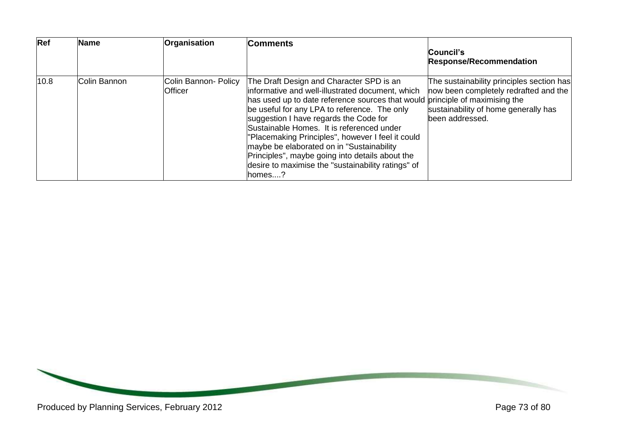| Ref  | <b>Name</b>  | Organisation                     | <b>Comments</b>                                                                                                                                                                                                                                                                                                                                                                                                                                                                                                                           | <b>Council's</b><br><b>Response/Recommendation</b>                                                                                            |
|------|--------------|----------------------------------|-------------------------------------------------------------------------------------------------------------------------------------------------------------------------------------------------------------------------------------------------------------------------------------------------------------------------------------------------------------------------------------------------------------------------------------------------------------------------------------------------------------------------------------------|-----------------------------------------------------------------------------------------------------------------------------------------------|
| 10.8 | Colin Bannon | Colin Bannon- Policy<br>lOfficer | The Draft Design and Character SPD is an<br>informative and well-illustrated document, which<br>has used up to date reference sources that would principle of maximising the<br>be useful for any LPA to reference. The only<br>suggestion I have regards the Code for<br>Sustainable Homes. It is referenced under<br>"Placemaking Principles", however I feel it could<br>maybe be elaborated on in "Sustainability"<br>Principles", maybe going into details about the<br>desire to maximise the "sustainability ratings" of<br>homes? | The sustainability principles section has<br>now been completely redrafted and the<br>sustainability of home generally has<br>been addressed. |

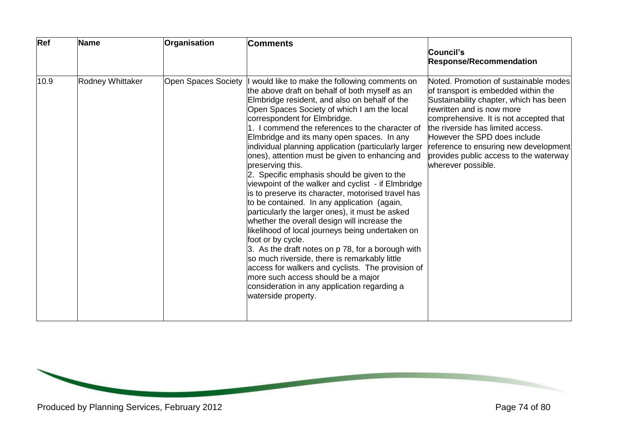| Ref  | <b>Name</b>      | <b>Organisation</b> | <b>Comments</b>                                                                                                                                                                                                                                                                                                                                                                                                                                                                                                                                                                                                                                                                                                                                                                                                                                                                                                                                                                                                                                                                                                                                    | Council's<br><b>Response/Recommendation</b>                                                                                                                                                                                                                                                                                                                                 |
|------|------------------|---------------------|----------------------------------------------------------------------------------------------------------------------------------------------------------------------------------------------------------------------------------------------------------------------------------------------------------------------------------------------------------------------------------------------------------------------------------------------------------------------------------------------------------------------------------------------------------------------------------------------------------------------------------------------------------------------------------------------------------------------------------------------------------------------------------------------------------------------------------------------------------------------------------------------------------------------------------------------------------------------------------------------------------------------------------------------------------------------------------------------------------------------------------------------------|-----------------------------------------------------------------------------------------------------------------------------------------------------------------------------------------------------------------------------------------------------------------------------------------------------------------------------------------------------------------------------|
| 10.9 | Rodney Whittaker |                     | Open Spaces Society   would like to make the following comments on<br>the above draft on behalf of both myself as an<br>Elmbridge resident, and also on behalf of the<br>Open Spaces Society of which I am the local<br>correspondent for Elmbridge.<br>1. I commend the references to the character of<br>Elmbridge and its many open spaces. In any<br>individual planning application (particularly larger<br>ones), attention must be given to enhancing and<br>preserving this.<br>2. Specific emphasis should be given to the<br>viewpoint of the walker and cyclist - if Elmbridge<br>is to preserve its character, motorised travel has<br>to be contained. In any application (again,<br>particularly the larger ones), it must be asked<br>whether the overall design will increase the<br>likelihood of local journeys being undertaken on<br>foot or by cycle.<br>3. As the draft notes on p 78, for a borough with<br>so much riverside, there is remarkably little<br>access for walkers and cyclists. The provision of<br>more such access should be a major<br>consideration in any application regarding a<br>waterside property. | Noted. Promotion of sustainable modes<br>of transport is embedded within the<br>Sustainability chapter, which has been<br>rewritten and is now more<br>comprehensive. It is not accepted that<br>the riverside has limited access.<br>However the SPD does include<br>reference to ensuring new development<br>provides public access to the waterway<br>wherever possible. |

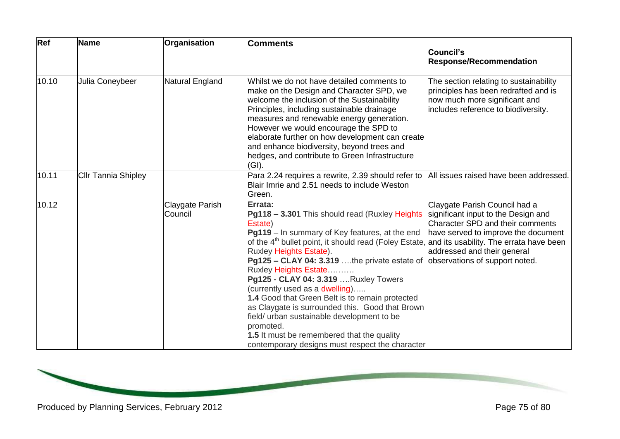| Ref   | <b>Name</b>                | Organisation               | <b>Comments</b>                                                                                                                                                                                                                                                                                                                                                                                                                                                                                                                                                                                                                               | <b>Council's</b><br><b>Response/Recommendation</b>                                                                                                                                                                                                          |
|-------|----------------------------|----------------------------|-----------------------------------------------------------------------------------------------------------------------------------------------------------------------------------------------------------------------------------------------------------------------------------------------------------------------------------------------------------------------------------------------------------------------------------------------------------------------------------------------------------------------------------------------------------------------------------------------------------------------------------------------|-------------------------------------------------------------------------------------------------------------------------------------------------------------------------------------------------------------------------------------------------------------|
| 10.10 | Julia Coneybeer            | Natural England            | Whilst we do not have detailed comments to<br>make on the Design and Character SPD, we<br>welcome the inclusion of the Sustainability<br>Principles, including sustainable drainage<br>measures and renewable energy generation.<br>However we would encourage the SPD to<br>elaborate further on how development can create<br>and enhance biodiversity, beyond trees and<br>hedges, and contribute to Green Infrastructure<br>$(GI)$ .                                                                                                                                                                                                      | The section relating to sustainability<br>principles has been redrafted and is<br>now much more significant and<br>includes reference to biodiversity.                                                                                                      |
| 10.11 | <b>Cllr Tannia Shipley</b> |                            | Para 2.24 requires a rewrite, 2.39 should refer to<br>Blair Imrie and 2.51 needs to include Weston<br>Green.                                                                                                                                                                                                                                                                                                                                                                                                                                                                                                                                  | All issues raised have been addressed.                                                                                                                                                                                                                      |
| 10.12 |                            | Claygate Parish<br>Council | Errata:<br>Pg118 - 3.301 This should read (Ruxley Heights<br>Estate)<br>Pg119 - In summary of Key features, at the end<br>of the 4 <sup>th</sup> bullet point, it should read (Foley Estate,<br>Ruxley Heights Estate).<br>Pg125 - CLAY 04: 3.319 the private estate of<br>Ruxley Heights Estate<br>Pg125 - CLAY 04: 3.319  Ruxley Towers<br>(currently used as a dwelling)<br>1.4 Good that Green Belt is to remain protected<br>as Claygate is surrounded this. Good that Brown<br>field/ urban sustainable development to be<br>promoted.<br>1.5 It must be remembered that the quality<br>contemporary designs must respect the character | Claygate Parish Council had a<br>significant input to the Design and<br>Character SPD and their comments<br>have served to improve the document<br>and its usability. The errata have been<br>addressed and their general<br>observations of support noted. |

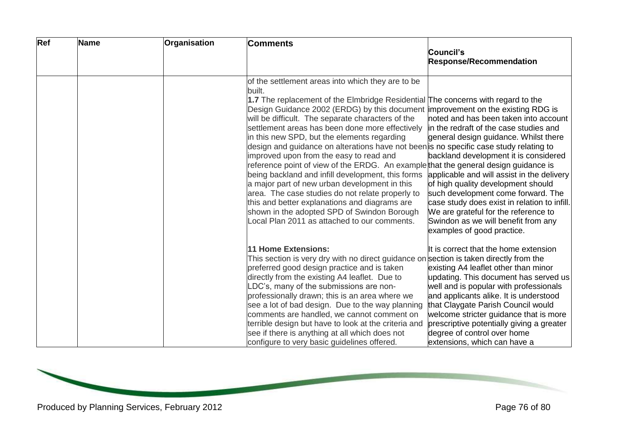| Ref | Name | Organisation | <b>Comments</b>                                                                                                                                                                                                                                                                                                                                                                                                                                                                                                                                                                                                                                                                                                                                                                                                                                                                                                                 | Council's<br><b>Response/Recommendation</b>                                                                                                                                                                                                                                                                                                                                                                                                              |
|-----|------|--------------|---------------------------------------------------------------------------------------------------------------------------------------------------------------------------------------------------------------------------------------------------------------------------------------------------------------------------------------------------------------------------------------------------------------------------------------------------------------------------------------------------------------------------------------------------------------------------------------------------------------------------------------------------------------------------------------------------------------------------------------------------------------------------------------------------------------------------------------------------------------------------------------------------------------------------------|----------------------------------------------------------------------------------------------------------------------------------------------------------------------------------------------------------------------------------------------------------------------------------------------------------------------------------------------------------------------------------------------------------------------------------------------------------|
|     |      |              | of the settlement areas into which they are to be<br>built.<br>1.7 The replacement of the Elmbridge Residential The concerns with regard to the<br>Design Guidance 2002 (ERDG) by this document limprovement on the existing RDG is<br>will be difficult. The separate characters of the<br>settlement areas has been done more effectively<br>in this new SPD, but the elements regarding<br>design and guidance on alterations have not been is no specific case study relating to<br>improved upon from the easy to read and<br>reference point of view of the ERDG. An examplethat the general design guidance is<br>being backland and infill development, this forms<br>a major part of new urban development in this<br>area. The case studies do not relate properly to<br>this and better explanations and diagrams are<br>shown in the adopted SPD of Swindon Borough<br>Local Plan 2011 as attached to our comments. | noted and has been taken into account<br>in the redraft of the case studies and<br>general design guidance. Whilst there<br>backland development it is considered<br>applicable and will assist in the delivery<br>of high quality development should<br>such development come forward. The<br>case study does exist in relation to infill.<br>We are grateful for the reference to<br>Swindon as we will benefit from any<br>examples of good practice. |
|     |      |              | 11 Home Extensions:<br>This section is very dry with no direct guidance on section is taken directly from the<br>preferred good design practice and is taken<br>directly from the existing A4 leaflet. Due to<br>LDC's, many of the submissions are non-<br>professionally drawn; this is an area where we<br>see a lot of bad design. Due to the way planning<br>comments are handled, we cannot comment on<br>terrible design but have to look at the criteria and<br>see if there is anything at all which does not<br>configure to very basic guidelines offered.                                                                                                                                                                                                                                                                                                                                                           | It is correct that the home extension<br>existing A4 leaflet other than minor<br>updating. This document has served us<br>well and is popular with professionals<br>and applicants alike. It is understood<br>that Claygate Parish Council would<br>welcome stricter guidance that is more<br>prescriptive potentially giving a greater<br>degree of control over home<br>extensions, which can have a                                                   |